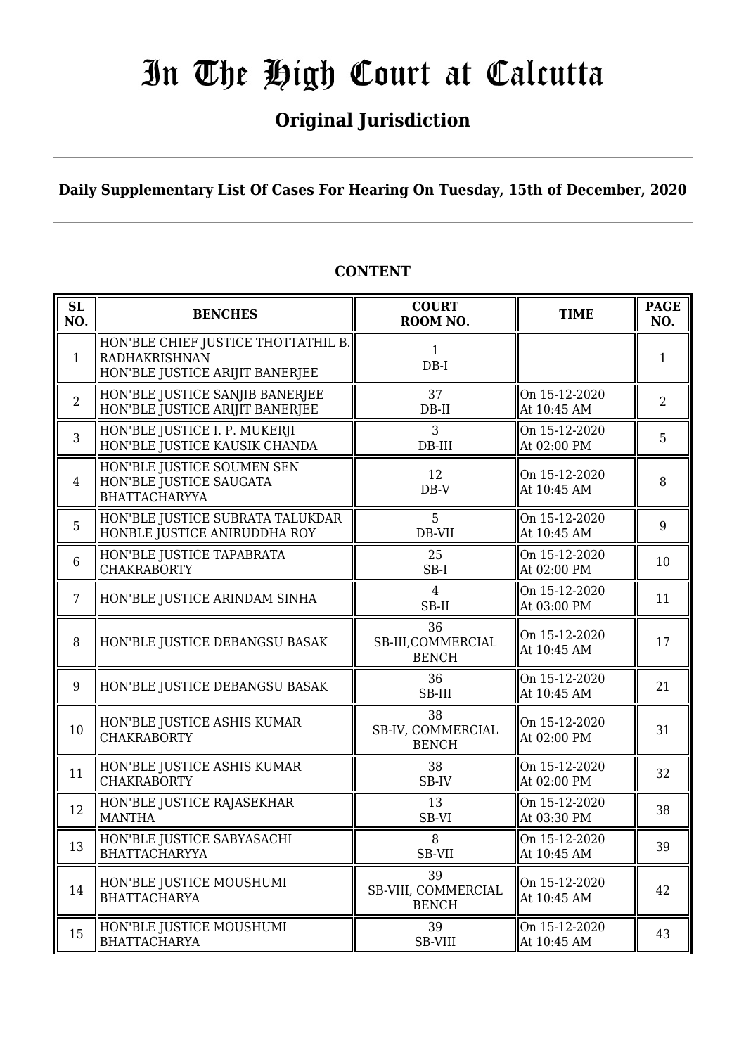# **Original Jurisdiction**

## **Daily Supplementary List Of Cases For Hearing On Tuesday, 15th of December, 2020**

## **CONTENT**

| SL<br>NO.      | <b>BENCHES</b>                                                                                 | <b>COURT</b><br>ROOM NO.                  | <b>TIME</b>                  | <b>PAGE</b><br>NO. |
|----------------|------------------------------------------------------------------------------------------------|-------------------------------------------|------------------------------|--------------------|
| $\mathbf{1}$   | HON'BLE CHIEF JUSTICE THOTTATHIL B.<br><b>RADHAKRISHNAN</b><br>HON'BLE JUSTICE ARIJIT BANERJEE | 1<br>$DB-I$                               |                              | 1                  |
| $\overline{2}$ | HON'BLE JUSTICE SANJIB BANERJEE<br>HON'BLE JUSTICE ARIJIT BANERJEE                             | 37<br>$DB-II$                             | On 15-12-2020<br>At 10:45 AM | $\overline{2}$     |
| 3              | HON'BLE JUSTICE I. P. MUKERJI<br>HON'BLE JUSTICE KAUSIK CHANDA                                 | 3<br>DB-III                               | On 15-12-2020<br>At 02:00 PM | 5                  |
| $\overline{4}$ | HON'BLE JUSTICE SOUMEN SEN<br>HON'BLE JUSTICE SAUGATA<br><b>BHATTACHARYYA</b>                  | 12<br>$DB-V$                              | On 15-12-2020<br>At 10:45 AM | 8                  |
| 5              | HON'BLE JUSTICE SUBRATA TALUKDAR<br>HONBLE JUSTICE ANIRUDDHA ROY                               | 5<br>DB-VII                               | On 15-12-2020<br>At 10:45 AM | 9                  |
| $\,6\,$        | HON'BLE JUSTICE TAPABRATA<br><b>CHAKRABORTY</b>                                                | 25<br>$SB-I$                              | On 15-12-2020<br>At 02:00 PM | 10                 |
| $\overline{7}$ | HON'BLE JUSTICE ARINDAM SINHA                                                                  | $\overline{4}$<br>SB-II                   | On 15-12-2020<br>At 03:00 PM | 11                 |
| 8              | HON'BLE JUSTICE DEBANGSU BASAK                                                                 | 36<br>SB-III, COMMERCIAL<br><b>BENCH</b>  | On 15-12-2020<br>At 10:45 AM | 17                 |
| 9              | HON'BLE JUSTICE DEBANGSU BASAK                                                                 | 36<br>SB-III                              | On 15-12-2020<br>At 10:45 AM | 21                 |
| 10             | HON'BLE JUSTICE ASHIS KUMAR<br><b>CHAKRABORTY</b>                                              | 38<br>SB-IV, COMMERCIAL<br><b>BENCH</b>   | On 15-12-2020<br>At 02:00 PM | 31                 |
| 11             | HON'BLE JUSTICE ASHIS KUMAR<br><b>CHAKRABORTY</b>                                              | 38<br>SB-IV                               | On 15-12-2020<br>At 02:00 PM | 32                 |
| 12             | HON'BLE JUSTICE RAJASEKHAR<br><b>MANTHA</b>                                                    | 13<br>SB-VI                               | On 15-12-2020<br>At 03:30 PM | 38                 |
| 13             | HON'BLE JUSTICE SABYASACHI<br>BHATTACHARYYA                                                    | 8<br>SB-VII                               | On 15-12-2020<br>At 10:45 AM | 39                 |
| 14             | HON'BLE JUSTICE MOUSHUMI<br><b>BHATTACHARYA</b>                                                | 39<br>SB-VIII, COMMERCIAL<br><b>BENCH</b> | On 15-12-2020<br>At 10:45 AM | 42                 |
| 15             | HON'BLE JUSTICE MOUSHUMI<br><b>BHATTACHARYA</b>                                                | 39<br>SB-VIII                             | On 15-12-2020<br>At 10:45 AM | 43                 |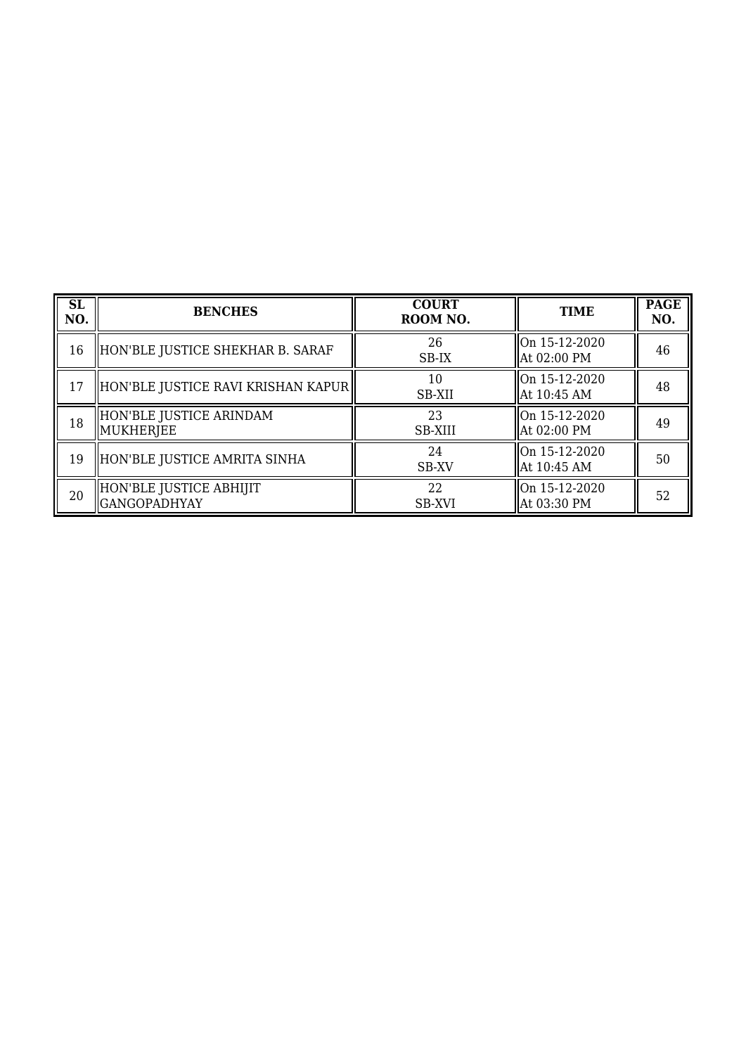| <b>SL</b><br>NO. | <b>BENCHES</b>                                 | <b>COURT</b><br>ROOM NO. | <b>TIME</b>                     | <b>PAGE</b><br>NO. |
|------------------|------------------------------------------------|--------------------------|---------------------------------|--------------------|
| 16               | HON'BLE JUSTICE SHEKHAR B. SARAF               | 26<br>SB-IX              | On 15-12-2020<br>  At 02:00 PM  | 46                 |
| 17               | HON'BLE JUSTICE RAVI KRISHAN KAPUR             | 10<br>SB-XII             | lOn 15-12-2020<br>  At 10:45 AM | 48                 |
| 18               | HON'BLE JUSTICE ARINDAM<br>MUKHERJEE           | 23<br><b>SB-XIII</b>     | On 15-12-2020<br>  At 02:00 PM  | 49                 |
| 19               | HON'BLE JUSTICE AMRITA SINHA                   | 24<br>SB-XV              | lOn 15-12-2020<br>  At 10:45 AM | 50                 |
| 20               | HON'BLE JUSTICE ABHIJIT<br><b>GANGOPADHYAY</b> | 22<br><b>SB-XVI</b>      | On 15-12-2020<br>At 03:30 PM    | 52                 |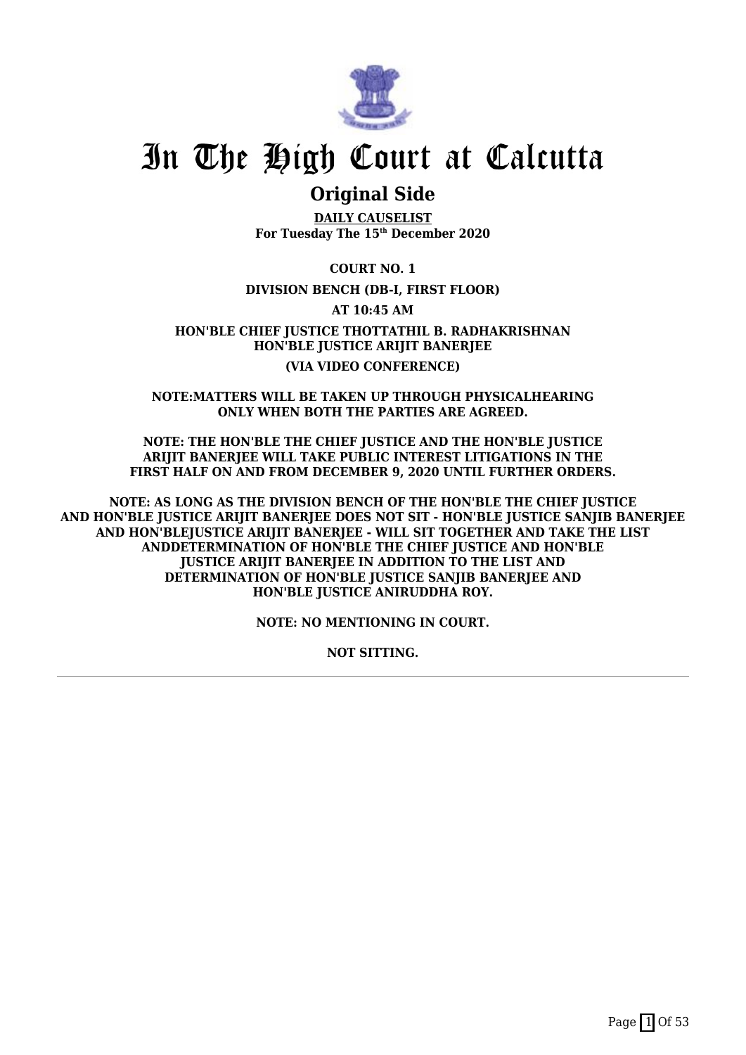

## **Original Side**

**DAILY CAUSELIST For Tuesday The 15th December 2020**

**COURT NO. 1**

### **DIVISION BENCH (DB-I, FIRST FLOOR)**

**AT 10:45 AM**

**HON'BLE CHIEF JUSTICE THOTTATHIL B. RADHAKRISHNAN HON'BLE JUSTICE ARIJIT BANERJEE (VIA VIDEO CONFERENCE)**

**NOTE:MATTERS WILL BE TAKEN UP THROUGH PHYSICALHEARING ONLY WHEN BOTH THE PARTIES ARE AGREED.**

**NOTE: THE HON'BLE THE CHIEF JUSTICE AND THE HON'BLE JUSTICE ARIJIT BANERJEE WILL TAKE PUBLIC INTEREST LITIGATIONS IN THE FIRST HALF ON AND FROM DECEMBER 9, 2020 UNTIL FURTHER ORDERS.**

**NOTE: AS LONG AS THE DIVISION BENCH OF THE HON'BLE THE CHIEF JUSTICE AND HON'BLE JUSTICE ARIJIT BANERJEE DOES NOT SIT - HON'BLE JUSTICE SANJIB BANERJEE AND HON'BLEJUSTICE ARIJIT BANERJEE - WILL SIT TOGETHER AND TAKE THE LIST ANDDETERMINATION OF HON'BLE THE CHIEF JUSTICE AND HON'BLE JUSTICE ARIJIT BANERJEE IN ADDITION TO THE LIST AND DETERMINATION OF HON'BLE JUSTICE SANJIB BANERJEE AND HON'BLE JUSTICE ANIRUDDHA ROY.**

**NOTE: NO MENTIONING IN COURT.**

**NOT SITTING.**

Page  $\boxed{1}$  Of 53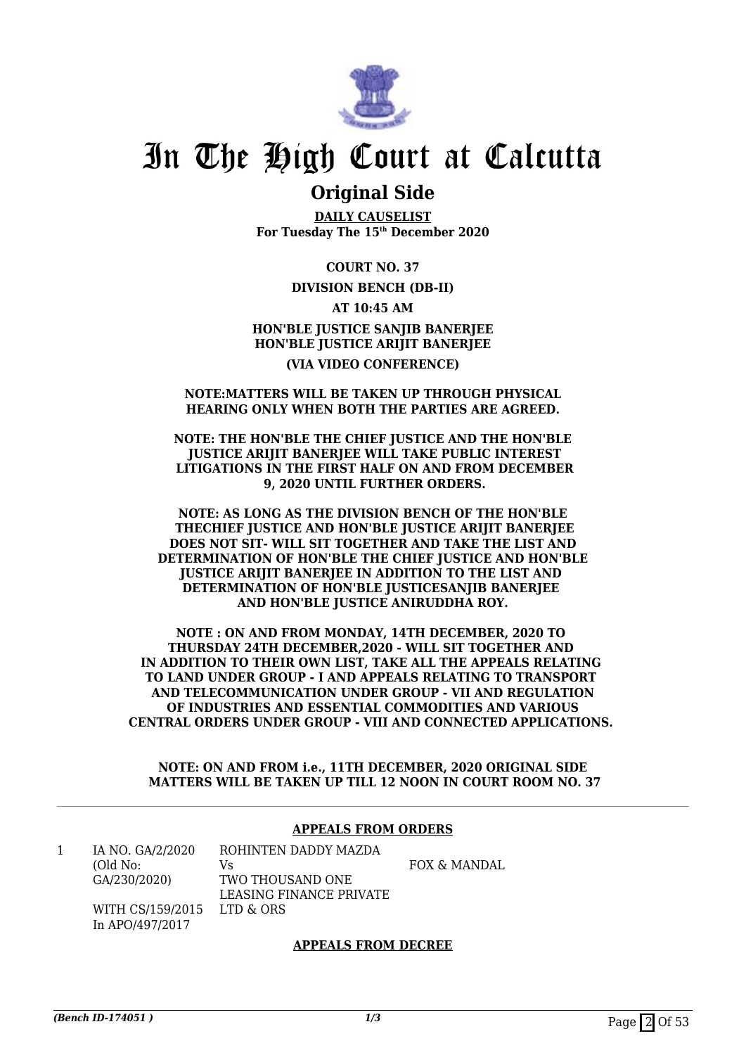

## **Original Side**

**DAILY CAUSELIST For Tuesday The 15th December 2020**

**COURT NO. 37**

### **DIVISION BENCH (DB-II)**

**AT 10:45 AM**

**HON'BLE JUSTICE SANJIB BANERJEE HON'BLE JUSTICE ARIJIT BANERJEE (VIA VIDEO CONFERENCE)**

#### **NOTE:MATTERS WILL BE TAKEN UP THROUGH PHYSICAL HEARING ONLY WHEN BOTH THE PARTIES ARE AGREED.**

**NOTE: THE HON'BLE THE CHIEF JUSTICE AND THE HON'BLE JUSTICE ARIJIT BANERJEE WILL TAKE PUBLIC INTEREST LITIGATIONS IN THE FIRST HALF ON AND FROM DECEMBER 9, 2020 UNTIL FURTHER ORDERS.**

**NOTE: AS LONG AS THE DIVISION BENCH OF THE HON'BLE THECHIEF JUSTICE AND HON'BLE JUSTICE ARIJIT BANERJEE DOES NOT SIT- WILL SIT TOGETHER AND TAKE THE LIST AND DETERMINATION OF HON'BLE THE CHIEF JUSTICE AND HON'BLE JUSTICE ARIJIT BANERJEE IN ADDITION TO THE LIST AND DETERMINATION OF HON'BLE JUSTICESANJIB BANERJEE AND HON'BLE JUSTICE ANIRUDDHA ROY.**

**NOTE : ON AND FROM MONDAY, 14TH DECEMBER, 2020 TO THURSDAY 24TH DECEMBER,2020 - WILL SIT TOGETHER AND IN ADDITION TO THEIR OWN LIST, TAKE ALL THE APPEALS RELATING TO LAND UNDER GROUP - I AND APPEALS RELATING TO TRANSPORT AND TELECOMMUNICATION UNDER GROUP - VII AND REGULATION OF INDUSTRIES AND ESSENTIAL COMMODITIES AND VARIOUS CENTRAL ORDERS UNDER GROUP - VIII AND CONNECTED APPLICATIONS.** 

**NOTE: ON AND FROM i.e., 11TH DECEMBER, 2020 ORIGINAL SIDE MATTERS WILL BE TAKEN UP TILL 12 NOON IN COURT ROOM NO. 37**

### **APPEALS FROM ORDERS**

1 IA NO. GA/2/2020 (Old No: GA/230/2020) WITH CS/159/2015

In APO/497/2017

ROHINTEN DADDY MAZDA Vs TWO THOUSAND ONE LEASING FINANCE PRIVATE LTD & ORS

FOX & MANDAL

### **APPEALS FROM DECREE**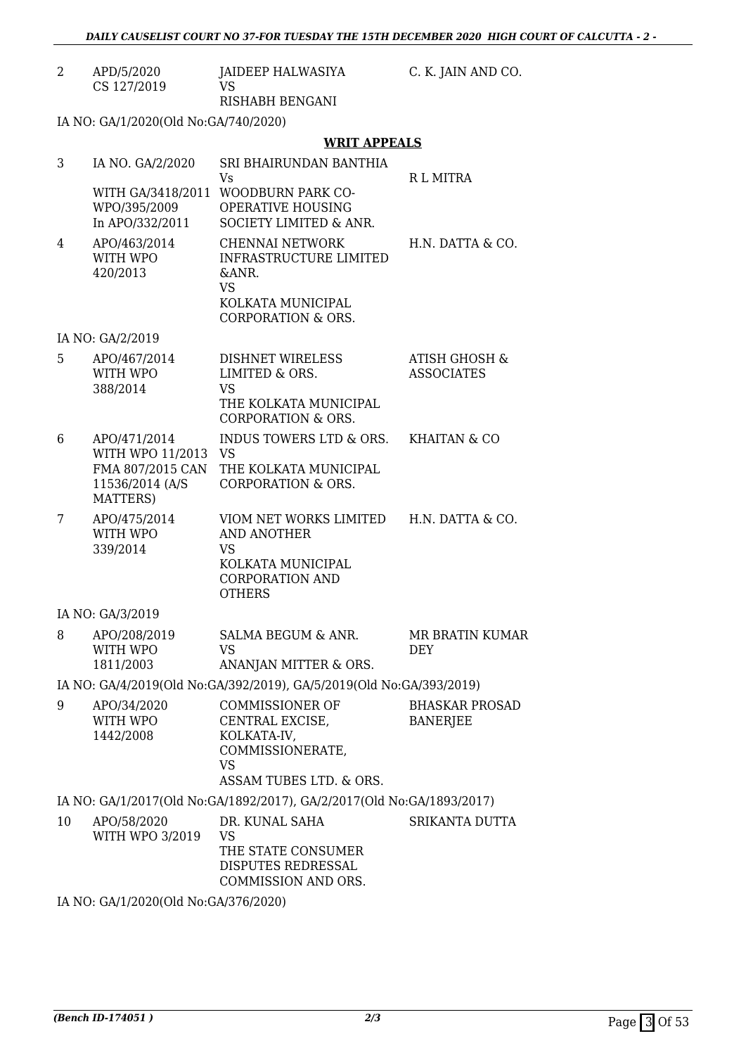| APD/5/2020  | JAIDEEP HALWASIYA |
|-------------|-------------------|
| CS 127/2019 | VS.               |
|             | RISHABH BENGANI   |

C. K. JAIN AND CO.

IA NO: GA/1/2020(Old No:GA/740/2020)

### **WRIT APPEALS**

| 3  | IA NO. GA/2/2020<br>WITH GA/3418/2011<br>WPO/395/2009<br>In APO/332/2011            | SRI BHAIRUNDAN BANTHIA<br>Vs<br><b>WOODBURN PARK CO-</b><br>OPERATIVE HOUSING<br>SOCIETY LIMITED & ANR.                      | R L MITRA                            |
|----|-------------------------------------------------------------------------------------|------------------------------------------------------------------------------------------------------------------------------|--------------------------------------|
| 4  | APO/463/2014<br>WITH WPO<br>420/2013                                                | <b>CHENNAI NETWORK</b><br>INFRASTRUCTURE LIMITED<br>&ANR.<br><b>VS</b><br>KOLKATA MUNICIPAL<br><b>CORPORATION &amp; ORS.</b> | H.N. DATTA & CO.                     |
|    | IA NO: GA/2/2019                                                                    |                                                                                                                              |                                      |
| 5  | APO/467/2014<br>WITH WPO<br>388/2014                                                | DISHNET WIRELESS<br>LIMITED & ORS.<br><b>VS</b><br>THE KOLKATA MUNICIPAL<br><b>CORPORATION &amp; ORS.</b>                    | ATISH GHOSH &<br><b>ASSOCIATES</b>   |
| 6  | APO/471/2014<br>WITH WPO 11/2013<br>FMA 807/2015 CAN<br>11536/2014 (A/S<br>MATTERS) | INDUS TOWERS LTD & ORS.<br><b>VS</b><br>THE KOLKATA MUNICIPAL<br>CORPORATION & ORS.                                          | <b>KHAITAN &amp; CO</b>              |
| 7  | APO/475/2014<br>WITH WPO<br>339/2014                                                | VIOM NET WORKS LIMITED<br><b>AND ANOTHER</b><br><b>VS</b><br>KOLKATA MUNICIPAL<br><b>CORPORATION AND</b><br><b>OTHERS</b>    | H.N. DATTA & CO.                     |
|    | IA NO: GA/3/2019                                                                    |                                                                                                                              |                                      |
| 8  | APO/208/2019<br>WITH WPO<br>1811/2003                                               | SALMA BEGUM & ANR.<br><b>VS</b><br>ANANJAN MITTER & ORS.                                                                     | <b>MR BRATIN KUMAR</b><br><b>DEY</b> |
|    |                                                                                     | IA NO: GA/4/2019(Old No:GA/392/2019), GA/5/2019(Old No:GA/393/2019)                                                          |                                      |
| 9  | APO/34/2020<br>WITH WPO<br>1442/2008                                                | <b>COMMISSIONER OF</b><br>CENTRAL EXCISE,<br>KOLKATA-IV,<br>COMMISSIONERATE,<br>VS<br>ASSAM TUBES LTD. & ORS.                | <b>BHASKAR PROSAD</b><br>BANERJEE    |
|    |                                                                                     | IA NO: GA/1/2017(Old No:GA/1892/2017), GA/2/2017(Old No:GA/1893/2017)                                                        |                                      |
| 10 | APO/58/2020<br>WITH WPO 3/2019                                                      | DR. KUNAL SAHA<br>VS<br>THE STATE CONSUMER<br>DISPUTES REDRESSAL<br>COMMISSION AND ORS.                                      | SRIKANTA DUTTA                       |
|    | $I$ MO $C$ MU 12020(01.1 M <sub>r</sub> $C$ M27012020)                              |                                                                                                                              |                                      |

IA NO: GA/1/2020(Old No:GA/376/2020)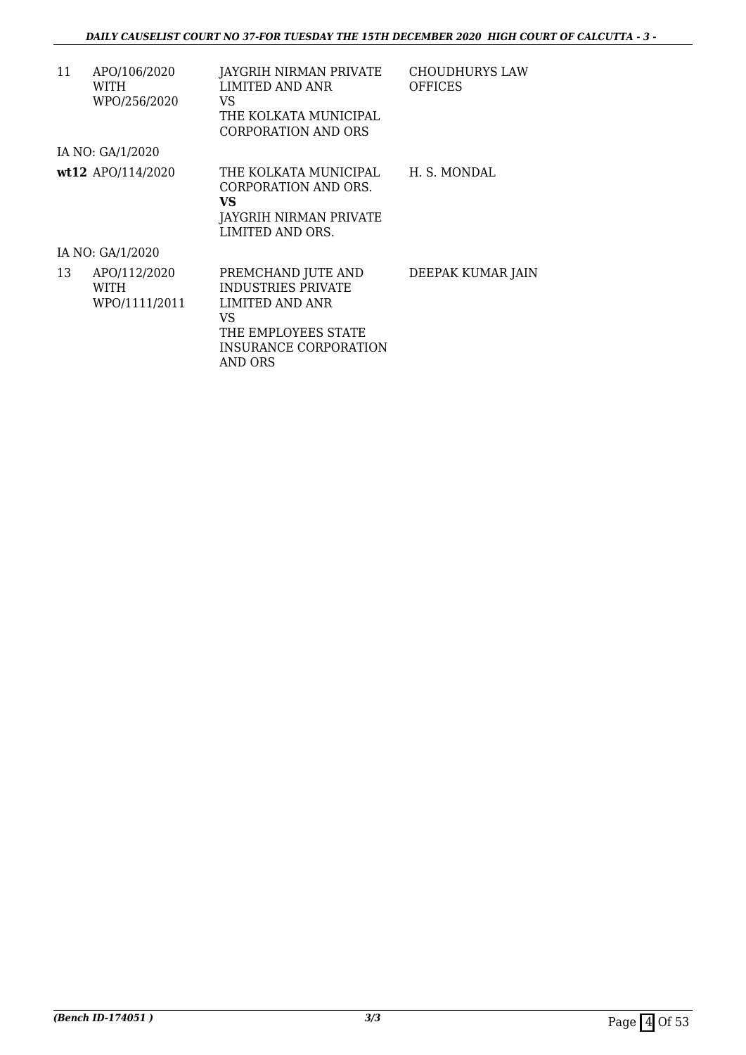| 11 | APO/106/2020<br>WITH<br>WPO/256/2020  | JAYGRIH NIRMAN PRIVATE<br>LIMITED AND ANR<br>VS.<br>THE KOLKATA MUNICIPAL<br>CORPORATION AND ORS                                    | <b>CHOUDHURYS LAW</b><br><b>OFFICES</b> |
|----|---------------------------------------|-------------------------------------------------------------------------------------------------------------------------------------|-----------------------------------------|
|    | IA NO: GA/1/2020                      |                                                                                                                                     |                                         |
|    | wt12 APO/114/2020                     | THE KOLKATA MUNICIPAL<br>CORPORATION AND ORS.<br>VS<br>JAYGRIH NIRMAN PRIVATE<br>LIMITED AND ORS.                                   | H. S. MONDAL                            |
|    | IA NO: GA/1/2020                      |                                                                                                                                     |                                         |
| 13 | APO/112/2020<br>WITH<br>WPO/1111/2011 | PREMCHAND JUTE AND<br><b>INDUSTRIES PRIVATE</b><br>LIMITED AND ANR<br>VS<br>THE EMPLOYEES STATE<br>INSURANCE CORPORATION<br>AND ORS | DEEPAK KUMAR JAIN                       |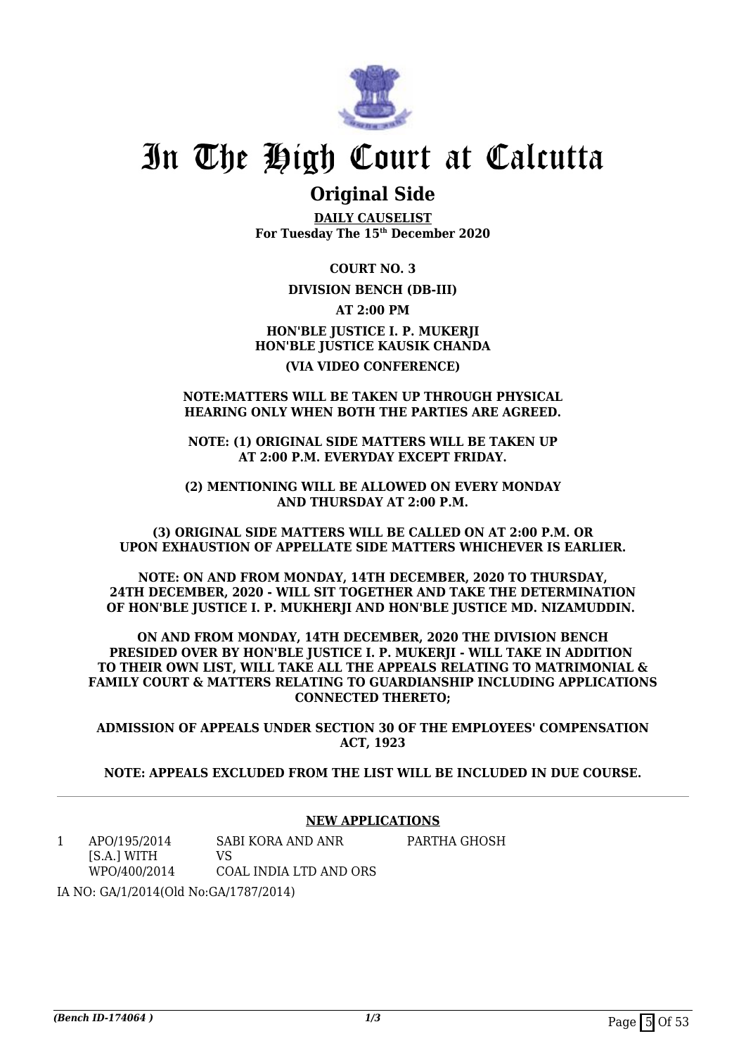

## **Original Side**

**DAILY CAUSELIST For Tuesday The 15th December 2020**

**COURT NO. 3**

### **DIVISION BENCH (DB-III)**

**AT 2:00 PM**

**HON'BLE JUSTICE I. P. MUKERJI HON'BLE JUSTICE KAUSIK CHANDA (VIA VIDEO CONFERENCE)**

### **NOTE:MATTERS WILL BE TAKEN UP THROUGH PHYSICAL HEARING ONLY WHEN BOTH THE PARTIES ARE AGREED.**

**NOTE: (1) ORIGINAL SIDE MATTERS WILL BE TAKEN UP AT 2:00 P.M. EVERYDAY EXCEPT FRIDAY.**

**(2) MENTIONING WILL BE ALLOWED ON EVERY MONDAY AND THURSDAY AT 2:00 P.M.**

**(3) ORIGINAL SIDE MATTERS WILL BE CALLED ON AT 2:00 P.M. OR UPON EXHAUSTION OF APPELLATE SIDE MATTERS WHICHEVER IS EARLIER.**

**NOTE: ON AND FROM MONDAY, 14TH DECEMBER, 2020 TO THURSDAY, 24TH DECEMBER, 2020 - WILL SIT TOGETHER AND TAKE THE DETERMINATION OF HON'BLE JUSTICE I. P. MUKHERJI AND HON'BLE JUSTICE MD. NIZAMUDDIN.** 

**ON AND FROM MONDAY, 14TH DECEMBER, 2020 THE DIVISION BENCH PRESIDED OVER BY HON'BLE JUSTICE I. P. MUKERII - WILL TAKE IN ADDITION TO THEIR OWN LIST, WILL TAKE ALL THE APPEALS RELATING TO MATRIMONIAL & FAMILY COURT & MATTERS RELATING TO GUARDIANSHIP INCLUDING APPLICATIONS CONNECTED THERETO;**

**ADMISSION OF APPEALS UNDER SECTION 30 OF THE EMPLOYEES' COMPENSATION ACT, 1923**

**NOTE: APPEALS EXCLUDED FROM THE LIST WILL BE INCLUDED IN DUE COURSE.**

### **NEW APPLICATIONS**

1 APO/195/2014 [S.A.] WITH WPO/400/2014 SABI KORA AND ANR  $V<sup>Q</sup>$ COAL INDIA LTD AND ORS PARTHA GHOSH

IA NO: GA/1/2014(Old No:GA/1787/2014)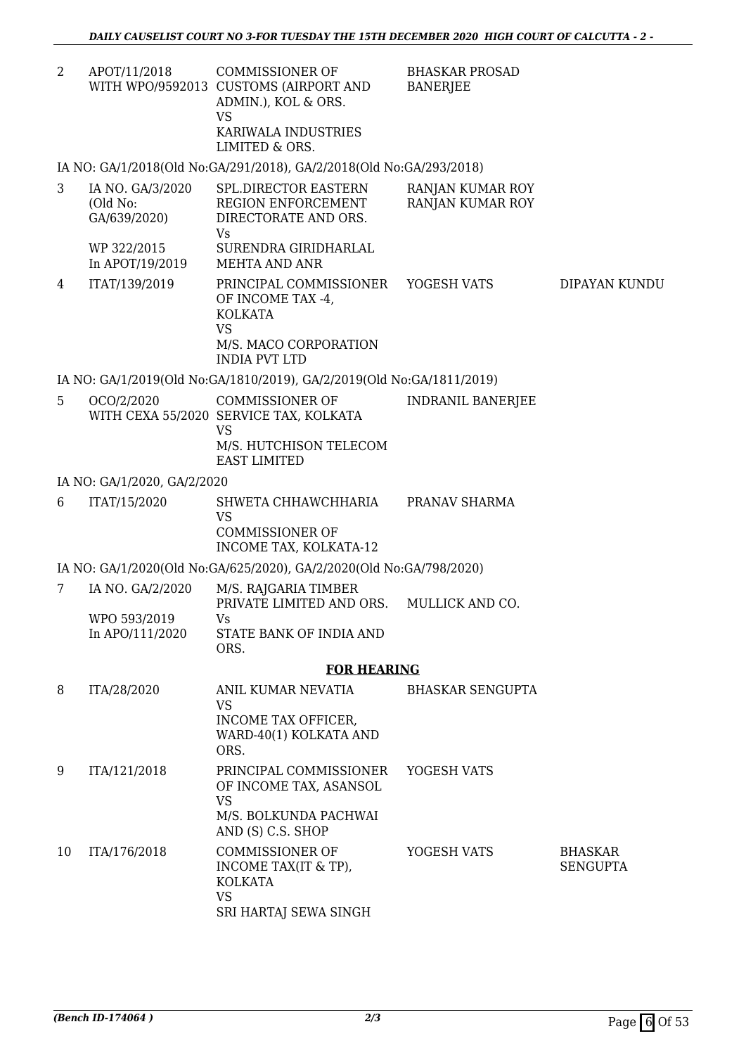| APOT/11/2018 | COMMISSIONER OF                       | <b>BHASKAR PROSAD</b> |
|--------------|---------------------------------------|-----------------------|
|              | WITH WPO/9592013 CUSTOMS (AIRPORT AND | BANERJEE              |
|              | ADMIN.), KOL & ORS.                   |                       |
|              | VS                                    |                       |
|              | KARIWALA INDUSTRIES                   |                       |
|              | LIMITED & ORS.                        |                       |

IA NO: GA/1/2018(Old No:GA/291/2018), GA/2/2018(Old No:GA/293/2018)

| 3 | IA NO. GA/3/2020<br>(Old No:<br>GA/639/2020)<br>WP 322/2015<br>In APOT/19/2019 | SPL.DIRECTOR EASTERN<br>REGION ENFORCEMENT<br>DIRECTORATE AND ORS.<br>Vs<br>SURENDRA GIRIDHARLAL<br>MEHTA AND ANR | RANJAN KUMAR ROY<br>RANJAN KUMAR ROY |               |
|---|--------------------------------------------------------------------------------|-------------------------------------------------------------------------------------------------------------------|--------------------------------------|---------------|
| 4 | ITAT/139/2019                                                                  | PRINCIPAL COMMISSIONER<br>OF INCOME TAX -4,<br><b>KOLKATA</b><br>VS<br>M/S. MACO CORPORATION<br>INDIA PVT LTD     | YOGESH VATS                          | DIPAYAN KUNDU |

IA NO: GA/1/2019(Old No:GA/1810/2019), GA/2/2019(Old No:GA/1811/2019)

5 OCO/2/2020 WITH CEXA 55/2020 SERVICE TAX, KOLKATA COMMISSIONER OF VS M/S. HUTCHISON TELECOM EAST LIMITED INDRANIL BANERJEE

### IA NO: GA/1/2020, GA/2/2020

6 ITAT/15/2020 SHWETA CHHAWCHHARIA VS COMMISSIONER OF INCOME TAX, KOLKATA-12 PRANAV SHARMA

IA NO: GA/1/2020(Old No:GA/625/2020), GA/2/2020(Old No:GA/798/2020)

| IA NO. GA/2/2020 | M/S. RAJGARIA TIMBER            |                 |
|------------------|---------------------------------|-----------------|
|                  | PRIVATE LIMITED AND ORS.        | MULLICK AND CO. |
| WPO 593/2019     | Vs                              |                 |
| In APO/111/2020  | STATE BANK OF INDIA AND<br>ORS. |                 |
|                  |                                 |                 |

### **FOR HEARING**

| 8  | ITA/28/2020  | ANIL KUMAR NEVATIA<br>VS<br>INCOME TAX OFFICER.<br>WARD-40(1) KOLKATA AND<br>ORS.                    | <b>BHASKAR SENGUPTA</b> |                                   |
|----|--------------|------------------------------------------------------------------------------------------------------|-------------------------|-----------------------------------|
| 9  | ITA/121/2018 | PRINCIPAL COMMISSIONER<br>OF INCOME TAX, ASANSOL<br>VS<br>M/S. BOLKUNDA PACHWAI<br>AND (S) C.S. SHOP | YOGESH VATS             |                                   |
| 10 | ITA/176/2018 | COMMISSIONER OF<br>INCOME TAX(IT & TP),<br><b>KOLKATA</b><br>VS<br>SRI HARTAJ SEWA SINGH             | YOGESH VATS             | <b>BHASKAR</b><br><b>SENGUPTA</b> |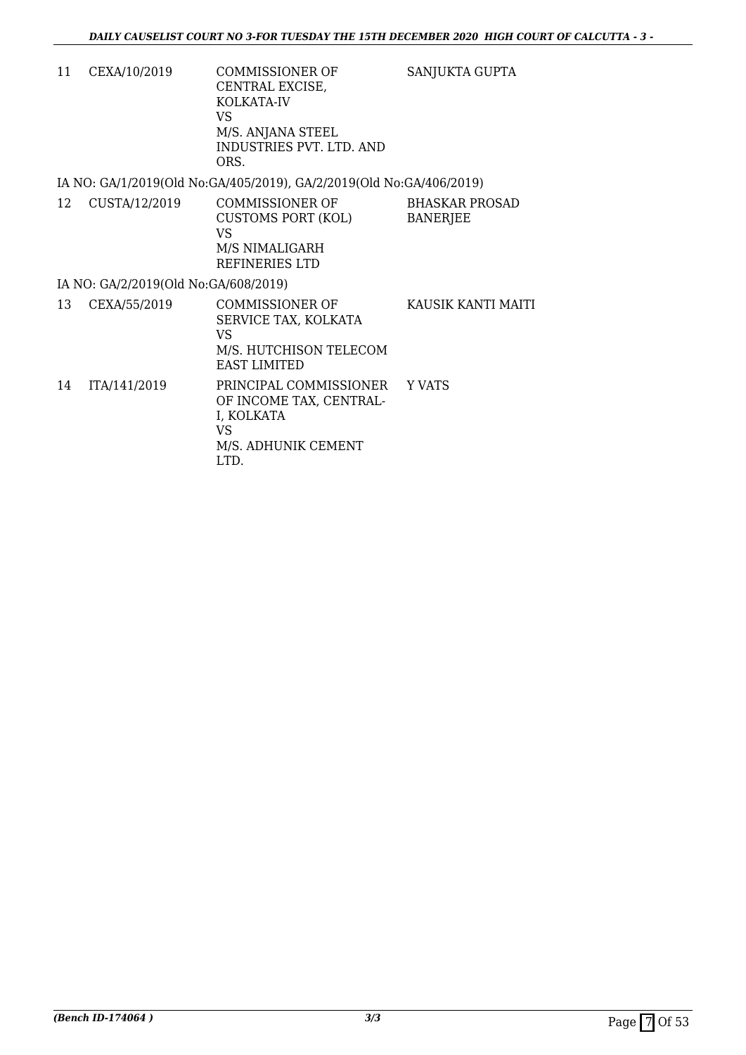SANJUKTA GUPTA

11 CEXA/10/2019 COMMISSIONER OF CENTRAL EXCISE, KOLKATA-IV VS M/S. ANJANA STEEL INDUSTRIES PVT. LTD. AND ORS.

IA NO: GA/1/2019(Old No:GA/405/2019), GA/2/2019(Old No:GA/406/2019)

12 CUSTA/12/2019 COMMISSIONER OF CUSTOMS PORT (KOL) VS M/S NIMALIGARH REFINERIES LTD BHASKAR PROSAD BANERJEE

### IA NO: GA/2/2019(Old No:GA/608/2019)

13 CEXA/55/2019 COMMISSIONER OF SERVICE TAX, KOLKATA VS M/S. HUTCHISON TELECOM EAST LIMITED KAUSIK KANTI MAITI 14 ITA/141/2019 PRINCIPAL COMMISSIONER OF INCOME TAX, CENTRAL-I, KOLKATA VS M/S. ADHUNIK CEMENT LTD. Y VATS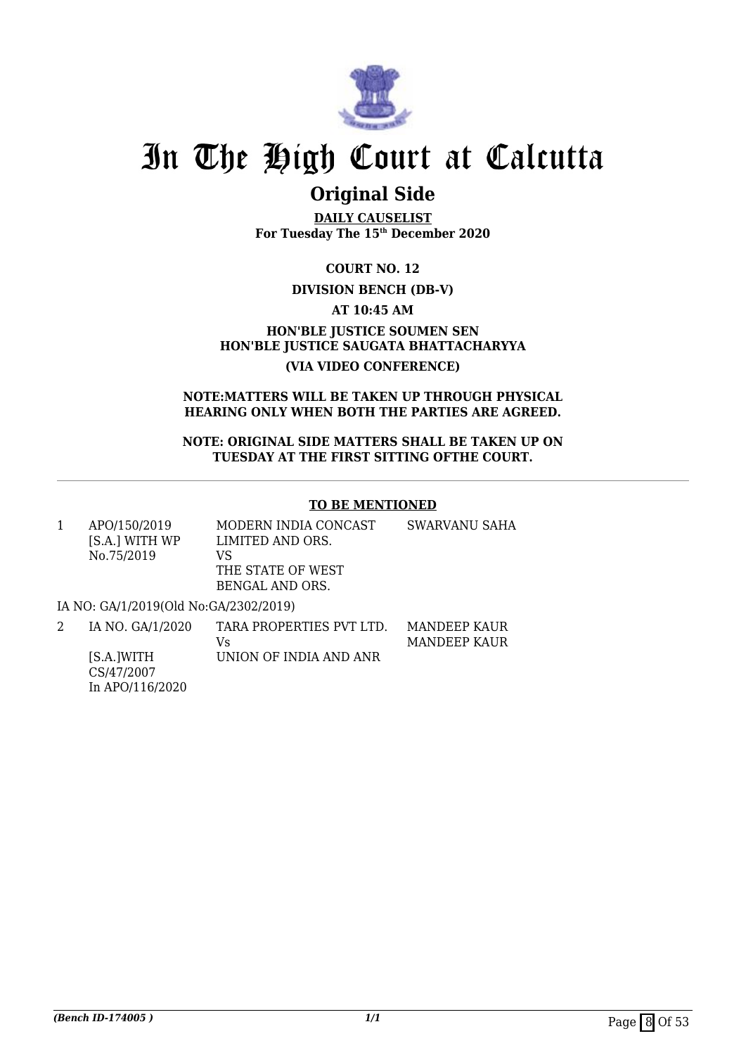

## **Original Side**

**DAILY CAUSELIST For Tuesday The 15th December 2020**

**COURT NO. 12**

### **DIVISION BENCH (DB-V)**

**AT 10:45 AM**

**HON'BLE JUSTICE SOUMEN SEN HON'BLE JUSTICE SAUGATA BHATTACHARYYA (VIA VIDEO CONFERENCE)**

### **NOTE:MATTERS WILL BE TAKEN UP THROUGH PHYSICAL HEARING ONLY WHEN BOTH THE PARTIES ARE AGREED.**

**NOTE: ORIGINAL SIDE MATTERS SHALL BE TAKEN UP ON TUESDAY AT THE FIRST SITTING OFTHE COURT.**

### **TO BE MENTIONED**

| APO/150/2019   | MODERN INDIA CONCAST | SWARVANU SAHA |
|----------------|----------------------|---------------|
| [S.A.] WITH WP | LIMITED AND ORS.     |               |
| No.75/2019     | VS                   |               |
|                | THE STATE OF WEST    |               |
|                | BENGAL AND ORS.      |               |
|                |                      |               |

IA NO: GA/1/2019(Old No:GA/2302/2019)

| IA NO. GA/1/2020 | TARA PROPERTIES PVT LTD. | MANDEEP KAUR |
|------------------|--------------------------|--------------|
|                  | Vs                       | MANDEEP KAUR |
| [S.A.]WITH       | UNION OF INDIA AND ANR   |              |
| CS/47/2007       |                          |              |
| In APO/116/2020  |                          |              |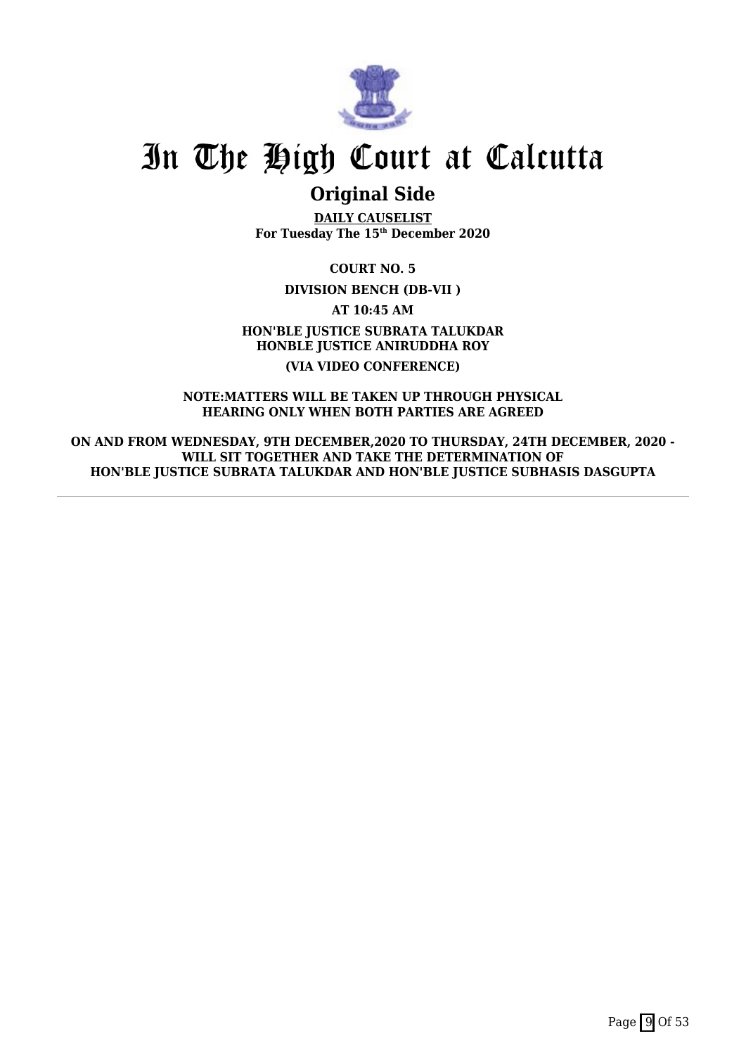

## **Original Side**

**DAILY CAUSELIST For Tuesday The 15th December 2020**

**COURT NO. 5**

**DIVISION BENCH (DB-VII )**

**AT 10:45 AM**

**HON'BLE JUSTICE SUBRATA TALUKDAR HONBLE JUSTICE ANIRUDDHA ROY (VIA VIDEO CONFERENCE)**

**NOTE:MATTERS WILL BE TAKEN UP THROUGH PHYSICAL HEARING ONLY WHEN BOTH PARTIES ARE AGREED**

**ON AND FROM WEDNESDAY, 9TH DECEMBER,2020 TO THURSDAY, 24TH DECEMBER, 2020 - WILL SIT TOGETHER AND TAKE THE DETERMINATION OF HON'BLE JUSTICE SUBRATA TALUKDAR AND HON'BLE JUSTICE SUBHASIS DASGUPTA**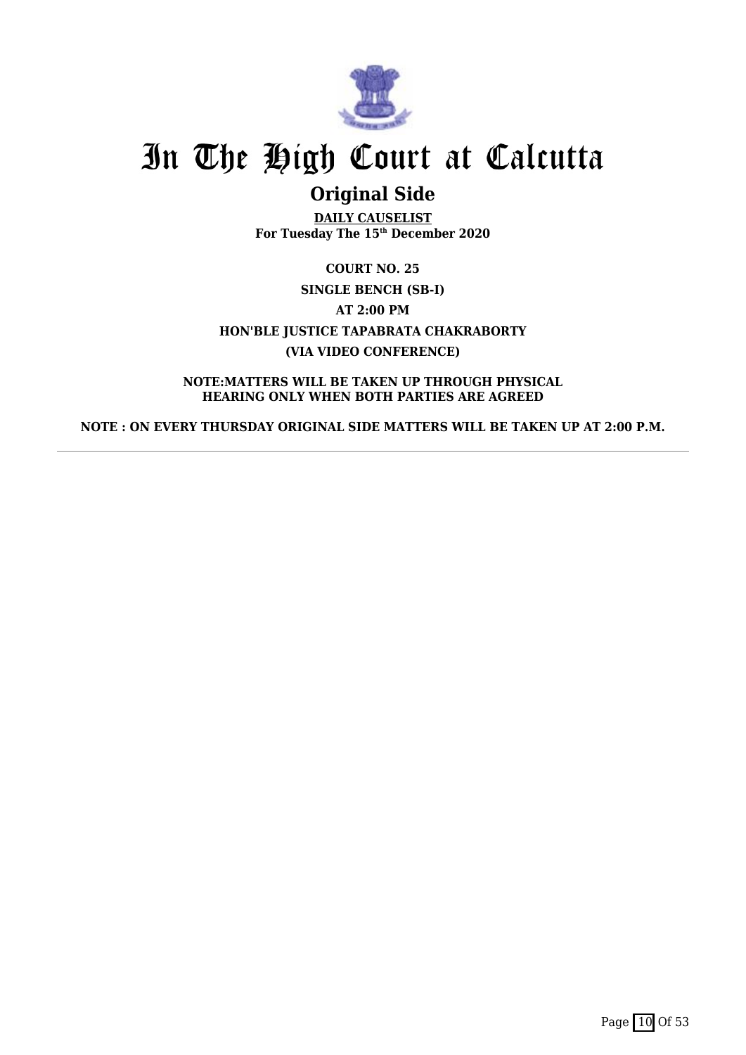

# **Original Side**

**DAILY CAUSELIST For Tuesday The 15th December 2020**

**COURT NO. 25 SINGLE BENCH (SB-I) AT 2:00 PM HON'BLE JUSTICE TAPABRATA CHAKRABORTY (VIA VIDEO CONFERENCE)**

**NOTE:MATTERS WILL BE TAKEN UP THROUGH PHYSICAL HEARING ONLY WHEN BOTH PARTIES ARE AGREED**

**NOTE : ON EVERY THURSDAY ORIGINAL SIDE MATTERS WILL BE TAKEN UP AT 2:00 P.M.**

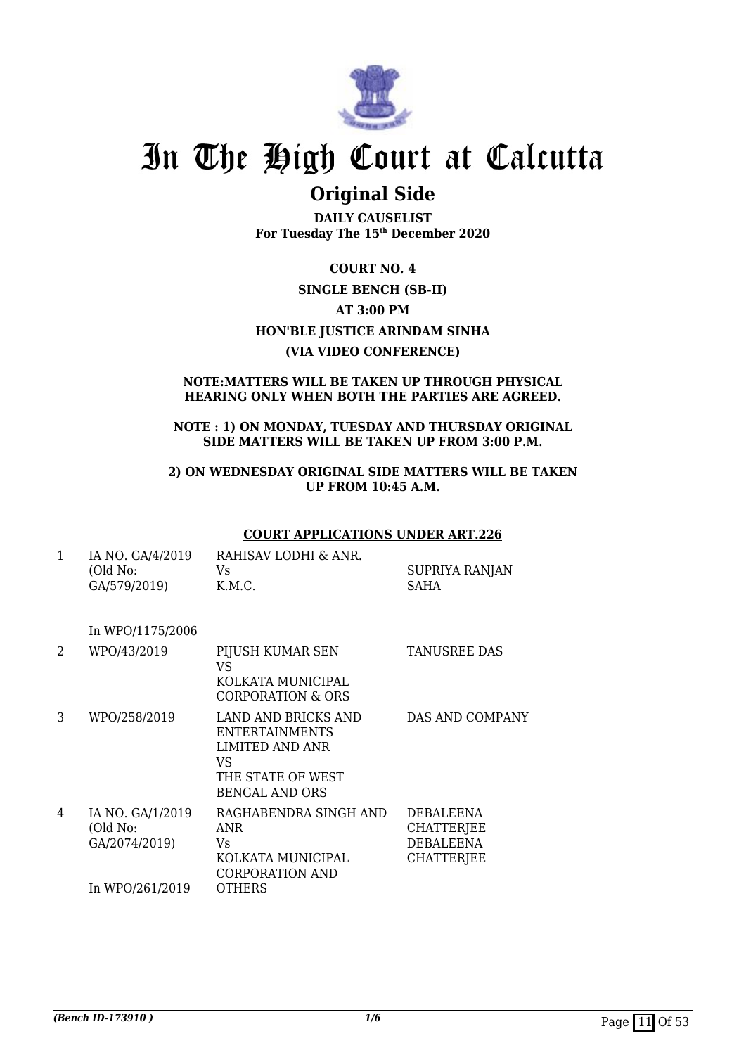

## **Original Side**

**DAILY CAUSELIST For Tuesday The 15th December 2020**

**COURT NO. 4 SINGLE BENCH (SB-II) AT 3:00 PM HON'BLE JUSTICE ARINDAM SINHA (VIA VIDEO CONFERENCE)**

### **NOTE:MATTERS WILL BE TAKEN UP THROUGH PHYSICAL HEARING ONLY WHEN BOTH THE PARTIES ARE AGREED.**

### **NOTE : 1) ON MONDAY, TUESDAY AND THURSDAY ORIGINAL SIDE MATTERS WILL BE TAKEN UP FROM 3:00 P.M.**

**2) ON WEDNESDAY ORIGINAL SIDE MATTERS WILL BE TAKEN UP FROM 10:45 A.M.**

### **COURT APPLICATIONS UNDER ART.226**

| IA NO. GA/4/2019 | RAHISAV LODHI & ANR. |                |
|------------------|----------------------|----------------|
| (Old No:         | Vs.                  | SUPRIYA RANJAN |
| GA/579/2019)     | K.M.C.               | SAHA           |

In WPO/1175/2006

| 2 | WPO/43/2019                                   | PIJUSH KUMAR SEN<br>VS                                                                                              | <b>TANUSREE DAS</b>                                                            |
|---|-----------------------------------------------|---------------------------------------------------------------------------------------------------------------------|--------------------------------------------------------------------------------|
|   |                                               | KOLKATA MUNICIPAL<br>CORPORATION & ORS                                                                              |                                                                                |
| 3 | WPO/258/2019                                  | LAND AND BRICKS AND<br><b>ENTERTAINMENTS</b><br>LIMITED AND ANR<br>VS<br>THE STATE OF WEST<br><b>BENGAL AND ORS</b> | DAS AND COMPANY                                                                |
| 4 | IA NO. GA/1/2019<br>(Old No:<br>GA/2074/2019) | RAGHABENDRA SINGH AND<br><b>ANR</b><br>Vs.<br>KOLKATA MUNICIPAL<br>CORPORATION AND                                  | <b>DEBALEENA</b><br><b>CHATTERJEE</b><br><b>DEBALEENA</b><br><b>CHATTERJEE</b> |
|   | In WPO/261/2019                               | <b>OTHERS</b>                                                                                                       |                                                                                |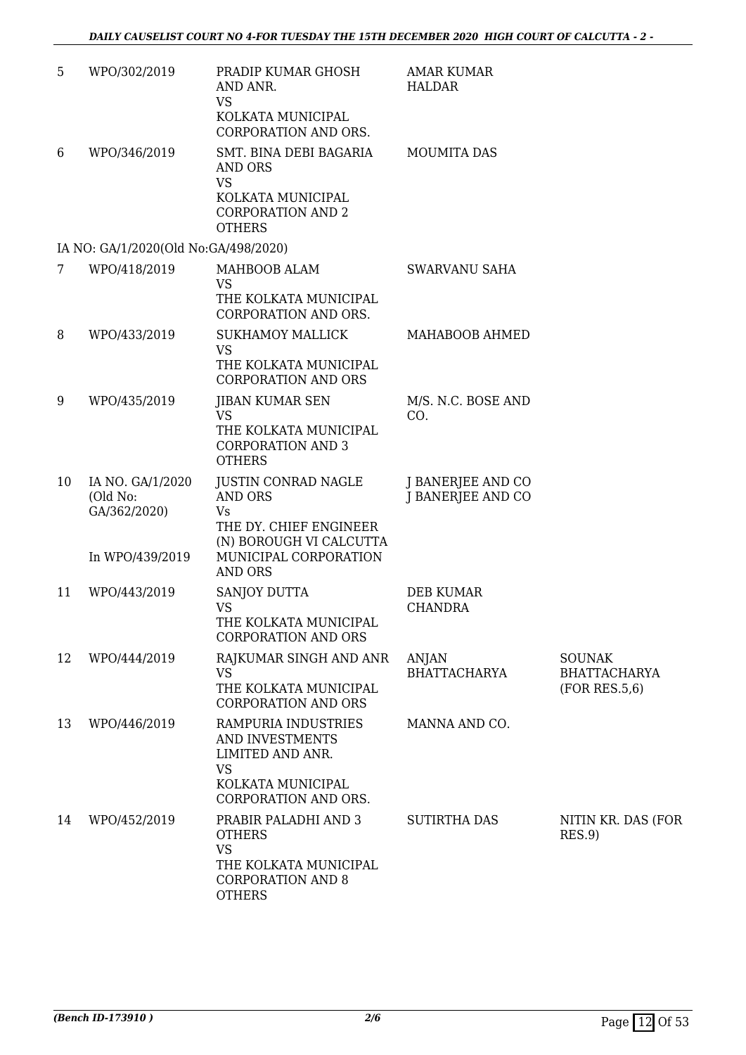| 5  | WPO/302/2019                                                    | PRADIP KUMAR GHOSH<br>AND ANR.<br><b>VS</b><br>KOLKATA MUNICIPAL                                                                         | <b>AMAR KUMAR</b><br><b>HALDAR</b>     |                                                       |
|----|-----------------------------------------------------------------|------------------------------------------------------------------------------------------------------------------------------------------|----------------------------------------|-------------------------------------------------------|
| 6  | WPO/346/2019                                                    | CORPORATION AND ORS.<br>SMT. BINA DEBI BAGARIA<br>AND ORS<br><b>VS</b><br>KOLKATA MUNICIPAL<br><b>CORPORATION AND 2</b><br><b>OTHERS</b> | <b>MOUMITA DAS</b>                     |                                                       |
|    | IA NO: GA/1/2020(Old No:GA/498/2020)                            |                                                                                                                                          |                                        |                                                       |
| 7  | WPO/418/2019                                                    | MAHBOOB ALAM<br><b>VS</b><br>THE KOLKATA MUNICIPAL<br><b>CORPORATION AND ORS.</b>                                                        | SWARVANU SAHA                          |                                                       |
| 8  | WPO/433/2019                                                    | <b>SUKHAMOY MALLICK</b><br><b>VS</b><br>THE KOLKATA MUNICIPAL<br><b>CORPORATION AND ORS</b>                                              | MAHABOOB AHMED                         |                                                       |
| 9  | WPO/435/2019                                                    | JIBAN KUMAR SEN<br><b>VS</b><br>THE KOLKATA MUNICIPAL<br><b>CORPORATION AND 3</b><br><b>OTHERS</b>                                       | M/S. N.C. BOSE AND<br>CO.              |                                                       |
| 10 | IA NO. GA/1/2020<br>(Old No:<br>GA/362/2020)<br>In WPO/439/2019 | JUSTIN CONRAD NAGLE<br><b>AND ORS</b><br><b>Vs</b><br>THE DY. CHIEF ENGINEER<br>(N) BOROUGH VI CALCUTTA<br>MUNICIPAL CORPORATION         | J BANERJEE AND CO<br>J BANERJEE AND CO |                                                       |
|    |                                                                 | <b>AND ORS</b>                                                                                                                           |                                        |                                                       |
| 11 | WPO/443/2019                                                    | <b>SANJOY DUTTA</b><br><b>VS</b><br>THE KOLKATA MUNICIPAL<br><b>CORPORATION AND ORS</b>                                                  | <b>DEB KUMAR</b><br><b>CHANDRA</b>     |                                                       |
| 12 | WPO/444/2019                                                    | RAJKUMAR SINGH AND ANR<br><b>VS</b><br>THE KOLKATA MUNICIPAL<br><b>CORPORATION AND ORS</b>                                               | <b>ANJAN</b><br><b>BHATTACHARYA</b>    | <b>SOUNAK</b><br><b>BHATTACHARYA</b><br>(FOR RES.5,6) |
| 13 | WPO/446/2019                                                    | RAMPURIA INDUSTRIES<br>AND INVESTMENTS<br>LIMITED AND ANR.<br><b>VS</b><br>KOLKATA MUNICIPAL<br>CORPORATION AND ORS.                     | MANNA AND CO.                          |                                                       |
| 14 | WPO/452/2019                                                    | PRABIR PALADHI AND 3<br><b>OTHERS</b><br><b>VS</b><br>THE KOLKATA MUNICIPAL<br><b>CORPORATION AND 8</b><br><b>OTHERS</b>                 | <b>SUTIRTHA DAS</b>                    | NITIN KR. DAS (FOR<br>RES.9                           |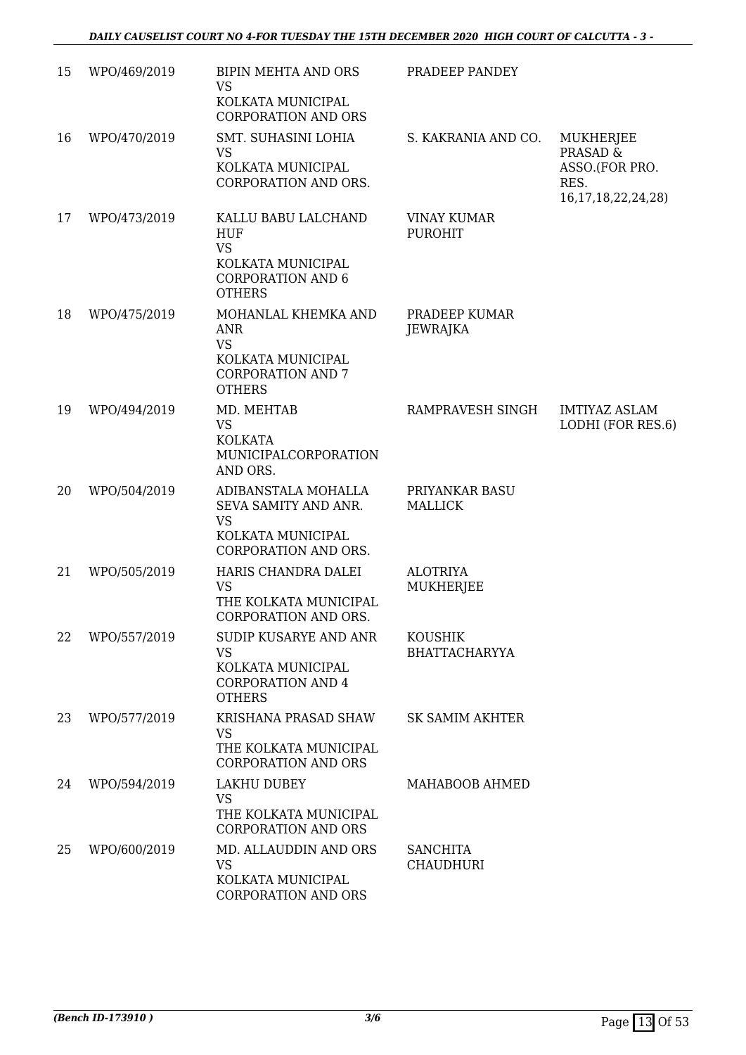| 15 | WPO/469/2019 | <b>BIPIN MEHTA AND ORS</b><br><b>VS</b>                                                                          | PRADEEP PANDEY                         |                                              |
|----|--------------|------------------------------------------------------------------------------------------------------------------|----------------------------------------|----------------------------------------------|
|    |              | KOLKATA MUNICIPAL<br><b>CORPORATION AND ORS</b>                                                                  |                                        |                                              |
| 16 | WPO/470/2019 | SMT. SUHASINI LOHIA<br><b>VS</b>                                                                                 | S. KAKRANIA AND CO.                    | MUKHERJEE<br>PRASAD &                        |
|    |              | KOLKATA MUNICIPAL<br>CORPORATION AND ORS.                                                                        |                                        | ASSO.(FOR PRO.<br>RES.<br>16,17,18,22,24,28) |
| 17 | WPO/473/2019 | KALLU BABU LALCHAND                                                                                              | VINAY KUMAR                            |                                              |
|    |              | HUF<br><b>VS</b><br>KOLKATA MUNICIPAL<br><b>CORPORATION AND 6</b>                                                | <b>PUROHIT</b>                         |                                              |
|    |              | <b>OTHERS</b>                                                                                                    |                                        |                                              |
| 18 | WPO/475/2019 | MOHANLAL KHEMKA AND<br><b>ANR</b><br><b>VS</b><br>KOLKATA MUNICIPAL<br><b>CORPORATION AND 7</b><br><b>OTHERS</b> | PRADEEP KUMAR<br><b>JEWRAJKA</b>       |                                              |
| 19 | WPO/494/2019 | MD. MEHTAB                                                                                                       | RAMPRAVESH SINGH                       | <b>IMTIYAZ ASLAM</b>                         |
|    |              | <b>VS</b><br><b>KOLKATA</b><br>MUNICIPALCORPORATION<br>AND ORS.                                                  |                                        | LODHI (FOR RES.6)                            |
| 20 | WPO/504/2019 | ADIBANSTALA MOHALLA<br>SEVA SAMITY AND ANR.<br><b>VS</b><br>KOLKATA MUNICIPAL                                    | PRIYANKAR BASU<br><b>MALLICK</b>       |                                              |
|    |              | CORPORATION AND ORS.                                                                                             |                                        |                                              |
| 21 | WPO/505/2019 | HARIS CHANDRA DALEI<br><b>VS</b><br>THE KOLKATA MUNICIPAL<br>CORPORATION AND ORS.                                | <b>ALOTRIYA</b><br><b>MUKHERJEE</b>    |                                              |
| 22 | WPO/557/2019 | SUDIP KUSARYE AND ANR<br><b>VS</b>                                                                               | <b>KOUSHIK</b><br><b>BHATTACHARYYA</b> |                                              |
|    |              | KOLKATA MUNICIPAL<br><b>CORPORATION AND 4</b><br><b>OTHERS</b>                                                   |                                        |                                              |
| 23 | WPO/577/2019 | KRISHANA PRASAD SHAW<br><b>VS</b><br>THE KOLKATA MUNICIPAL<br><b>CORPORATION AND ORS</b>                         | SK SAMIM AKHTER                        |                                              |
| 24 | WPO/594/2019 | LAKHU DUBEY<br><b>VS</b><br>THE KOLKATA MUNICIPAL<br><b>CORPORATION AND ORS</b>                                  | MAHABOOB AHMED                         |                                              |
| 25 | WPO/600/2019 | MD. ALLAUDDIN AND ORS<br><b>VS</b><br>KOLKATA MUNICIPAL<br><b>CORPORATION AND ORS</b>                            | <b>SANCHITA</b><br><b>CHAUDHURI</b>    |                                              |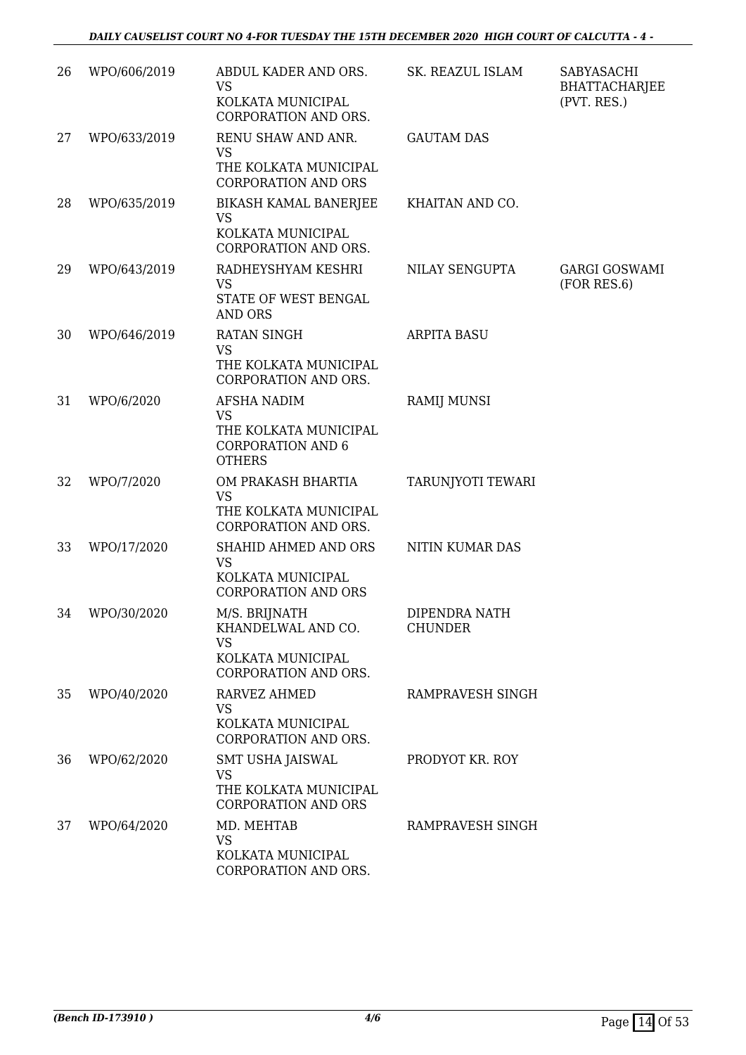| 26 | WPO/606/2019 | ABDUL KADER AND ORS.<br><b>VS</b>                                  | SK. REAZUL ISLAM                | SABYASACHI<br><b>BHATTACHARJEE</b>  |
|----|--------------|--------------------------------------------------------------------|---------------------------------|-------------------------------------|
|    |              | KOLKATA MUNICIPAL<br>CORPORATION AND ORS.                          |                                 | (PVT. RES.)                         |
| 27 | WPO/633/2019 | RENU SHAW AND ANR.<br><b>VS</b>                                    | <b>GAUTAM DAS</b>               |                                     |
|    |              | THE KOLKATA MUNICIPAL<br><b>CORPORATION AND ORS</b>                |                                 |                                     |
| 28 | WPO/635/2019 | <b>BIKASH KAMAL BANERJEE</b><br>VS                                 | KHAITAN AND CO.                 |                                     |
|    |              | KOLKATA MUNICIPAL<br>CORPORATION AND ORS.                          |                                 |                                     |
| 29 | WPO/643/2019 | RADHEYSHYAM KESHRI<br><b>VS</b>                                    | NILAY SENGUPTA                  | <b>GARGI GOSWAMI</b><br>(FOR RES.6) |
|    |              | STATE OF WEST BENGAL<br><b>AND ORS</b>                             |                                 |                                     |
| 30 | WPO/646/2019 | <b>RATAN SINGH</b><br><b>VS</b>                                    | <b>ARPITA BASU</b>              |                                     |
|    |              | THE KOLKATA MUNICIPAL<br>CORPORATION AND ORS.                      |                                 |                                     |
| 31 | WPO/6/2020   | AFSHA NADIM<br><b>VS</b>                                           | RAMIJ MUNSI                     |                                     |
|    |              | THE KOLKATA MUNICIPAL<br><b>CORPORATION AND 6</b><br><b>OTHERS</b> |                                 |                                     |
| 32 | WPO/7/2020   | OM PRAKASH BHARTIA<br><b>VS</b>                                    | TARUNJYOTI TEWARI               |                                     |
|    |              | THE KOLKATA MUNICIPAL<br>CORPORATION AND ORS.                      |                                 |                                     |
| 33 | WPO/17/2020  | SHAHID AHMED AND ORS<br><b>VS</b>                                  | NITIN KUMAR DAS                 |                                     |
|    |              | KOLKATA MUNICIPAL<br><b>CORPORATION AND ORS</b>                    |                                 |                                     |
| 34 | WPO/30/2020  | M/S. BRIJNATH<br>KHANDELWAL AND CO.                                | DIPENDRA NATH<br><b>CHUNDER</b> |                                     |
|    |              | <b>VS</b><br>KOLKATA MUNICIPAL                                     |                                 |                                     |
|    |              | CORPORATION AND ORS.                                               |                                 |                                     |
| 35 | WPO/40/2020  | <b>RARVEZ AHMED</b><br><b>VS</b>                                   | RAMPRAVESH SINGH                |                                     |
|    |              | KOLKATA MUNICIPAL<br>CORPORATION AND ORS.                          |                                 |                                     |
| 36 | WPO/62/2020  | SMT USHA JAISWAL<br><b>VS</b>                                      | PRODYOT KR. ROY                 |                                     |
|    |              | THE KOLKATA MUNICIPAL<br><b>CORPORATION AND ORS</b>                |                                 |                                     |
| 37 | WPO/64/2020  | MD. MEHTAB<br><b>VS</b>                                            | RAMPRAVESH SINGH                |                                     |
|    |              | KOLKATA MUNICIPAL<br>CORPORATION AND ORS.                          |                                 |                                     |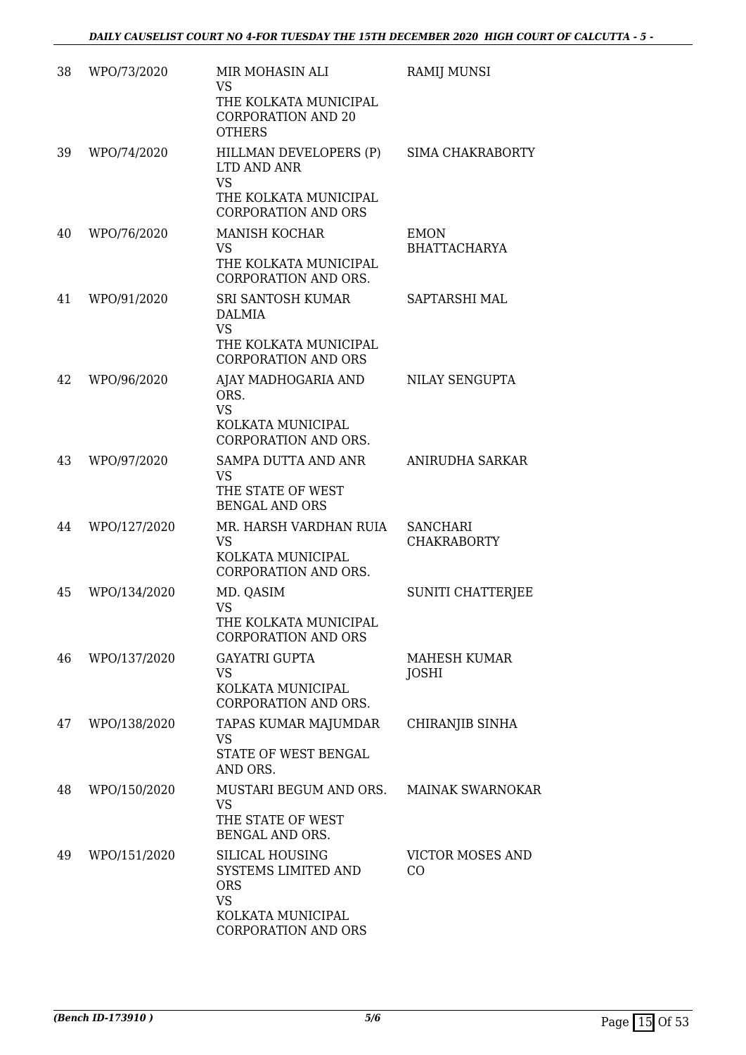| 38 | WPO/73/2020  | MIR MOHASIN ALI<br><b>VS</b><br>THE KOLKATA MUNICIPAL<br><b>CORPORATION AND 20</b><br><b>OTHERS</b>                  | RAMIJ MUNSI                           |
|----|--------------|----------------------------------------------------------------------------------------------------------------------|---------------------------------------|
| 39 | WPO/74/2020  | HILLMAN DEVELOPERS (P)<br>LTD AND ANR<br><b>VS</b><br>THE KOLKATA MUNICIPAL<br><b>CORPORATION AND ORS</b>            | <b>SIMA CHAKRABORTY</b>               |
| 40 | WPO/76/2020  | <b>MANISH KOCHAR</b><br>VS<br>THE KOLKATA MUNICIPAL<br>CORPORATION AND ORS.                                          | <b>EMON</b><br><b>BHATTACHARYA</b>    |
| 41 | WPO/91/2020  | SRI SANTOSH KUMAR<br><b>DALMIA</b><br><b>VS</b><br>THE KOLKATA MUNICIPAL<br><b>CORPORATION AND ORS</b>               | SAPTARSHI MAL                         |
| 42 | WPO/96/2020  | AJAY MADHOGARIA AND<br>ORS.<br><b>VS</b><br>KOLKATA MUNICIPAL<br>CORPORATION AND ORS.                                | NILAY SENGUPTA                        |
| 43 | WPO/97/2020  | SAMPA DUTTA AND ANR<br><b>VS</b><br>THE STATE OF WEST<br><b>BENGAL AND ORS</b>                                       | ANIRUDHA SARKAR                       |
| 44 | WPO/127/2020 | MR. HARSH VARDHAN RUIA<br><b>VS</b><br>KOLKATA MUNICIPAL<br><b>CORPORATION AND ORS.</b>                              | <b>SANCHARI</b><br><b>CHAKRABORTY</b> |
| 45 | WPO/134/2020 | MD. QASIM<br>VS<br>THE KOLKATA MUNICIPAL<br><b>CORPORATION AND ORS</b>                                               | SUNITI CHATTERJEE                     |
| 46 | WPO/137/2020 | <b>GAYATRI GUPTA</b><br><b>VS</b><br>KOLKATA MUNICIPAL<br>CORPORATION AND ORS.                                       | MAHESH KUMAR<br><b>JOSHI</b>          |
| 47 | WPO/138/2020 | TAPAS KUMAR MAJUMDAR<br><b>VS</b><br>STATE OF WEST BENGAL<br>AND ORS.                                                | CHIRANJIB SINHA                       |
| 48 | WPO/150/2020 | MUSTARI BEGUM AND ORS.<br><b>VS</b><br>THE STATE OF WEST<br>BENGAL AND ORS.                                          | <b>MAINAK SWARNOKAR</b>               |
| 49 | WPO/151/2020 | SILICAL HOUSING<br>SYSTEMS LIMITED AND<br><b>ORS</b><br><b>VS</b><br>KOLKATA MUNICIPAL<br><b>CORPORATION AND ORS</b> | <b>VICTOR MOSES AND</b><br>CO.        |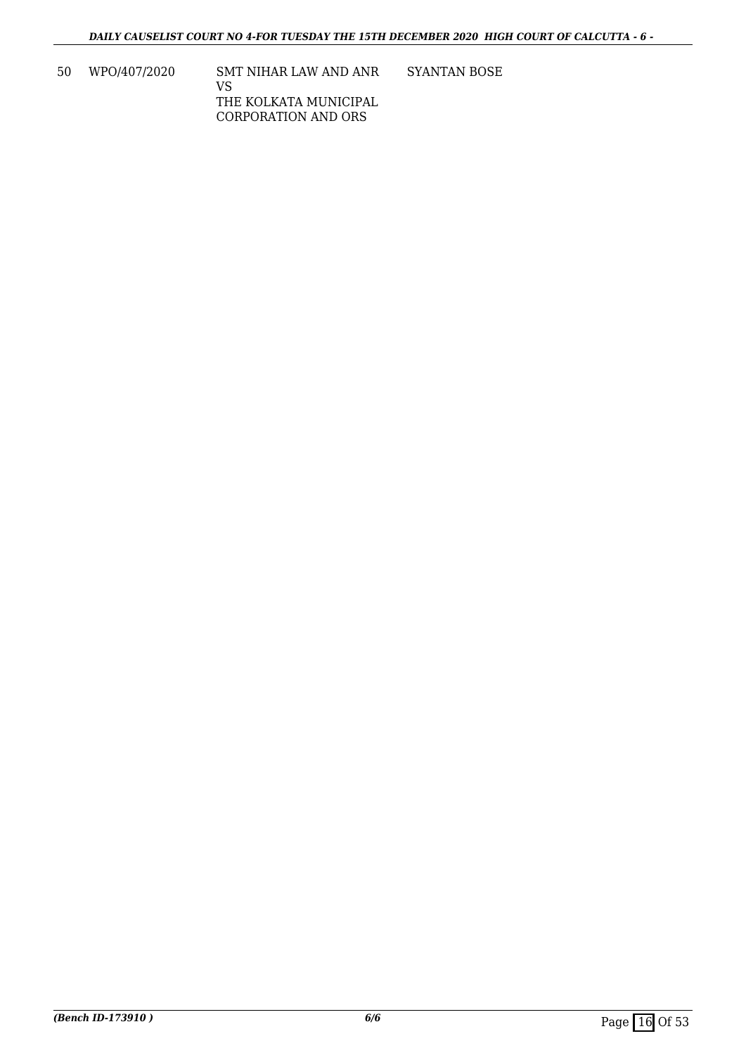50 WPO/407/2020 SMT NIHAR LAW AND ANR VS THE KOLKATA MUNICIPAL CORPORATION AND ORS SYANTAN BOSE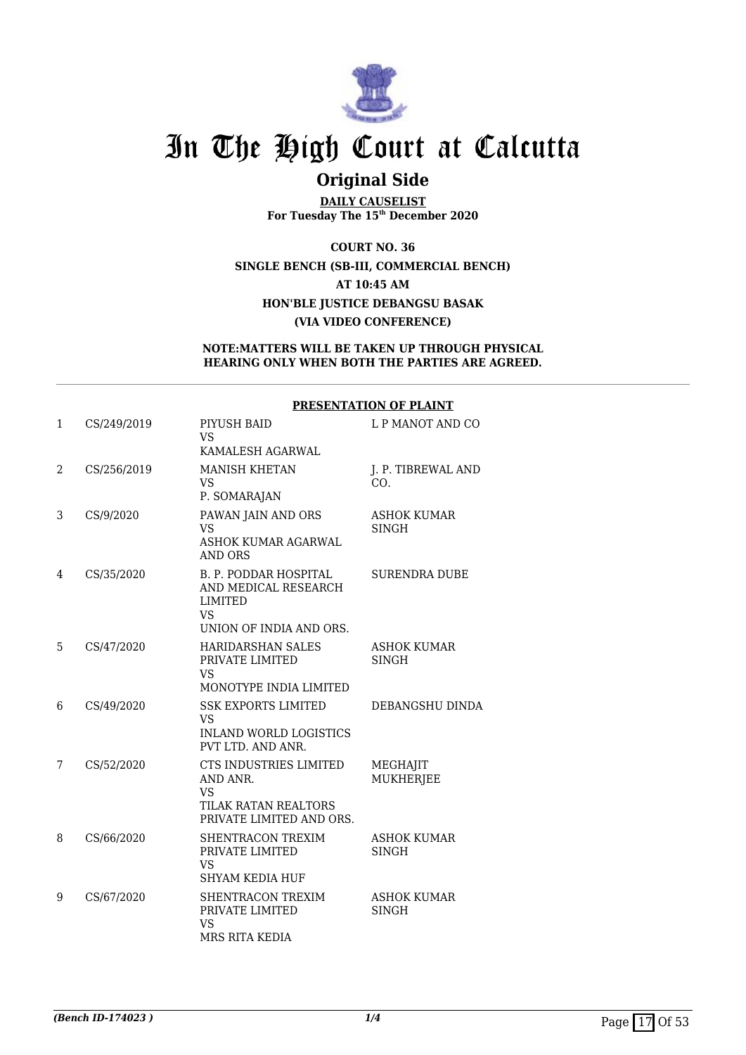

## **Original Side**

**DAILY CAUSELIST For Tuesday The 15th December 2020**

**COURT NO. 36 SINGLE BENCH (SB-III, COMMERCIAL BENCH) AT 10:45 AM HON'BLE JUSTICE DEBANGSU BASAK (VIA VIDEO CONFERENCE)**

**NOTE:MATTERS WILL BE TAKEN UP THROUGH PHYSICAL HEARING ONLY WHEN BOTH THE PARTIES ARE AGREED.**

#### **PRESENTATION OF PLAINT**

| 1 | CS/249/2019 | PIYUSH BAID<br><b>VS</b><br>KAMALESH AGARWAL                                                                   | L P MANOT AND CO                   |
|---|-------------|----------------------------------------------------------------------------------------------------------------|------------------------------------|
| 2 | CS/256/2019 | <b>MANISH KHETAN</b><br><b>VS</b><br>P. SOMARAJAN                                                              | J. P. TIBREWAL AND<br>CO.          |
| 3 | CS/9/2020   | PAWAN JAIN AND ORS<br>VS<br>ASHOK KUMAR AGARWAL<br><b>AND ORS</b>                                              | <b>ASHOK KUMAR</b><br><b>SINGH</b> |
| 4 | CS/35/2020  | <b>B. P. PODDAR HOSPITAL</b><br>AND MEDICAL RESEARCH<br><b>LIMITED</b><br><b>VS</b><br>UNION OF INDIA AND ORS. | <b>SURENDRA DUBE</b>               |
| 5 | CS/47/2020  | <b>HARIDARSHAN SALES</b><br>PRIVATE LIMITED<br><b>VS</b><br>MONOTYPE INDIA LIMITED                             | <b>ASHOK KUMAR</b><br><b>SINGH</b> |
| 6 | CS/49/2020  | <b>SSK EXPORTS LIMITED</b><br><b>VS</b><br><b>INLAND WORLD LOGISTICS</b><br>PVT LTD. AND ANR.                  | DEBANGSHU DINDA                    |
| 7 | CS/52/2020  | CTS INDUSTRIES LIMITED<br>AND ANR.<br><b>VS</b><br>TILAK RATAN REALTORS<br>PRIVATE LIMITED AND ORS.            | MEGHAJIT<br>MUKHERJEE              |
| 8 | CS/66/2020  | SHENTRACON TREXIM<br>PRIVATE LIMITED<br><b>VS</b><br><b>SHYAM KEDIA HUF</b>                                    | <b>ASHOK KUMAR</b><br><b>SINGH</b> |
| 9 | CS/67/2020  | SHENTRACON TREXIM<br>PRIVATE LIMITED<br><b>VS</b><br>MRS RITA KEDIA                                            | <b>ASHOK KUMAR</b><br><b>SINGH</b> |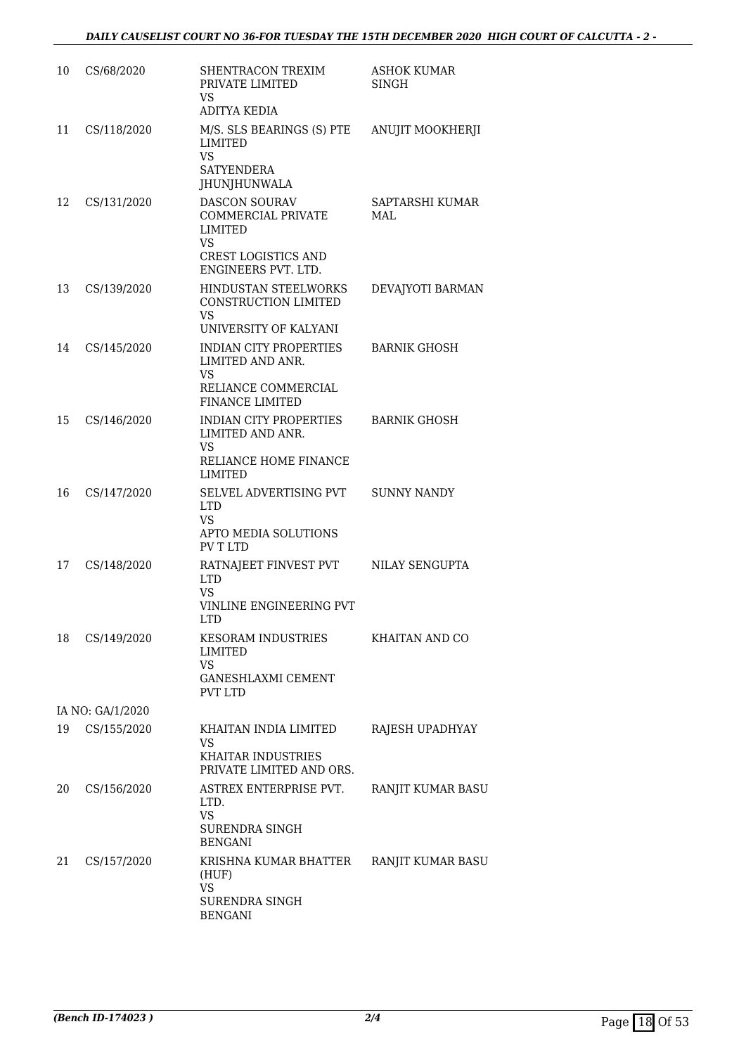| 10 | CS/68/2020       | SHENTRACON TREXIM<br>PRIVATE LIMITED<br>VS<br><b>ADITYA KEDIA</b>                                                       | <b>ASHOK KUMAR</b><br><b>SINGH</b> |
|----|------------------|-------------------------------------------------------------------------------------------------------------------------|------------------------------------|
| 11 | CS/118/2020      | M/S. SLS BEARINGS (S) PTE<br>LIMITED<br>VS.<br><b>SATYENDERA</b><br><b>JHUNJHUNWALA</b>                                 | ANUJIT MOOKHERJI                   |
| 12 | CS/131/2020      | <b>DASCON SOURAV</b><br><b>COMMERCIAL PRIVATE</b><br>LIMITED<br>VS<br><b>CREST LOGISTICS AND</b><br>ENGINEERS PVT. LTD. | SAPTARSHI KUMAR<br>MAL             |
| 13 | CS/139/2020      | HINDUSTAN STEELWORKS<br>CONSTRUCTION LIMITED<br>VS.<br>UNIVERSITY OF KALYANI                                            | DEVAJYOTI BARMAN                   |
| 14 | CS/145/2020      | <b>INDIAN CITY PROPERTIES</b><br>LIMITED AND ANR.<br>VS.<br>RELIANCE COMMERCIAL<br><b>FINANCE LIMITED</b>               | <b>BARNIK GHOSH</b>                |
| 15 | CS/146/2020      | INDIAN CITY PROPERTIES<br>LIMITED AND ANR.<br>VS<br>RELIANCE HOME FINANCE<br>LIMITED                                    | <b>BARNIK GHOSH</b>                |
| 16 | CS/147/2020      | SELVEL ADVERTISING PVT<br><b>LTD</b><br>VS<br>APTO MEDIA SOLUTIONS<br>PV T LTD                                          | <b>SUNNY NANDY</b>                 |
| 17 | CS/148/2020      | RATNAJEET FINVEST PVT<br><b>LTD</b><br>VS<br>VINLINE ENGINEERING PVT<br>LTD.                                            | NILAY SENGUPTA                     |
| 18 | CS/149/2020      | KESORAM INDUSTRIES<br>LIMITED<br><b>VS</b><br><b>GANESHLAXMI CEMENT</b><br><b>PVT LTD</b>                               | KHAITAN AND CO                     |
|    | IA NO: GA/1/2020 |                                                                                                                         |                                    |
| 19 | CS/155/2020      | KHAITAN INDIA LIMITED<br>VS<br><b>KHAITAR INDUSTRIES</b>                                                                | RAJESH UPADHYAY                    |
|    |                  | PRIVATE LIMITED AND ORS.                                                                                                |                                    |
| 20 | CS/156/2020      | ASTREX ENTERPRISE PVT.<br>LTD.<br><b>VS</b>                                                                             | RANJIT KUMAR BASU                  |
|    |                  | SURENDRA SINGH<br><b>BENGANI</b>                                                                                        |                                    |
| 21 | CS/157/2020      | KRISHNA KUMAR BHATTER<br>(HUF)<br><b>VS</b>                                                                             | RANJIT KUMAR BASU                  |
|    |                  | SURENDRA SINGH<br><b>BENGANI</b>                                                                                        |                                    |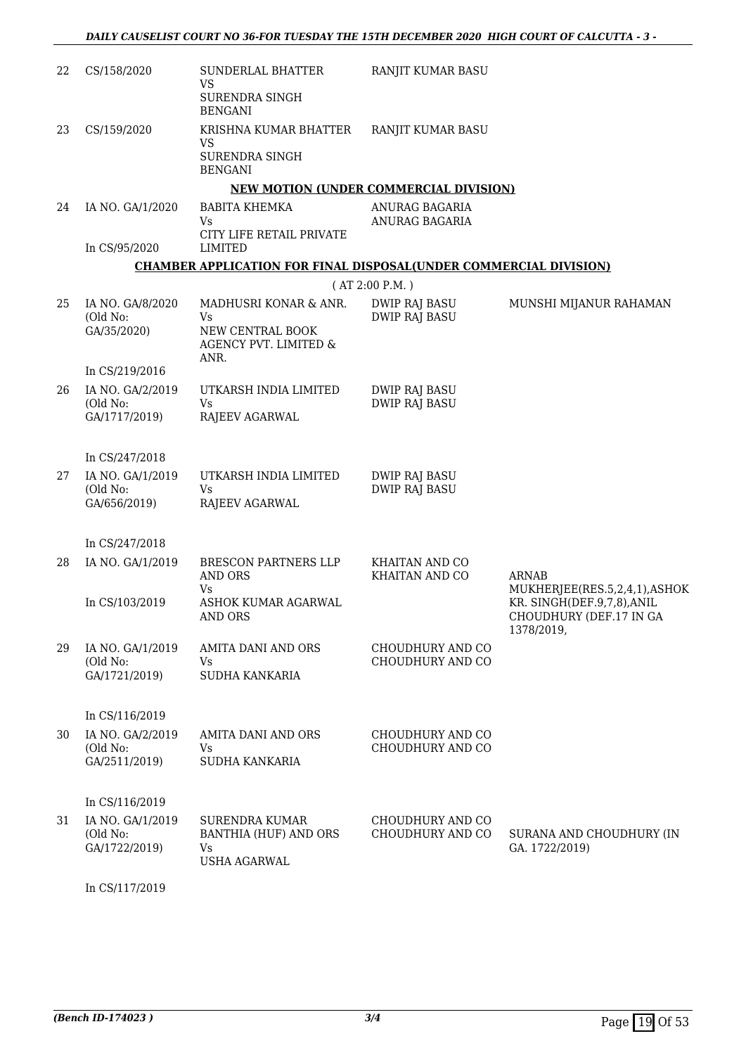| 22 | CS/158/2020                  | SUNDERLAL BHATTER<br>VS<br>SURENDRA SINGH                                | RANJIT KUMAR BASU                             |                                                            |
|----|------------------------------|--------------------------------------------------------------------------|-----------------------------------------------|------------------------------------------------------------|
| 23 | CS/159/2020                  | <b>BENGANI</b><br>KRISHNA KUMAR BHATTER                                  | RANJIT KUMAR BASU                             |                                                            |
|    |                              | VS<br>SURENDRA SINGH<br><b>BENGANI</b>                                   |                                               |                                                            |
|    |                              |                                                                          | <b>NEW MOTION (UNDER COMMERCIAL DIVISION)</b> |                                                            |
| 24 | IA NO. GA/1/2020             | BABITA KHEMKA<br>Vs                                                      | ANURAG BAGARIA<br>ANURAG BAGARIA              |                                                            |
|    | In CS/95/2020                | CITY LIFE RETAIL PRIVATE<br>LIMITED                                      |                                               |                                                            |
|    |                              | <b>CHAMBER APPLICATION FOR FINAL DISPOSAL(UNDER COMMERCIAL DIVISION)</b> |                                               |                                                            |
|    |                              |                                                                          | (AT 2:00 P.M.)                                |                                                            |
| 25 | IA NO. GA/8/2020<br>(Old No: | MADHUSRI KONAR & ANR.<br>Vs                                              | <b>DWIP RAJ BASU</b><br><b>DWIP RAJ BASU</b>  | MUNSHI MIJANUR RAHAMAN                                     |
|    | GA/35/2020)                  | NEW CENTRAL BOOK<br>AGENCY PVT. LIMITED &<br>ANR.                        |                                               |                                                            |
|    | In CS/219/2016               |                                                                          |                                               |                                                            |
| 26 | IA NO. GA/2/2019<br>(Old No: | UTKARSH INDIA LIMITED<br><b>Vs</b>                                       | <b>DWIP RAJ BASU</b><br><b>DWIP RAJ BASU</b>  |                                                            |
|    | GA/1717/2019)                | RAJEEV AGARWAL                                                           |                                               |                                                            |
|    | In CS/247/2018               |                                                                          |                                               |                                                            |
| 27 | IA NO. GA/1/2019<br>(Old No: | UTKARSH INDIA LIMITED<br>Vs                                              | <b>DWIP RAJ BASU</b><br><b>DWIP RAJ BASU</b>  |                                                            |
|    | GA/656/2019)                 | RAJEEV AGARWAL                                                           |                                               |                                                            |
|    | In CS/247/2018               |                                                                          |                                               |                                                            |
| 28 | IA NO. GA/1/2019             | BRESCON PARTNERS LLP<br><b>AND ORS</b>                                   | KHAITAN AND CO<br>KHAITAN AND CO              | <b>ARNAB</b>                                               |
|    | In CS/103/2019               | Vs<br>ASHOK KUMAR AGARWAL                                                |                                               | MUKHERJEE(RES.5,2,4,1),ASHOK<br>KR. SINGH(DEF.9,7,8), ANIL |
|    |                              | AND ORS                                                                  |                                               | CHOUDHURY (DEF.17 IN GA<br>1378/2019,                      |
| 29 | IA NO. GA/1/2019<br>(Old No: | AMITA DANI AND ORS<br>Vs                                                 | CHOUDHURY AND CO<br>CHOUDHURY AND CO          |                                                            |
|    | GA/1721/2019)                | SUDHA KANKARIA                                                           |                                               |                                                            |
|    | In CS/116/2019               |                                                                          |                                               |                                                            |
| 30 | IA NO. GA/2/2019<br>(Old No: | AMITA DANI AND ORS<br>Vs.                                                | CHOUDHURY AND CO<br>CHOUDHURY AND CO          |                                                            |
|    | GA/2511/2019)                | <b>SUDHA KANKARIA</b>                                                    |                                               |                                                            |
|    | In CS/116/2019               |                                                                          |                                               |                                                            |
| 31 | IA NO. GA/1/2019             | <b>SURENDRA KUMAR</b>                                                    | CHOUDHURY AND CO                              |                                                            |
|    | (Old No:<br>GA/1722/2019)    | <b>BANTHIA (HUF) AND ORS</b><br>Vs<br><b>USHA AGARWAL</b>                | CHOUDHURY AND CO                              | SURANA AND CHOUDHURY (IN<br>GA. 1722/2019)                 |
|    | In CS/117/2019               |                                                                          |                                               |                                                            |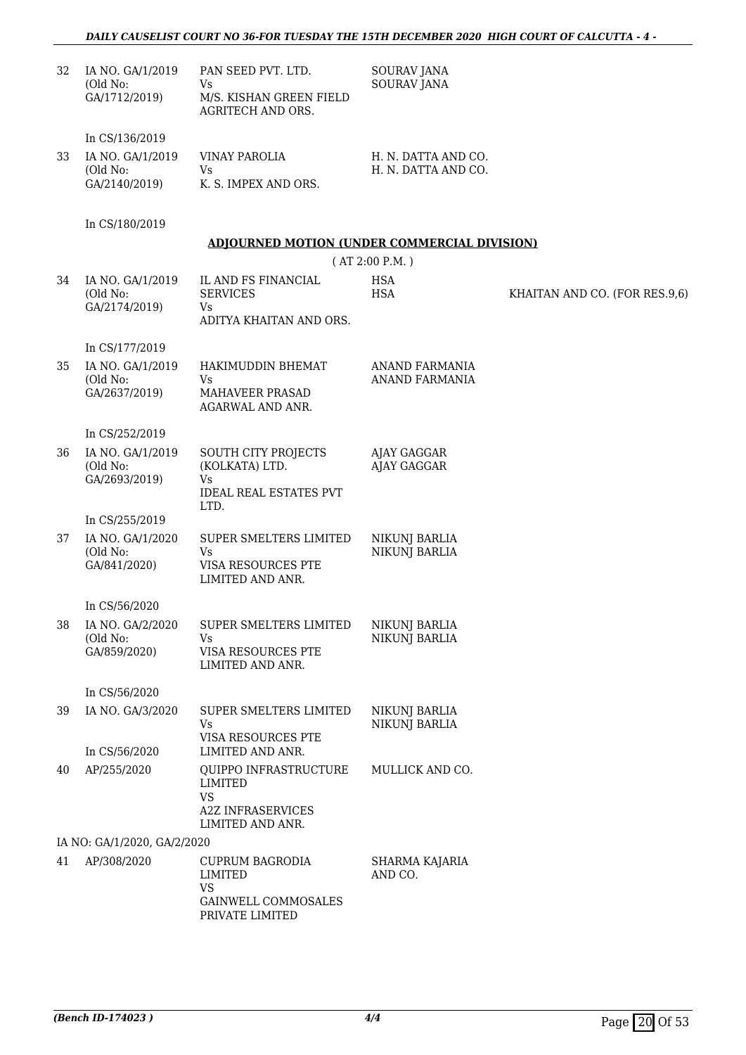### *DAILY CAUSELIST COURT NO 36-FOR TUESDAY THE 15TH DECEMBER 2020 HIGH COURT OF CALCUTTA - 4 -*

| 32 | IA NO. GA/1/2019<br>(Old No:<br>GA/1712/2019)                   | PAN SEED PVT. LTD.<br>Vs<br>M/S. KISHAN GREEN FIELD<br><b>AGRITECH AND ORS.</b>               | <b>SOURAV JANA</b><br><b>SOURAV JANA</b>       |                               |
|----|-----------------------------------------------------------------|-----------------------------------------------------------------------------------------------|------------------------------------------------|-------------------------------|
| 33 | In CS/136/2019<br>IA NO. GA/1/2019<br>(Old No:<br>GA/2140/2019) | <b>VINAY PAROLIA</b><br><b>Vs</b><br>K. S. IMPEX AND ORS.                                     | H. N. DATTA AND CO.<br>H. N. DATTA AND CO.     |                               |
|    | In CS/180/2019                                                  |                                                                                               |                                                |                               |
|    |                                                                 | <b>ADJOURNED MOTION (UNDER COMMERCIAL DIVISION)</b>                                           | (AT 2:00 P.M.)                                 |                               |
| 34 | IA NO. GA/1/2019<br>(Old No:<br>GA/2174/2019)                   | IL AND FS FINANCIAL<br><b>SERVICES</b><br><b>Vs</b><br>ADITYA KHAITAN AND ORS.                | <b>HSA</b><br><b>HSA</b>                       | KHAITAN AND CO. (FOR RES.9,6) |
|    | In CS/177/2019                                                  |                                                                                               |                                                |                               |
| 35 | IA NO. GA/1/2019<br>(Old No:<br>GA/2637/2019)                   | HAKIMUDDIN BHEMAT<br>Vs<br>MAHAVEER PRASAD<br>AGARWAL AND ANR.                                | <b>ANAND FARMANIA</b><br><b>ANAND FARMANIA</b> |                               |
|    | In CS/252/2019                                                  |                                                                                               |                                                |                               |
| 36 | IA NO. GA/1/2019<br>(Old No:<br>GA/2693/2019)                   | SOUTH CITY PROJECTS<br>(KOLKATA) LTD.<br>Vs<br><b>IDEAL REAL ESTATES PVT</b><br>LTD.          | AJAY GAGGAR<br><b>AJAY GAGGAR</b>              |                               |
|    | In CS/255/2019                                                  |                                                                                               |                                                |                               |
| 37 | IA NO. GA/1/2020<br>(Old No:<br>GA/841/2020)                    | SUPER SMELTERS LIMITED<br>Vs<br>VISA RESOURCES PTE<br>LIMITED AND ANR.                        | NIKUNJ BARLIA<br><b>NIKUNJ BARLIA</b>          |                               |
|    | In CS/56/2020                                                   |                                                                                               |                                                |                               |
| 38 | IA NO. GA/2/2020<br>(Old No:<br>GA/859/2020)                    | SUPER SMELTERS LIMITED<br><b>Vs</b><br>VISA RESOURCES PTE<br>LIMITED AND ANR.                 | NIKUNJ BARLIA<br><b>NIKUNJ BARLIA</b>          |                               |
|    | In CS/56/2020                                                   |                                                                                               |                                                |                               |
| 39 | IA NO. GA/3/2020                                                | SUPER SMELTERS LIMITED<br>Vs<br>VISA RESOURCES PTE                                            | NIKUNJ BARLIA<br><b>NIKUNJ BARLIA</b>          |                               |
|    | In CS/56/2020                                                   | LIMITED AND ANR.                                                                              |                                                |                               |
| 40 | AP/255/2020                                                     | QUIPPO INFRASTRUCTURE<br>LIMITED<br><b>VS</b><br><b>A2Z INFRASERVICES</b><br>LIMITED AND ANR. | MULLICK AND CO.                                |                               |
|    | IA NO: GA/1/2020, GA/2/2020                                     |                                                                                               |                                                |                               |
| 41 | AP/308/2020                                                     | <b>CUPRUM BAGRODIA</b><br>LIMITED<br><b>VS</b><br>GAINWELL COMMOSALES<br>PRIVATE LIMITED      | SHARMA KAJARIA<br>AND CO.                      |                               |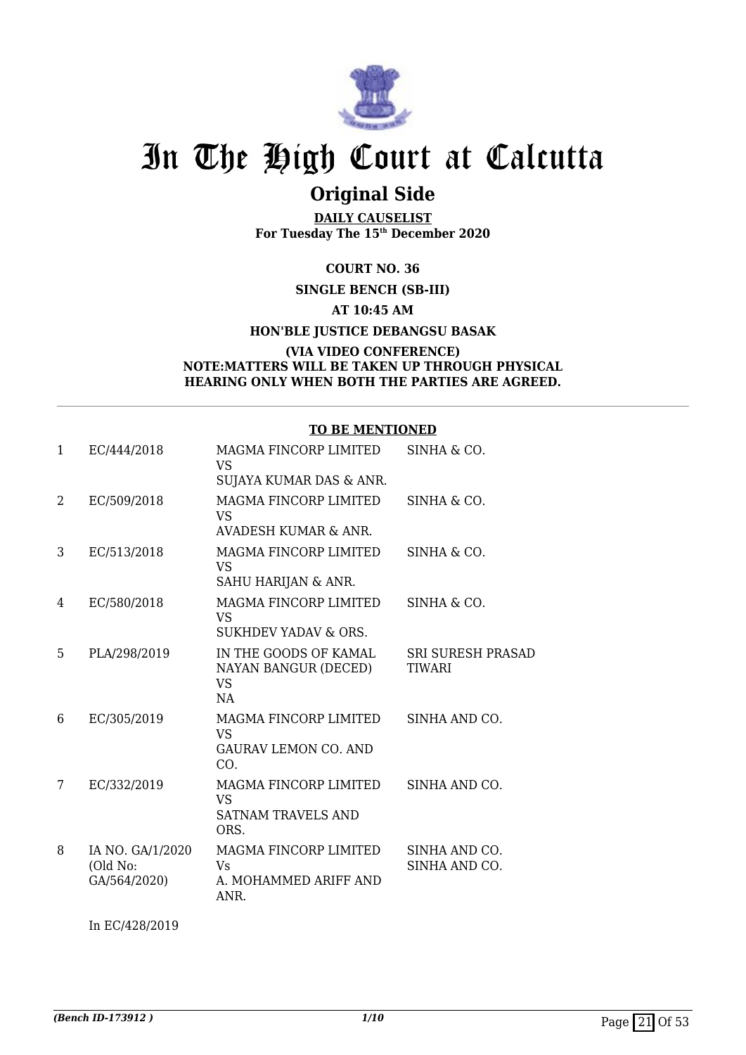

## **Original Side**

**DAILY CAUSELIST For Tuesday The 15th December 2020**

**COURT NO. 36**

**SINGLE BENCH (SB-III)**

**AT 10:45 AM**

**HON'BLE JUSTICE DEBANGSU BASAK**

#### **(VIA VIDEO CONFERENCE) NOTE:MATTERS WILL BE TAKEN UP THROUGH PHYSICAL HEARING ONLY WHEN BOTH THE PARTIES ARE AGREED.**

### **TO BE MENTIONED**

| 1 | EC/444/2018                                  | MAGMA FINCORP LIMITED<br><b>VS</b><br>SUJAYA KUMAR DAS & ANR.           | SINHA & CO.                        |
|---|----------------------------------------------|-------------------------------------------------------------------------|------------------------------------|
| 2 | EC/509/2018                                  | MAGMA FINCORP LIMITED<br>VS<br>AVADESH KUMAR & ANR.                     | SINHA & CO.                        |
| 3 | EC/513/2018                                  | MAGMA FINCORP LIMITED<br>VS<br>SAHU HARIJAN & ANR.                      | SINHA & CO.                        |
| 4 | EC/580/2018                                  | MAGMA FINCORP LIMITED<br>VS<br>SUKHDEV YADAV & ORS.                     | SINHA & CO.                        |
| 5 | PLA/298/2019                                 | IN THE GOODS OF KAMAL<br>NAYAN BANGUR (DECED)<br><b>VS</b><br>NA        | <b>SRI SURESH PRASAD</b><br>TIWARI |
| 6 | EC/305/2019                                  | MAGMA FINCORP LIMITED<br>VS.<br><b>GAURAV LEMON CO. AND</b><br>CO.      | SINHA AND CO.                      |
| 7 | EC/332/2019                                  | MAGMA FINCORP LIMITED<br><b>VS</b><br><b>SATNAM TRAVELS AND</b><br>ORS. | SINHA AND CO.                      |
| 8 | IA NO. GA/1/2020<br>(Old No:<br>GA/564/2020) | <b>MAGMA FINCORP LIMITED</b><br>Vs<br>A. MOHAMMED ARIFF AND<br>ANR.     | SINHA AND CO.<br>SINHA AND CO.     |
|   |                                              |                                                                         |                                    |

In EC/428/2019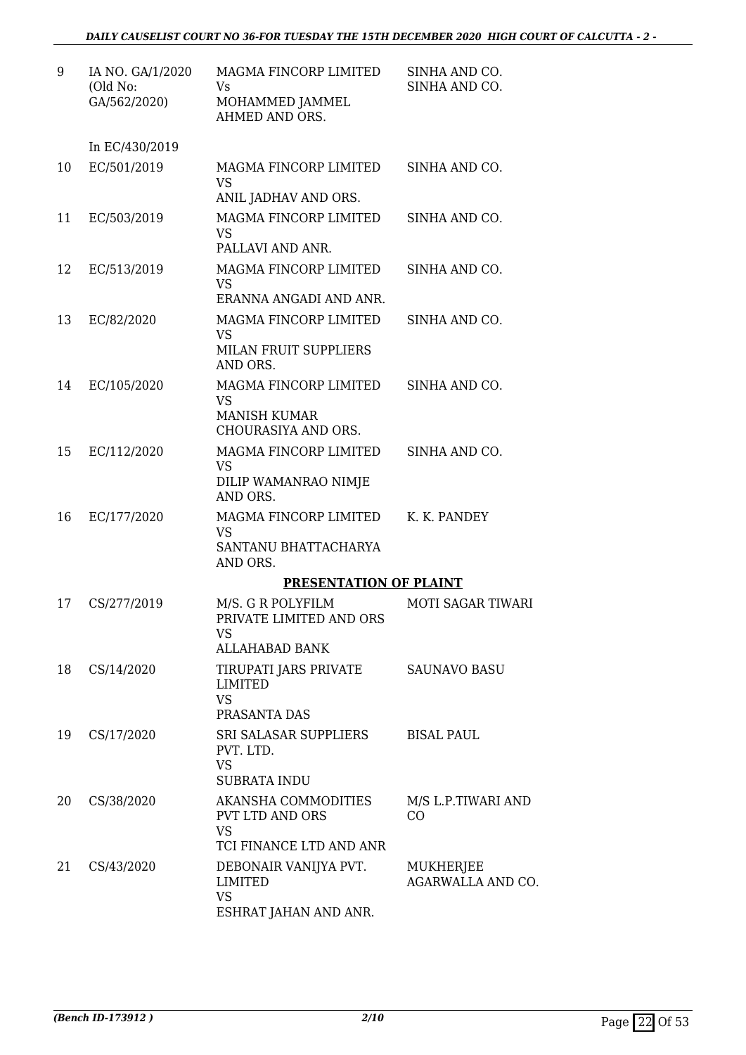| 9  | IA NO. GA/1/2020<br>(Old No:<br>GA/562/2020) | MAGMA FINCORP LIMITED<br>Vs<br>MOHAMMED JAMMEL<br>AHMED AND ORS.                      | SINHA AND CO.<br>SINHA AND CO. |
|----|----------------------------------------------|---------------------------------------------------------------------------------------|--------------------------------|
|    | In EC/430/2019                               |                                                                                       |                                |
| 10 | EC/501/2019                                  | MAGMA FINCORP LIMITED<br><b>VS</b><br>ANIL JADHAV AND ORS.                            | SINHA AND CO.                  |
| 11 | EC/503/2019                                  | MAGMA FINCORP LIMITED<br><b>VS</b><br>PALLAVI AND ANR.                                | SINHA AND CO.                  |
| 12 | EC/513/2019                                  | MAGMA FINCORP LIMITED<br><b>VS</b><br>ERANNA ANGADI AND ANR.                          | SINHA AND CO.                  |
| 13 | EC/82/2020                                   | MAGMA FINCORP LIMITED<br><b>VS</b><br><b>MILAN FRUIT SUPPLIERS</b><br>AND ORS.        | SINHA AND CO.                  |
| 14 | EC/105/2020                                  | MAGMA FINCORP LIMITED<br><b>VS</b><br><b>MANISH KUMAR</b><br>CHOURASIYA AND ORS.      | SINHA AND CO.                  |
| 15 | EC/112/2020                                  | MAGMA FINCORP LIMITED<br><b>VS</b><br>DILIP WAMANRAO NIMJE<br>AND ORS.                | SINHA AND CO.                  |
| 16 | EC/177/2020                                  | MAGMA FINCORP LIMITED<br><b>VS</b><br>SANTANU BHATTACHARYA<br>AND ORS.                | K. K. PANDEY                   |
|    |                                              | <b>PRESENTATION OF PLAINT</b>                                                         |                                |
| 17 | CS/277/2019                                  | M/S. G R POLYFILM<br>PRIVATE LIMITED AND ORS<br>VS                                    | <b>MOTI SAGAR TIWARI</b>       |
|    |                                              | <b>ALLAHABAD BANK</b>                                                                 |                                |
| 18 | CS/14/2020                                   | TIRUPATI JARS PRIVATE<br>LIMITED<br><b>VS</b><br>PRASANTA DAS                         | <b>SAUNAVO BASU</b>            |
| 19 | CS/17/2020                                   | SRI SALASAR SUPPLIERS<br>PVT. LTD.<br><b>VS</b><br><b>SUBRATA INDU</b>                | <b>BISAL PAUL</b>              |
| 20 | CS/38/2020                                   | AKANSHA COMMODITIES<br><b>PVT LTD AND ORS</b><br><b>VS</b><br>TCI FINANCE LTD AND ANR | M/S L.P.TIWARI AND<br>CO       |
| 21 | CS/43/2020                                   | DEBONAIR VANIJYA PVT.<br>LIMITED<br><b>VS</b><br>ESHRAT JAHAN AND ANR.                | MUKHERJEE<br>AGARWALLA AND CO. |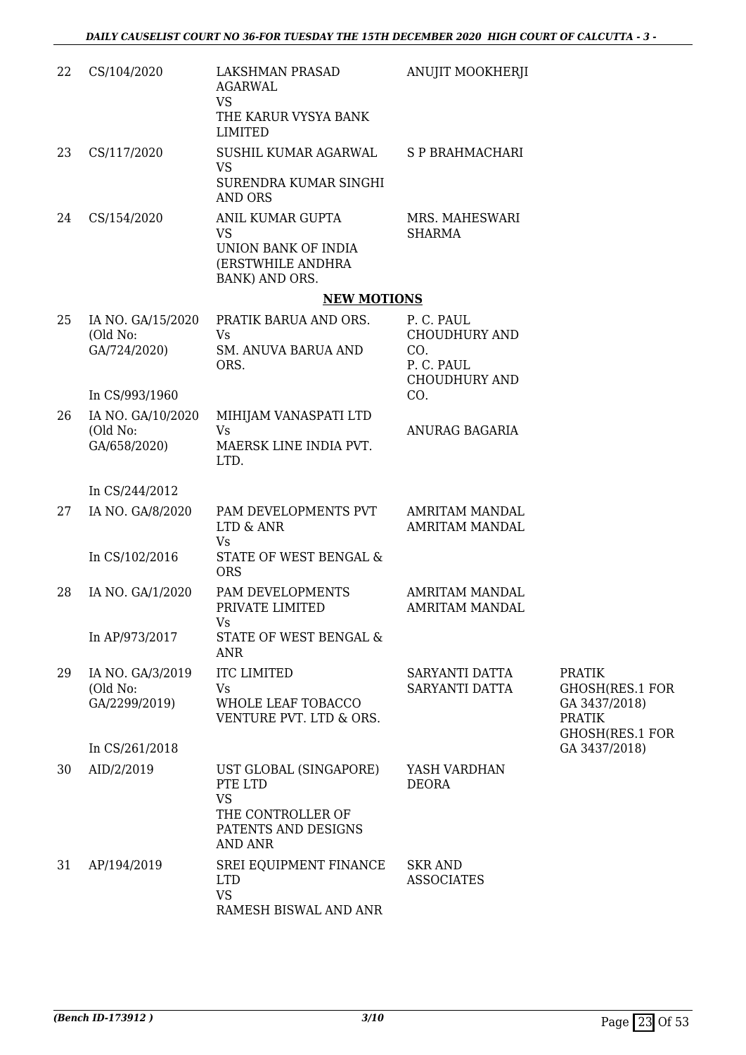| 22 | CS/104/2020                                   | LAKSHMAN PRASAD<br>AGARWAL<br><b>VS</b><br>THE KARUR VYSYA BANK<br><b>LIMITED</b>                     | ANUJIT MOOKHERJI                                                                |                                                                                              |
|----|-----------------------------------------------|-------------------------------------------------------------------------------------------------------|---------------------------------------------------------------------------------|----------------------------------------------------------------------------------------------|
| 23 | CS/117/2020                                   | SUSHIL KUMAR AGARWAL<br><b>VS</b><br>SURENDRA KUMAR SINGHI<br><b>AND ORS</b>                          | S P BRAHMACHARI                                                                 |                                                                                              |
| 24 | CS/154/2020                                   | ANIL KUMAR GUPTA<br><b>VS</b><br>UNION BANK OF INDIA<br>(ERSTWHILE ANDHRA<br>BANK) AND ORS.           | MRS. MAHESWARI<br><b>SHARMA</b>                                                 |                                                                                              |
|    |                                               | <b>NEW MOTIONS</b>                                                                                    |                                                                                 |                                                                                              |
| 25 | IA NO. GA/15/2020<br>(Old No:<br>GA/724/2020) | PRATIK BARUA AND ORS.<br><b>Vs</b><br><b>SM. ANUVA BARUA AND</b><br>ORS.                              | P. C. PAUL<br><b>CHOUDHURY AND</b><br>CO.<br>P. C. PAUL<br><b>CHOUDHURY AND</b> |                                                                                              |
|    | In CS/993/1960                                |                                                                                                       | CO.                                                                             |                                                                                              |
| 26 | IA NO. GA/10/2020<br>(Old No:<br>GA/658/2020) | MIHIJAM VANASPATI LTD<br><b>Vs</b><br>MAERSK LINE INDIA PVT.<br>LTD.                                  | ANURAG BAGARIA                                                                  |                                                                                              |
|    | In CS/244/2012                                |                                                                                                       |                                                                                 |                                                                                              |
| 27 | IA NO. GA/8/2020                              | PAM DEVELOPMENTS PVT<br>LTD & ANR<br>Vs                                                               | AMRITAM MANDAL<br><b>AMRITAM MANDAL</b>                                         |                                                                                              |
|    | In CS/102/2016                                | STATE OF WEST BENGAL &<br><b>ORS</b>                                                                  |                                                                                 |                                                                                              |
| 28 | IA NO. GA/1/2020                              | PAM DEVELOPMENTS<br>PRIVATE LIMITED<br>Vs                                                             | AMRITAM MANDAL<br><b>AMRITAM MANDAL</b>                                         |                                                                                              |
|    | In AP/973/2017                                | STATE OF WEST BENGAL &<br><b>ANR</b>                                                                  |                                                                                 |                                                                                              |
| 29 | IA NO. GA/3/2019<br>(Old No:<br>GA/2299/2019) | <b>ITC LIMITED</b><br>Vs<br>WHOLE LEAF TOBACCO<br>VENTURE PVT. LTD & ORS.                             | SARYANTI DATTA<br>SARYANTI DATTA                                                | <b>PRATIK</b><br><b>GHOSH(RES.1 FOR</b><br>GA 3437/2018)<br><b>PRATIK</b><br>GHOSH(RES.1 FOR |
|    | In CS/261/2018                                |                                                                                                       |                                                                                 | GA 3437/2018)                                                                                |
| 30 | AID/2/2019                                    | UST GLOBAL (SINGAPORE)<br>PTE LTD<br><b>VS</b><br>THE CONTROLLER OF<br>PATENTS AND DESIGNS<br>AND ANR | YASH VARDHAN<br><b>DEORA</b>                                                    |                                                                                              |
| 31 | AP/194/2019                                   | SREI EQUIPMENT FINANCE<br><b>LTD</b><br><b>VS</b><br>RAMESH BISWAL AND ANR                            | <b>SKR AND</b><br><b>ASSOCIATES</b>                                             |                                                                                              |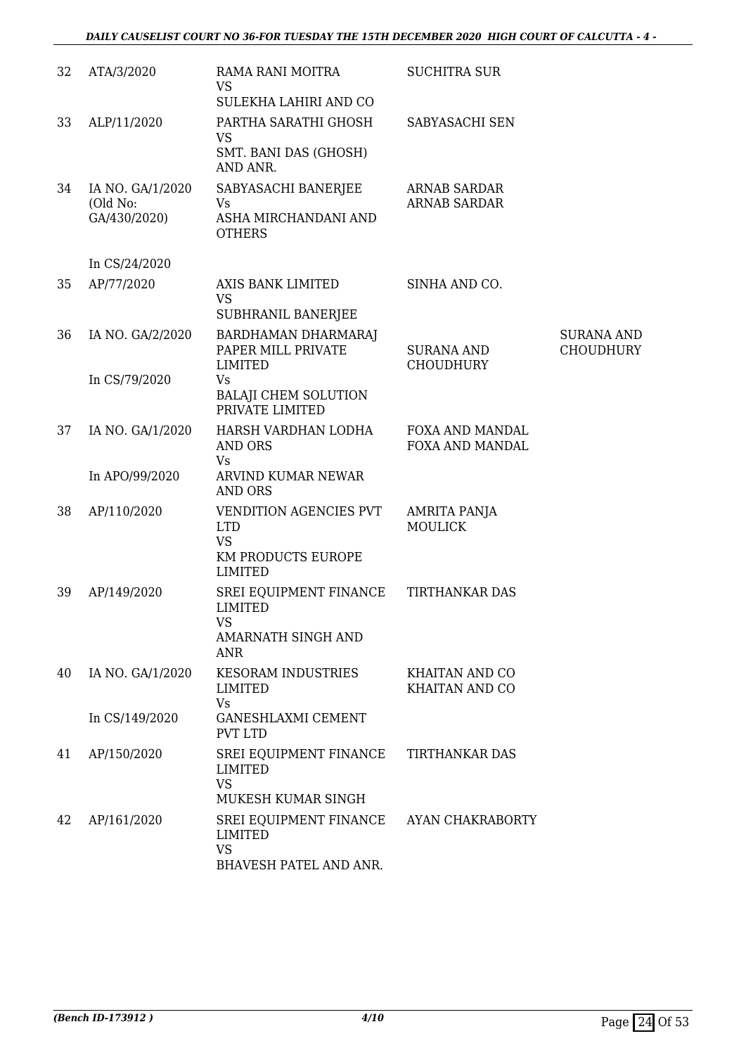| 32 | ATA/3/2020                                   | RAMA RANI MOITRA<br><b>VS</b><br>SULEKHA LAHIRI AND CO                                    | <b>SUCHITRA SUR</b>                        |                                       |
|----|----------------------------------------------|-------------------------------------------------------------------------------------------|--------------------------------------------|---------------------------------------|
| 33 | ALP/11/2020                                  | PARTHA SARATHI GHOSH<br><b>VS</b><br>SMT. BANI DAS (GHOSH)<br>AND ANR.                    | SABYASACHI SEN                             |                                       |
| 34 | IA NO. GA/1/2020<br>(Old No:<br>GA/430/2020) | SABYASACHI BANERJEE<br>Vs<br>ASHA MIRCHANDANI AND<br><b>OTHERS</b>                        | <b>ARNAB SARDAR</b><br><b>ARNAB SARDAR</b> |                                       |
|    | In CS/24/2020                                |                                                                                           |                                            |                                       |
| 35 | AP/77/2020                                   | AXIS BANK LIMITED<br><b>VS</b><br>SUBHRANIL BANERJEE                                      | SINHA AND CO.                              |                                       |
| 36 | IA NO. GA/2/2020                             | BARDHAMAN DHARMARAJ<br>PAPER MILL PRIVATE<br><b>LIMITED</b>                               | <b>SURANA AND</b><br><b>CHOUDHURY</b>      | <b>SURANA AND</b><br><b>CHOUDHURY</b> |
|    | In CS/79/2020                                | Vs<br><b>BALAJI CHEM SOLUTION</b><br>PRIVATE LIMITED                                      |                                            |                                       |
| 37 | IA NO. GA/1/2020                             | HARSH VARDHAN LODHA<br><b>AND ORS</b><br>Vs                                               | FOXA AND MANDAL<br>FOXA AND MANDAL         |                                       |
|    | In APO/99/2020                               | ARVIND KUMAR NEWAR<br><b>AND ORS</b>                                                      |                                            |                                       |
| 38 | AP/110/2020                                  | VENDITION AGENCIES PVT<br><b>LTD</b><br><b>VS</b><br>KM PRODUCTS EUROPE<br><b>LIMITED</b> | AMRITA PANJA<br><b>MOULICK</b>             |                                       |
| 39 | AP/149/2020                                  | SREI EQUIPMENT FINANCE<br><b>LIMITED</b><br><b>VS</b><br>AMARNATH SINGH AND<br>ANR        | TIRTHANKAR DAS                             |                                       |
| 40 | IA NO. GA/1/2020                             | <b>KESORAM INDUSTRIES</b><br><b>LIMITED</b><br><b>Vs</b>                                  | KHAITAN AND CO<br>KHAITAN AND CO           |                                       |
|    | In CS/149/2020                               | <b>GANESHLAXMI CEMENT</b><br><b>PVT LTD</b>                                               |                                            |                                       |
| 41 | AP/150/2020                                  | SREI EQUIPMENT FINANCE<br><b>LIMITED</b><br><b>VS</b><br>MUKESH KUMAR SINGH               | TIRTHANKAR DAS                             |                                       |
| 42 | AP/161/2020                                  | SREI EQUIPMENT FINANCE<br>LIMITED<br><b>VS</b><br>BHAVESH PATEL AND ANR.                  | AYAN CHAKRABORTY                           |                                       |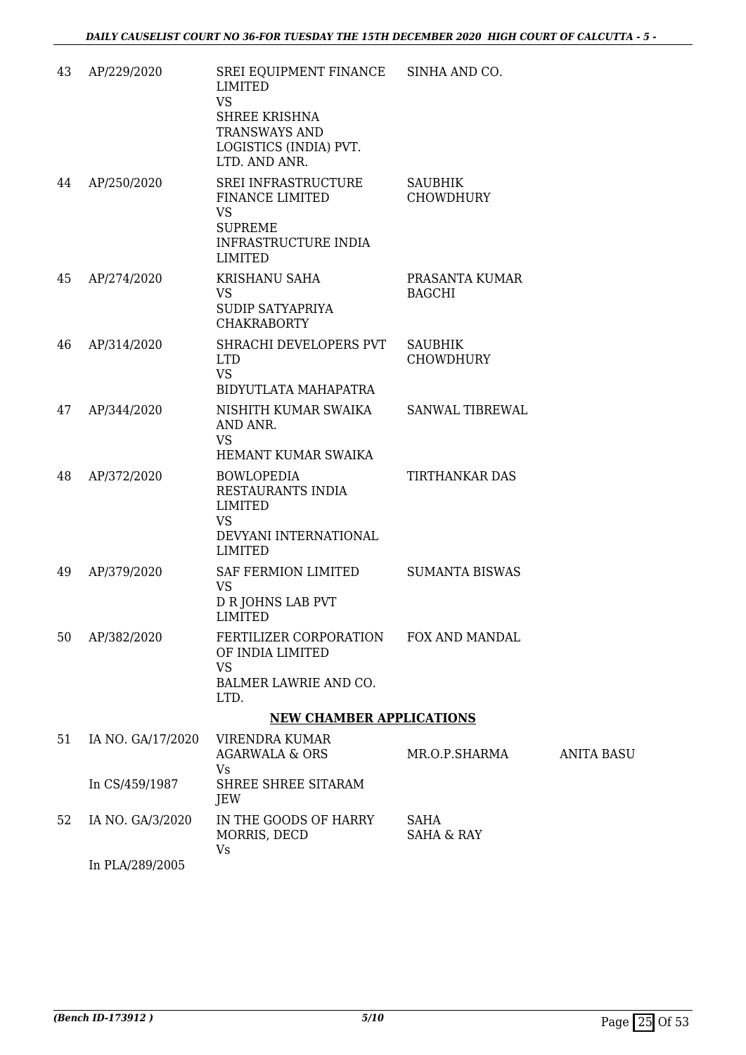| 43 | AP/229/2020                         | SREI EQUIPMENT FINANCE<br><b>LIMITED</b><br><b>VS</b><br><b>SHREE KRISHNA</b><br>TRANSWAYS AND<br>LOGISTICS (INDIA) PVT.<br>LTD. AND ANR. | SINHA AND CO.                      |                   |
|----|-------------------------------------|-------------------------------------------------------------------------------------------------------------------------------------------|------------------------------------|-------------------|
| 44 | AP/250/2020                         | SREI INFRASTRUCTURE<br>FINANCE LIMITED<br><b>VS</b><br><b>SUPREME</b><br>INFRASTRUCTURE INDIA<br><b>LIMITED</b>                           | SAUBHIK<br><b>CHOWDHURY</b>        |                   |
| 45 | AP/274/2020                         | KRISHANU SAHA<br><b>VS</b><br>SUDIP SATYAPRIYA<br><b>CHAKRABORTY</b>                                                                      | PRASANTA KUMAR<br><b>BAGCHI</b>    |                   |
| 46 | AP/314/2020                         | SHRACHI DEVELOPERS PVT<br><b>LTD</b><br><b>VS</b><br>BIDYUTLATA MAHAPATRA                                                                 | <b>SAUBHIK</b><br><b>CHOWDHURY</b> |                   |
| 47 | AP/344/2020                         | NISHITH KUMAR SWAIKA<br>AND ANR.<br><b>VS</b><br>HEMANT KUMAR SWAIKA                                                                      | SANWAL TIBREWAL                    |                   |
| 48 | AP/372/2020                         | <b>BOWLOPEDIA</b><br>RESTAURANTS INDIA<br><b>LIMITED</b><br><b>VS</b><br>DEVYANI INTERNATIONAL<br><b>LIMITED</b>                          | TIRTHANKAR DAS                     |                   |
| 49 | AP/379/2020                         | SAF FERMION LIMITED<br><b>VS</b><br><b>D R JOHNS LAB PVT</b><br><b>LIMITED</b>                                                            | <b>SUMANTA BISWAS</b>              |                   |
| 50 | AP/382/2020                         | FERTILIZER CORPORATION FOX AND MANDAL<br>OF INDIA LIMITED<br><b>VS</b><br>BALMER LAWRIE AND CO.<br>LTD.                                   |                                    |                   |
|    |                                     | <b>NEW CHAMBER APPLICATIONS</b>                                                                                                           |                                    |                   |
| 51 | IA NO. GA/17/2020<br>In CS/459/1987 | VIRENDRA KUMAR<br><b>AGARWALA &amp; ORS</b><br>Vs.<br>SHREE SHREE SITARAM                                                                 | MR.O.P.SHARMA                      | <b>ANITA BASU</b> |
|    |                                     | JEW                                                                                                                                       |                                    |                   |
| 52 | IA NO. GA/3/2020                    | IN THE GOODS OF HARRY<br>MORRIS, DECD<br><b>Vs</b>                                                                                        | SAHA<br><b>SAHA &amp; RAY</b>      |                   |

In PLA/289/2005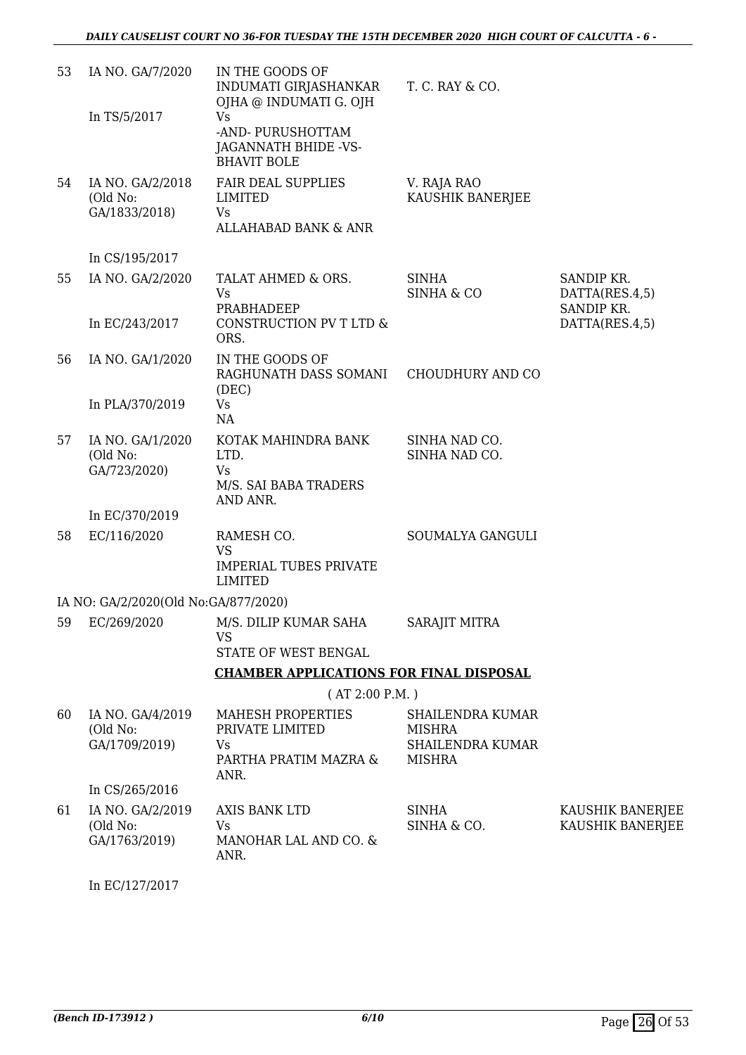| 53 | IA NO. GA/7/2020                                                | IN THE GOODS OF<br>INDUMATI GIRJASHANKAR<br>OJHA @ INDUMATI G. OJH                   | T. C. RAY & CO.                                                                      |                                      |
|----|-----------------------------------------------------------------|--------------------------------------------------------------------------------------|--------------------------------------------------------------------------------------|--------------------------------------|
|    | In TS/5/2017                                                    | <b>Vs</b><br>-AND- PURUSHOTTAM<br>JAGANNATH BHIDE -VS-<br><b>BHAVIT BOLE</b>         |                                                                                      |                                      |
| 54 | IA NO. GA/2/2018<br>(Old No:<br>GA/1833/2018)                   | <b>FAIR DEAL SUPPLIES</b><br><b>LIMITED</b><br>Vs<br><b>ALLAHABAD BANK &amp; ANR</b> | V. RAJA RAO<br>KAUSHIK BANERJEE                                                      |                                      |
|    | In CS/195/2017                                                  |                                                                                      |                                                                                      |                                      |
| 55 | IA NO. GA/2/2020                                                | TALAT AHMED & ORS.<br>Vs                                                             | <b>SINHA</b><br>SINHA & CO                                                           | SANDIP KR.<br>DATTA(RES.4,5)         |
|    | In EC/243/2017                                                  | PRABHADEEP<br>CONSTRUCTION PV T LTD &<br>ORS.                                        |                                                                                      | SANDIP KR.<br>DATTA(RES.4,5)         |
| 56 | IA NO. GA/1/2020                                                | IN THE GOODS OF<br>RAGHUNATH DASS SOMANI<br>(DEC)                                    | CHOUDHURY AND CO                                                                     |                                      |
|    | In PLA/370/2019                                                 | <b>Vs</b><br>NA                                                                      |                                                                                      |                                      |
| 57 | IA NO. GA/1/2020<br>(Old No:<br>GA/723/2020)                    | KOTAK MAHINDRA BANK<br>LTD.<br>Vs<br>M/S. SAI BABA TRADERS<br>AND ANR.               | SINHA NAD CO.<br>SINHA NAD CO.                                                       |                                      |
|    | In EC/370/2019                                                  |                                                                                      |                                                                                      |                                      |
| 58 | EC/116/2020                                                     | RAMESH CO.<br><b>VS</b><br><b>IMPERIAL TUBES PRIVATE</b><br><b>LIMITED</b>           | SOUMALYA GANGULI                                                                     |                                      |
|    | IA NO: GA/2/2020(Old No:GA/877/2020)                            |                                                                                      |                                                                                      |                                      |
|    |                                                                 | 59 EC/269/2020 M/S. DILIP KUMAR SAHA<br><b>VS</b><br>STATE OF WEST BENGAL            | <b>SARAJIT MITRA</b>                                                                 |                                      |
|    |                                                                 | <b>CHAMBER APPLICATIONS FOR FINAL DISPOSAL</b>                                       |                                                                                      |                                      |
|    |                                                                 | (AT 2:00 P.M.)                                                                       |                                                                                      |                                      |
| 60 | IA NO. GA/4/2019<br>(Old No:<br>GA/1709/2019)<br>In CS/265/2016 | <b>MAHESH PROPERTIES</b><br>PRIVATE LIMITED<br>Vs<br>PARTHA PRATIM MAZRA &<br>ANR.   | <b>SHAILENDRA KUMAR</b><br><b>MISHRA</b><br><b>SHAILENDRA KUMAR</b><br><b>MISHRA</b> |                                      |
| 61 | IA NO. GA/2/2019<br>(Old No:<br>GA/1763/2019)                   | AXIS BANK LTD<br><b>Vs</b><br>MANOHAR LAL AND CO. &<br>ANR.                          | <b>SINHA</b><br>SINHA & CO.                                                          | KAUSHIK BANERJEE<br>KAUSHIK BANERJEE |

In EC/127/2017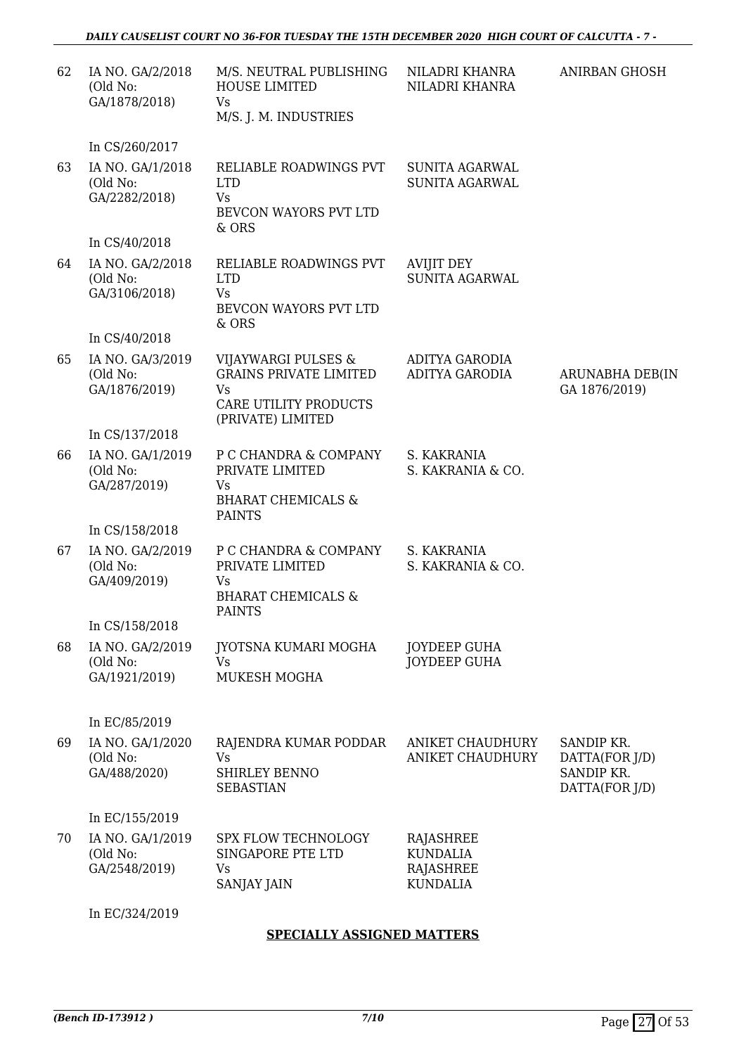| 62 | IA NO. GA/2/2018<br>(Old No:<br>GA/1878/2018) | M/S. NEUTRAL PUBLISHING<br>HOUSE LIMITED<br>Vs<br>M/S. J. M. INDUSTRIES                                  | NILADRI KHANRA<br>NILADRI KHANRA                                    | <b>ANIRBAN GHOSH</b>                                         |
|----|-----------------------------------------------|----------------------------------------------------------------------------------------------------------|---------------------------------------------------------------------|--------------------------------------------------------------|
|    | In CS/260/2017                                |                                                                                                          |                                                                     |                                                              |
| 63 | IA NO. GA/1/2018<br>(Old No:<br>GA/2282/2018) | RELIABLE ROADWINGS PVT<br><b>LTD</b><br><b>Vs</b><br>BEVCON WAYORS PVT LTD<br>& ORS                      | <b>SUNITA AGARWAL</b><br><b>SUNITA AGARWAL</b>                      |                                                              |
|    | In CS/40/2018                                 |                                                                                                          |                                                                     |                                                              |
| 64 | IA NO. GA/2/2018<br>(Old No:<br>GA/3106/2018) | RELIABLE ROADWINGS PVT<br><b>LTD</b><br><b>Vs</b><br>BEVCON WAYORS PVT LTD<br>& ORS                      | <b>AVIJIT DEY</b><br><b>SUNITA AGARWAL</b>                          |                                                              |
|    | In CS/40/2018                                 |                                                                                                          |                                                                     |                                                              |
| 65 | IA NO. GA/3/2019<br>(Old No:<br>GA/1876/2019) | VIJAYWARGI PULSES &<br><b>GRAINS PRIVATE LIMITED</b><br>Vs<br>CARE UTILITY PRODUCTS<br>(PRIVATE) LIMITED | <b>ADITYA GARODIA</b><br><b>ADITYA GARODIA</b>                      | ARUNABHA DEB(IN<br>GA 1876/2019)                             |
|    | In CS/137/2018                                |                                                                                                          |                                                                     |                                                              |
| 66 | IA NO. GA/1/2019<br>(Old No:<br>GA/287/2019)  | P C CHANDRA & COMPANY<br>PRIVATE LIMITED<br>Vs<br><b>BHARAT CHEMICALS &amp;</b><br><b>PAINTS</b>         | S. KAKRANIA<br>S. KAKRANIA & CO.                                    |                                                              |
|    | In CS/158/2018                                |                                                                                                          |                                                                     |                                                              |
| 67 | IA NO. GA/2/2019<br>(Old No:<br>GA/409/2019)  | P C CHANDRA & COMPANY<br>PRIVATE LIMITED<br>Vs<br><b>BHARAT CHEMICALS &amp;</b><br><b>PAINTS</b>         | S. KAKRANIA<br>S. KAKRANIA & CO.                                    |                                                              |
|    | In CS/158/2018                                |                                                                                                          |                                                                     |                                                              |
| 68 | IA NO. GA/2/2019<br>(Old No:<br>GA/1921/2019) | JYOTSNA KUMARI MOGHA<br><b>Vs</b><br>MUKESH MOGHA                                                        | <b>JOYDEEP GUHA</b><br><b>JOYDEEP GUHA</b>                          |                                                              |
|    | In EC/85/2019                                 |                                                                                                          |                                                                     |                                                              |
| 69 | IA NO. GA/1/2020<br>(Old No:<br>GA/488/2020)  | RAJENDRA KUMAR PODDAR<br><b>Vs</b><br>SHIRLEY BENNO<br><b>SEBASTIAN</b>                                  | ANIKET CHAUDHURY<br><b>ANIKET CHAUDHURY</b>                         | SANDIP KR.<br>DATTA(FOR J/D)<br>SANDIP KR.<br>DATTA(FOR J/D) |
|    | In EC/155/2019                                |                                                                                                          |                                                                     |                                                              |
| 70 | IA NO. GA/1/2019<br>(Old No:<br>GA/2548/2019) | SPX FLOW TECHNOLOGY<br>SINGAPORE PTE LTD<br>Vs<br><b>SANJAY JAIN</b>                                     | RAJASHREE<br><b>KUNDALIA</b><br><b>RAJASHREE</b><br><b>KUNDALIA</b> |                                                              |
|    | In EC/324/2019                                |                                                                                                          |                                                                     |                                                              |

### **SPECIALLY ASSIGNED MATTERS**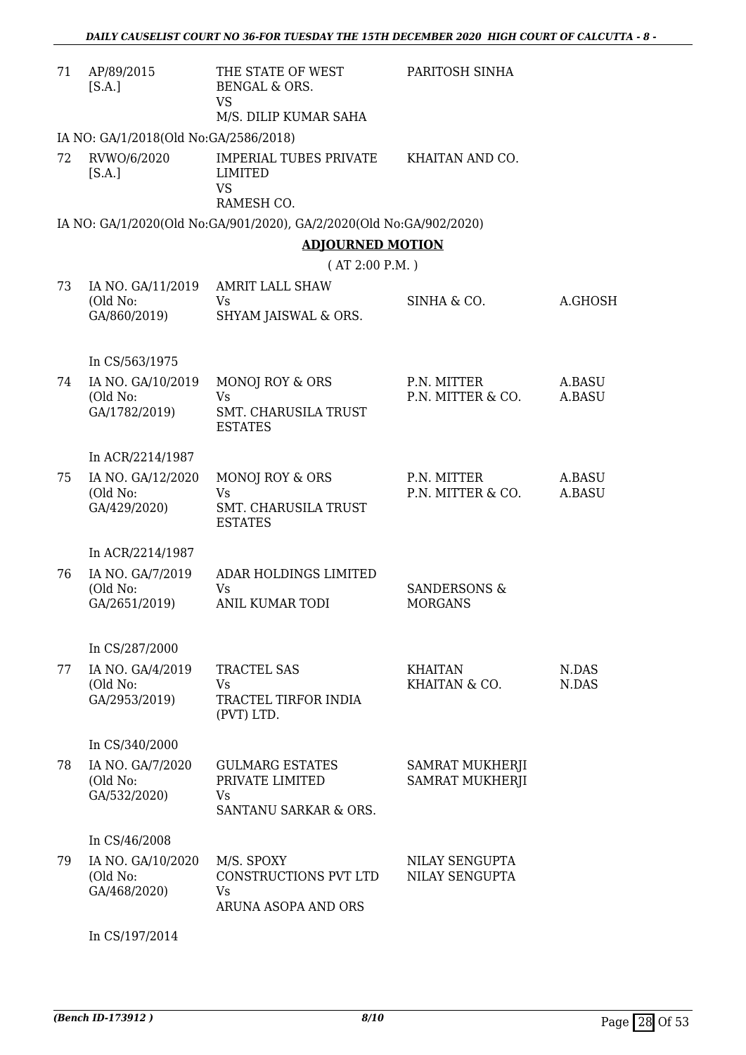| 71 | AP/89/2015<br>[S.A.]                           | THE STATE OF WEST<br>BENGAL & ORS.<br><b>VS</b><br>M/S. DILIP KUMAR SAHA | PARITOSH SINHA                            |                  |
|----|------------------------------------------------|--------------------------------------------------------------------------|-------------------------------------------|------------------|
|    | IA NO: GA/1/2018(Old No:GA/2586/2018)          |                                                                          |                                           |                  |
| 72 | RVWO/6/2020<br>[S.A.]                          | <b>IMPERIAL TUBES PRIVATE</b><br>LIMITED<br><b>VS</b><br>RAMESH CO.      | KHAITAN AND CO.                           |                  |
|    |                                                | IA NO: GA/1/2020(Old No:GA/901/2020), GA/2/2020(Old No:GA/902/2020)      |                                           |                  |
|    |                                                | <b>ADJOURNED MOTION</b>                                                  |                                           |                  |
|    |                                                | (AT 2:00 P.M.)                                                           |                                           |                  |
| 73 | IA NO. GA/11/2019<br>(Old No:<br>GA/860/2019)  | <b>AMRIT LALL SHAW</b><br>Vs<br>SHYAM JAISWAL & ORS.                     | SINHA & CO.                               | A.GHOSH          |
|    | In CS/563/1975                                 |                                                                          |                                           |                  |
| 74 | IA NO. GA/10/2019<br>(Old No:<br>GA/1782/2019) | MONOJ ROY & ORS<br>Vs<br>SMT. CHARUSILA TRUST                            | P.N. MITTER<br>P.N. MITTER & CO.          | A.BASU<br>A.BASU |
|    |                                                | <b>ESTATES</b>                                                           |                                           |                  |
|    | In ACR/2214/1987                               |                                                                          |                                           |                  |
| 75 | IA NO. GA/12/2020<br>(Old No:<br>GA/429/2020)  | MONOJ ROY & ORS<br>Vs<br>SMT. CHARUSILA TRUST<br><b>ESTATES</b>          | P.N. MITTER<br>P.N. MITTER & CO.          | A.BASU<br>A.BASU |
|    | In ACR/2214/1987                               |                                                                          |                                           |                  |
| 76 | IA NO. GA/7/2019<br>(Old No:<br>GA/2651/2019)  | ADAR HOLDINGS LIMITED<br>Vs<br><b>ANIL KUMAR TODI</b>                    | <b>SANDERSONS &amp;</b><br><b>MORGANS</b> |                  |
|    | In CS/287/2000                                 |                                                                          |                                           |                  |
| 77 | IA NO. GA/4/2019<br>(Old No:<br>GA/2953/2019)  | <b>TRACTEL SAS</b><br>Vs<br>TRACTEL TIRFOR INDIA<br>(PVT) LTD.           | <b>KHAITAN</b><br>KHAITAN & CO.           | N.DAS<br>N.DAS   |
|    | In CS/340/2000                                 |                                                                          |                                           |                  |
| 78 | IA NO. GA/7/2020<br>(Old No:<br>GA/532/2020)   | <b>GULMARG ESTATES</b><br>PRIVATE LIMITED<br>Vs<br>SANTANU SARKAR & ORS. | SAMRAT MUKHERJI<br><b>SAMRAT MUKHERJI</b> |                  |
|    | In CS/46/2008                                  |                                                                          |                                           |                  |
| 79 | IA NO. GA/10/2020<br>(Old No:<br>GA/468/2020)  | M/S. SPOXY<br>CONSTRUCTIONS PVT LTD<br>Vs<br>ARUNA ASOPA AND ORS         | NILAY SENGUPTA<br>NILAY SENGUPTA          |                  |

In CS/197/2014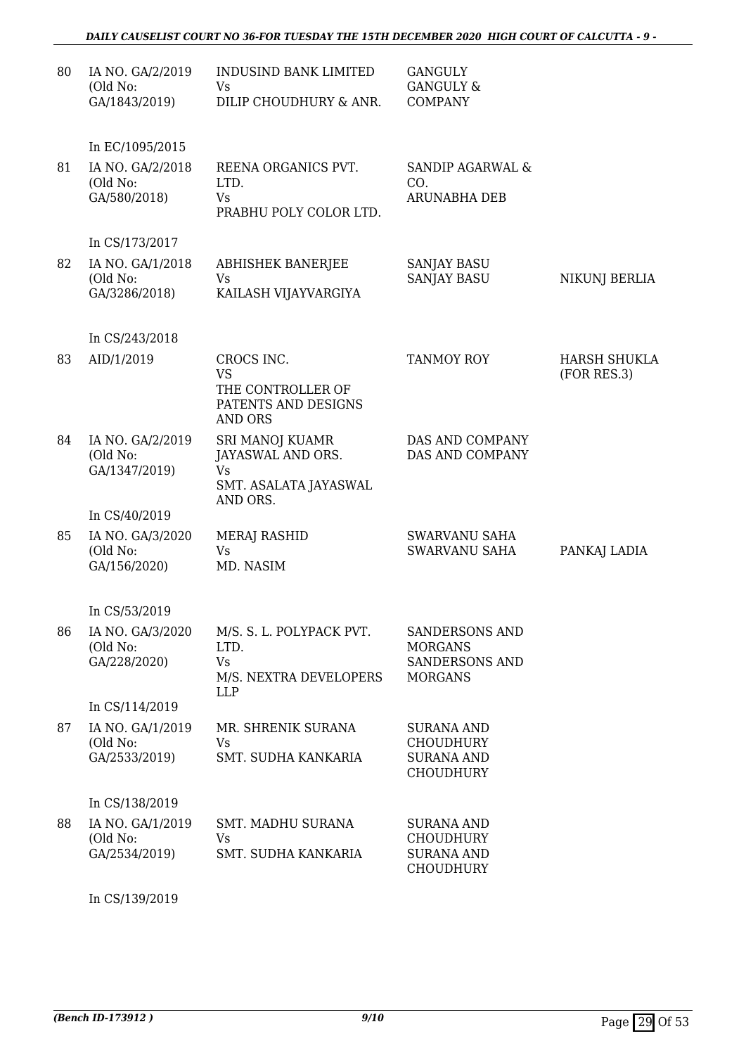| 80 | IA NO. GA/2/2019<br>(Old No:<br>GA/1843/2019)                   | <b>INDUSIND BANK LIMITED</b><br>Vs<br>DILIP CHOUDHURY & ANR.                           | <b>GANGULY</b><br><b>GANGULY &amp;</b><br><b>COMPANY</b>                           |                                    |
|----|-----------------------------------------------------------------|----------------------------------------------------------------------------------------|------------------------------------------------------------------------------------|------------------------------------|
| 81 | In EC/1095/2015<br>IA NO. GA/2/2018<br>(Old No:<br>GA/580/2018) | REENA ORGANICS PVT.<br>LTD.<br>Vs<br>PRABHU POLY COLOR LTD.                            | SANDIP AGARWAL &<br>CO.<br>ARUNABHA DEB                                            |                                    |
|    | In CS/173/2017                                                  |                                                                                        |                                                                                    |                                    |
| 82 | IA NO. GA/1/2018<br>(Old No:<br>GA/3286/2018)                   | <b>ABHISHEK BANERJEE</b><br>Vs<br>KAILASH VIJAYVARGIYA                                 | <b>SANJAY BASU</b><br><b>SANJAY BASU</b>                                           | NIKUNJ BERLIA                      |
|    | In CS/243/2018                                                  |                                                                                        |                                                                                    |                                    |
| 83 | AID/1/2019                                                      | CROCS INC.<br><b>VS</b><br>THE CONTROLLER OF<br>PATENTS AND DESIGNS<br><b>AND ORS</b>  | <b>TANMOY ROY</b>                                                                  | <b>HARSH SHUKLA</b><br>(FOR RES.3) |
| 84 | IA NO. GA/2/2019<br>(Old No:<br>GA/1347/2019)                   | SRI MANOJ KUAMR<br>JAYASWAL AND ORS.<br><b>Vs</b><br>SMT. ASALATA JAYASWAL<br>AND ORS. | DAS AND COMPANY<br>DAS AND COMPANY                                                 |                                    |
|    | In CS/40/2019                                                   |                                                                                        |                                                                                    |                                    |
| 85 | IA NO. GA/3/2020<br>(Old No:<br>GA/156/2020)                    | MERAJ RASHID<br><b>Vs</b><br>MD. NASIM                                                 | SWARVANU SAHA<br><b>SWARVANU SAHA</b>                                              | PANKAJ LADIA                       |
|    | In CS/53/2019                                                   |                                                                                        |                                                                                    |                                    |
| 86 | IA NO. GA/3/2020<br>(Old No:<br>GA/228/2020)                    | M/S. S. L. POLYPACK PVT.<br>LTD.<br><b>Vs</b><br>M/S. NEXTRA DEVELOPERS<br><b>LLP</b>  | <b>SANDERSONS AND</b><br><b>MORGANS</b><br><b>SANDERSONS AND</b><br><b>MORGANS</b> |                                    |
|    | In CS/114/2019                                                  |                                                                                        |                                                                                    |                                    |
| 87 | IA NO. GA/1/2019<br>(Old No:<br>GA/2533/2019)                   | MR. SHRENIK SURANA<br>Vs<br>SMT. SUDHA KANKARIA                                        | <b>SURANA AND</b><br><b>CHOUDHURY</b><br><b>SURANA AND</b><br><b>CHOUDHURY</b>     |                                    |
|    | In CS/138/2019                                                  |                                                                                        |                                                                                    |                                    |
| 88 | IA NO. GA/1/2019<br>(Old No:<br>GA/2534/2019)                   | <b>SMT. MADHU SURANA</b><br><b>Vs</b><br>SMT. SUDHA KANKARIA                           | <b>SURANA AND</b><br><b>CHOUDHURY</b><br><b>SURANA AND</b><br><b>CHOUDHURY</b>     |                                    |

In CS/139/2019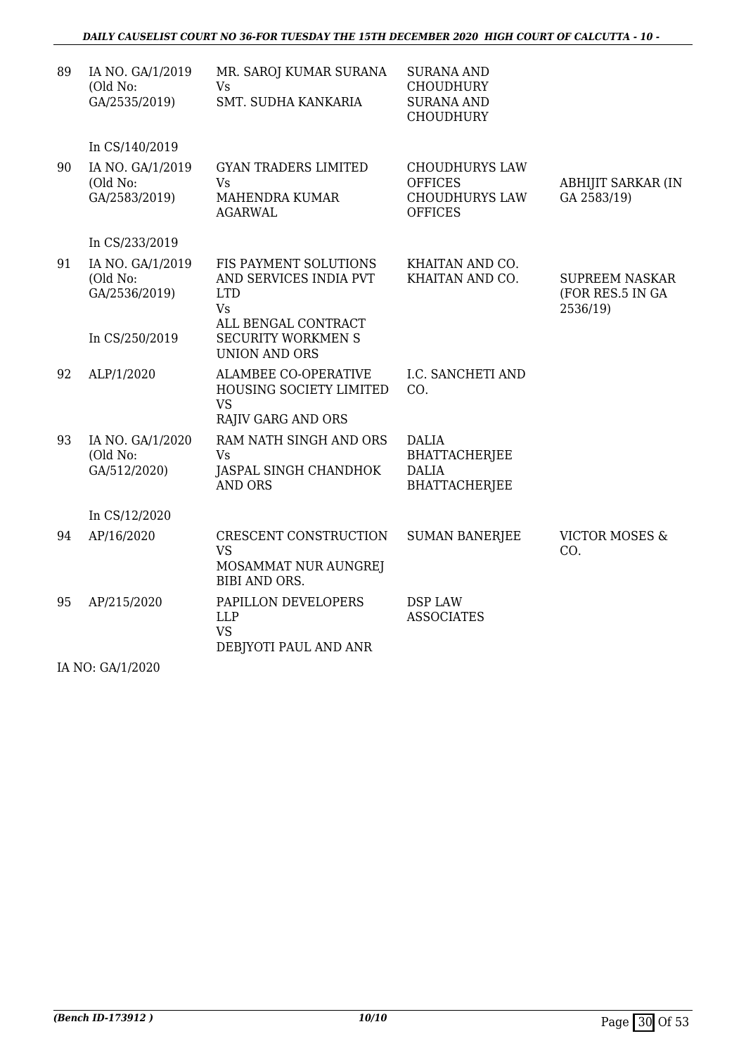| 89 | IA NO. GA/1/2019<br>(Old No:<br>GA/2535/2019)                   | MR. SAROJ KUMAR SURANA<br>Vs<br>SMT. SUDHA KANKARIA                                                                                             | <b>SURANA AND</b><br><b>CHOUDHURY</b><br><b>SURANA AND</b><br><b>CHOUDHURY</b>     |                                                       |
|----|-----------------------------------------------------------------|-------------------------------------------------------------------------------------------------------------------------------------------------|------------------------------------------------------------------------------------|-------------------------------------------------------|
|    | In CS/140/2019                                                  |                                                                                                                                                 |                                                                                    |                                                       |
| 90 | IA NO. GA/1/2019<br>(Old No:<br>GA/2583/2019)                   | <b>GYAN TRADERS LIMITED</b><br><b>Vs</b><br>MAHENDRA KUMAR<br><b>AGARWAL</b>                                                                    | <b>CHOUDHURYS LAW</b><br><b>OFFICES</b><br><b>CHOUDHURYS LAW</b><br><b>OFFICES</b> | ABHIJIT SARKAR (IN<br>GA 2583/19)                     |
|    | In CS/233/2019                                                  |                                                                                                                                                 |                                                                                    |                                                       |
| 91 | IA NO. GA/1/2019<br>(Old No:<br>GA/2536/2019)<br>In CS/250/2019 | FIS PAYMENT SOLUTIONS<br>AND SERVICES INDIA PVT<br><b>LTD</b><br><b>Vs</b><br>ALL BENGAL CONTRACT<br><b>SECURITY WORKMEN S</b><br>UNION AND ORS | KHAITAN AND CO.<br>KHAITAN AND CO.                                                 | <b>SUPREEM NASKAR</b><br>(FOR RES.5 IN GA<br>2536/19) |
| 92 | ALP/1/2020                                                      | <b>ALAMBEE CO-OPERATIVE</b><br>HOUSING SOCIETY LIMITED<br><b>VS</b><br><b>RAJIV GARG AND ORS</b>                                                | I.C. SANCHETI AND<br>CO.                                                           |                                                       |
| 93 | IA NO. GA/1/2020<br>(Old No:<br>GA/512/2020)                    | RAM NATH SINGH AND ORS<br><b>Vs</b><br>JASPAL SINGH CHANDHOK<br><b>AND ORS</b>                                                                  | <b>DALIA</b><br><b>BHATTACHERJEE</b><br><b>DALIA</b><br><b>BHATTACHERJEE</b>       |                                                       |
|    | In CS/12/2020                                                   |                                                                                                                                                 |                                                                                    |                                                       |
| 94 | AP/16/2020                                                      | CRESCENT CONSTRUCTION<br><b>VS</b><br>MOSAMMAT NUR AUNGREJ<br><b>BIBI AND ORS.</b>                                                              | <b>SUMAN BANERJEE</b>                                                              | <b>VICTOR MOSES &amp;</b><br>CO.                      |
| 95 | AP/215/2020                                                     | PAPILLON DEVELOPERS<br><b>LLP</b><br><b>VS</b><br>DEBJYOTI PAUL AND ANR                                                                         | DSP LAW<br><b>ASSOCIATES</b>                                                       |                                                       |

IA NO: GA/1/2020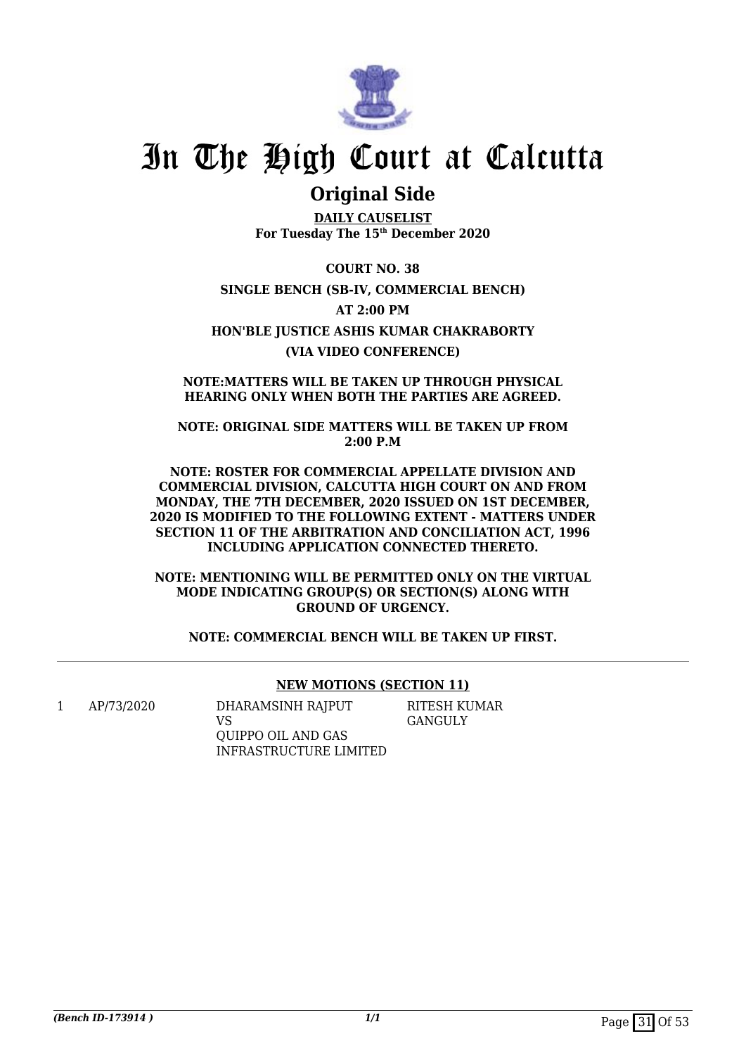

## **Original Side**

**DAILY CAUSELIST For Tuesday The 15th December 2020**

**COURT NO. 38 SINGLE BENCH (SB-IV, COMMERCIAL BENCH) AT 2:00 PM HON'BLE JUSTICE ASHIS KUMAR CHAKRABORTY (VIA VIDEO CONFERENCE)**

**NOTE:MATTERS WILL BE TAKEN UP THROUGH PHYSICAL HEARING ONLY WHEN BOTH THE PARTIES ARE AGREED.**

**NOTE: ORIGINAL SIDE MATTERS WILL BE TAKEN UP FROM 2:00 P.M**

**NOTE: ROSTER FOR COMMERCIAL APPELLATE DIVISION AND COMMERCIAL DIVISION, CALCUTTA HIGH COURT ON AND FROM MONDAY, THE 7TH DECEMBER, 2020 ISSUED ON 1ST DECEMBER, 2020 IS MODIFIED TO THE FOLLOWING EXTENT - MATTERS UNDER SECTION 11 OF THE ARBITRATION AND CONCILIATION ACT, 1996 INCLUDING APPLICATION CONNECTED THERETO.**

**NOTE: MENTIONING WILL BE PERMITTED ONLY ON THE VIRTUAL MODE INDICATING GROUP(S) OR SECTION(S) ALONG WITH GROUND OF URGENCY.**

**NOTE: COMMERCIAL BENCH WILL BE TAKEN UP FIRST.**

### **NEW MOTIONS (SECTION 11)**

1 AP/73/2020 DHARAMSINH RAJPUT VS QUIPPO OIL AND GAS INFRASTRUCTURE LIMITED RITESH KUMAR GANGULY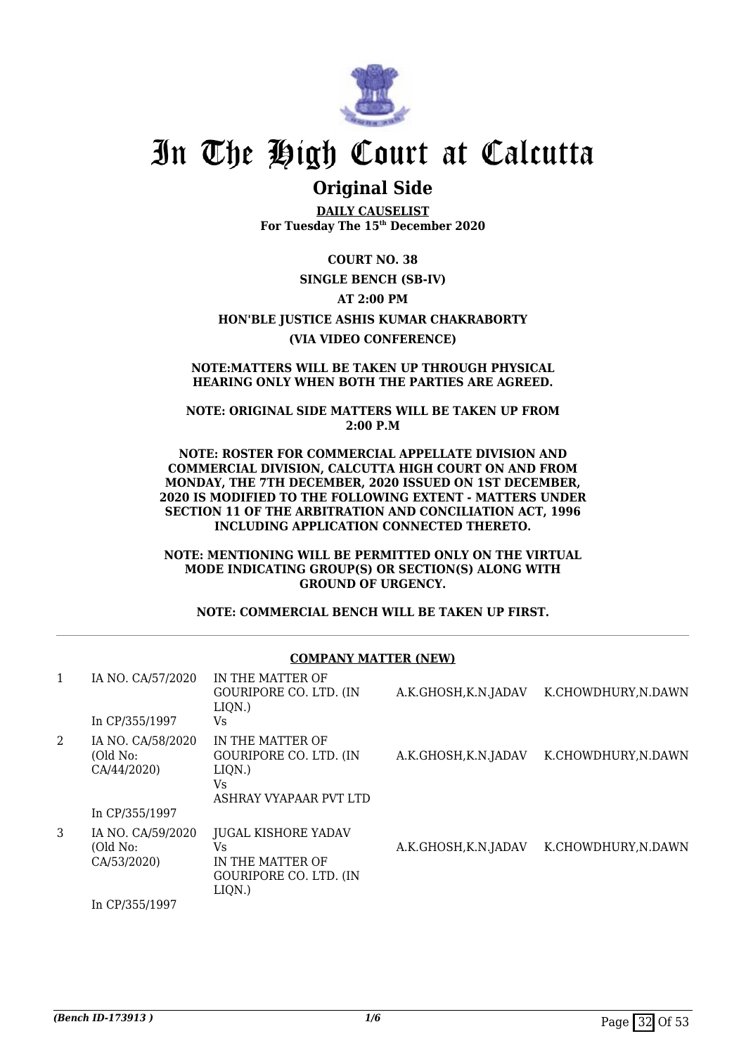

## **Original Side**

**DAILY CAUSELIST For Tuesday The 15th December 2020**

**COURT NO. 38**

**SINGLE BENCH (SB-IV)**

#### **AT 2:00 PM**

#### **HON'BLE JUSTICE ASHIS KUMAR CHAKRABORTY**

**(VIA VIDEO CONFERENCE)**

#### **NOTE:MATTERS WILL BE TAKEN UP THROUGH PHYSICAL HEARING ONLY WHEN BOTH THE PARTIES ARE AGREED.**

**NOTE: ORIGINAL SIDE MATTERS WILL BE TAKEN UP FROM 2:00 P.M**

**NOTE: ROSTER FOR COMMERCIAL APPELLATE DIVISION AND COMMERCIAL DIVISION, CALCUTTA HIGH COURT ON AND FROM MONDAY, THE 7TH DECEMBER, 2020 ISSUED ON 1ST DECEMBER, 2020 IS MODIFIED TO THE FOLLOWING EXTENT - MATTERS UNDER SECTION 11 OF THE ARBITRATION AND CONCILIATION ACT, 1996 INCLUDING APPLICATION CONNECTED THERETO.**

#### **NOTE: MENTIONING WILL BE PERMITTED ONLY ON THE VIRTUAL MODE INDICATING GROUP(S) OR SECTION(S) ALONG WITH GROUND OF URGENCY.**

**NOTE: COMMERCIAL BENCH WILL BE TAKEN UP FIRST.**

### **COMPANY MATTER (NEW)**

| 1 | IA NO. CA/57/2020                                              | IN THE MATTER OF<br>GOURIPORE CO. LTD. (IN<br>$LIQN.$ )                                      | A.K.GHOSH, K.N.JADAV | K.CHOWDHURY.N.DAWN  |
|---|----------------------------------------------------------------|----------------------------------------------------------------------------------------------|----------------------|---------------------|
|   | In CP/355/1997                                                 | Vs.                                                                                          |                      |                     |
| 2 | IA NO. CA/58/2020<br>(Old No:<br>CA/44/2020)<br>In CP/355/1997 | IN THE MATTER OF<br>GOURIPORE CO. LTD. (IN<br>LIQN.)<br>Vs<br>ASHRAY VYAPAAR PVT LTD         | A.K.GHOSH, K.N.JADAV | K.CHOWDHURY, N.DAWN |
| 3 | IA NO. CA/59/2020<br>(Old No:<br>CA/53/2020)                   | <b>JUGAL KISHORE YADAV</b><br>Vs.<br>IN THE MATTER OF<br>GOURIPORE CO. LTD. (IN<br>$LIQN.$ ) | A.K.GHOSH, K.N.JADAV | K.CHOWDHURY.N.DAWN  |
|   | In CP/355/1997                                                 |                                                                                              |                      |                     |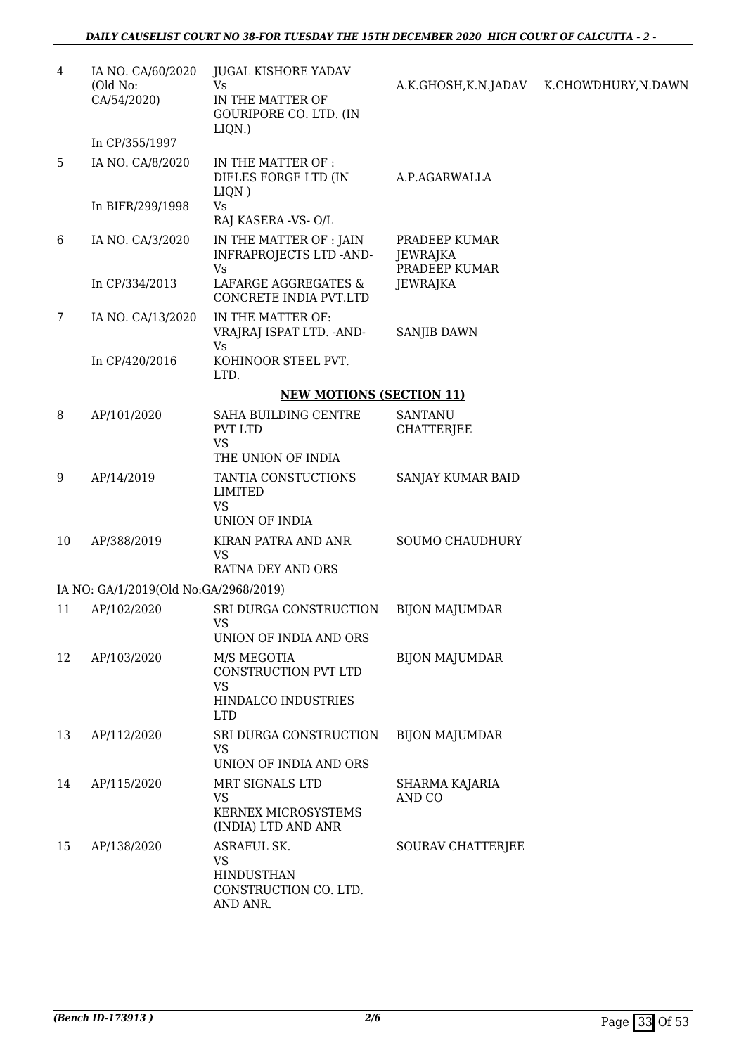| 4  | IA NO. CA/60/2020<br>(Old No:<br>CA/54/2020) | <b>JUGAL KISHORE YADAV</b><br>Vs<br>IN THE MATTER OF<br>GOURIPORE CO. LTD. (IN<br>LIQN.)   | A.K.GHOSH,K.N.JADAV                        | K.CHOWDHURY, N.DAWN |
|----|----------------------------------------------|--------------------------------------------------------------------------------------------|--------------------------------------------|---------------------|
|    | In CP/355/1997                               |                                                                                            |                                            |                     |
| 5  | IA NO. CA/8/2020                             | IN THE MATTER OF :<br>DIELES FORGE LTD (IN<br>LIQN)                                        | A.P.AGARWALLA                              |                     |
|    | In BIFR/299/1998                             | <b>Vs</b><br>RAJ KASERA -VS-O/L                                                            |                                            |                     |
| 6  | IA NO. CA/3/2020                             | IN THE MATTER OF : JAIN<br>INFRAPROJECTS LTD -AND-<br>Vs                                   | PRADEEP KUMAR<br>JEWRAJKA<br>PRADEEP KUMAR |                     |
|    | In CP/334/2013                               | LAFARGE AGGREGATES &<br>CONCRETE INDIA PVT.LTD                                             | <b>JEWRAJKA</b>                            |                     |
| 7  | IA NO. CA/13/2020                            | IN THE MATTER OF:<br>VRAJRAJ ISPAT LTD. - AND-                                             | <b>SANJIB DAWN</b>                         |                     |
|    | In CP/420/2016                               | Vs<br>KOHINOOR STEEL PVT.<br>LTD.                                                          |                                            |                     |
|    |                                              | <b>NEW MOTIONS (SECTION 11)</b>                                                            |                                            |                     |
| 8  | AP/101/2020                                  | SAHA BUILDING CENTRE<br>PVT LTD<br><b>VS</b>                                               | <b>SANTANU</b><br><b>CHATTERJEE</b>        |                     |
| 9  | AP/14/2019                                   | THE UNION OF INDIA<br>TANTIA CONSTUCTIONS<br><b>LIMITED</b><br><b>VS</b><br>UNION OF INDIA | SANJAY KUMAR BAID                          |                     |
| 10 | AP/388/2019                                  | KIRAN PATRA AND ANR<br>VS<br>RATNA DEY AND ORS                                             | <b>SOUMO CHAUDHURY</b>                     |                     |
|    | IA NO: GA/1/2019(Old No:GA/2968/2019)        |                                                                                            |                                            |                     |
| 11 | AP/102/2020                                  | SRI DURGA CONSTRUCTION<br><b>VS</b><br>UNION OF INDIA AND ORS                              | <b>BIJON MAJUMDAR</b>                      |                     |
| 12 | AP/103/2020                                  | M/S MEGOTIA<br>CONSTRUCTION PVT LTD<br>VS<br>HINDALCO INDUSTRIES<br><b>LTD</b>             | <b>BIJON MAJUMDAR</b>                      |                     |
| 13 | AP/112/2020                                  | SRI DURGA CONSTRUCTION<br><b>VS</b><br>UNION OF INDIA AND ORS                              | <b>BIJON MAJUMDAR</b>                      |                     |
| 14 | AP/115/2020                                  | MRT SIGNALS LTD<br>VS<br>KERNEX MICROSYSTEMS<br>(INDIA) LTD AND ANR                        | SHARMA KAJARIA<br>AND CO                   |                     |
| 15 | AP/138/2020                                  | ASRAFUL SK.<br><b>VS</b><br><b>HINDUSTHAN</b><br>CONSTRUCTION CO. LTD.<br>AND ANR.         | SOURAV CHATTERJEE                          |                     |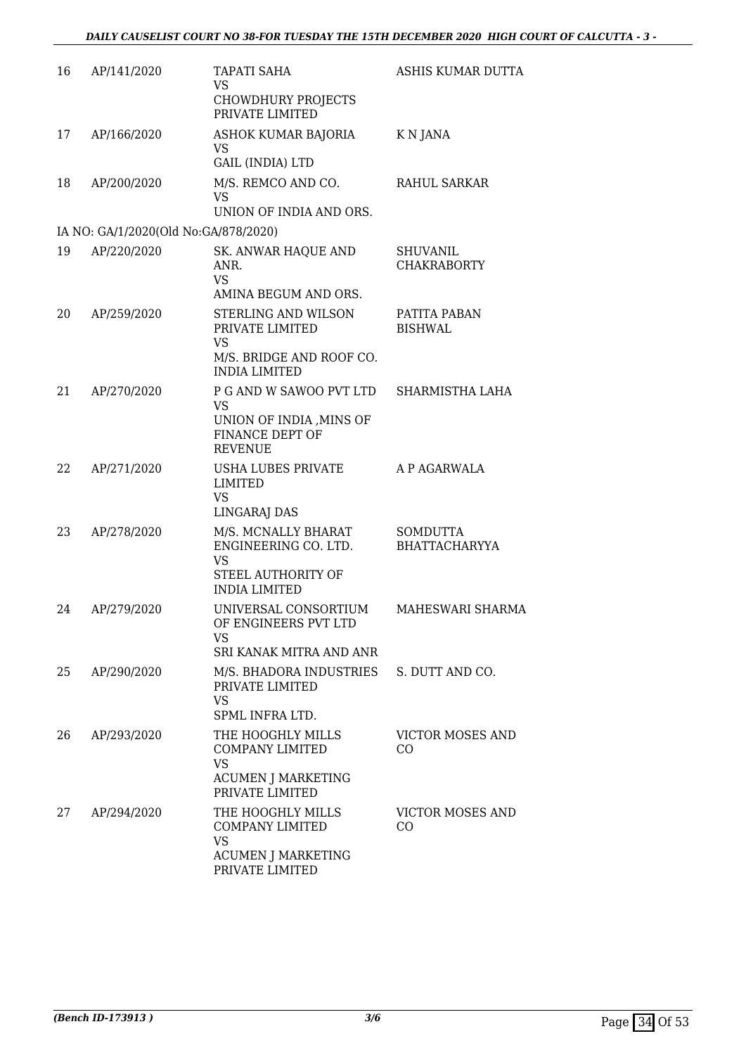| 16 | AP/141/2020                          | <b>TAPATI SAHA</b><br><b>VS</b><br><b>CHOWDHURY PROJECTS</b><br>PRIVATE LIMITED                          | ASHIS KUMAR DUTTA                       |
|----|--------------------------------------|----------------------------------------------------------------------------------------------------------|-----------------------------------------|
| 17 | AP/166/2020                          | ASHOK KUMAR BAJORIA<br>VS<br><b>GAIL (INDIA) LTD</b>                                                     | K N JANA                                |
| 18 | AP/200/2020                          | M/S. REMCO AND CO.<br><b>VS</b><br>UNION OF INDIA AND ORS.                                               | RAHUL SARKAR                            |
|    | IA NO: GA/1/2020(Old No:GA/878/2020) |                                                                                                          |                                         |
| 19 | AP/220/2020                          | SK. ANWAR HAQUE AND<br>ANR.<br><b>VS</b>                                                                 | SHUVANIL<br><b>CHAKRABORTY</b>          |
|    |                                      | AMINA BEGUM AND ORS.                                                                                     |                                         |
| 20 | AP/259/2020                          | STERLING AND WILSON<br>PRIVATE LIMITED<br><b>VS</b>                                                      | PATITA PABAN<br><b>BISHWAL</b>          |
|    |                                      | M/S. BRIDGE AND ROOF CO.<br><b>INDIA LIMITED</b>                                                         |                                         |
| 21 | AP/270/2020                          | P G AND W SAWOO PVT LTD<br><b>VS</b>                                                                     | SHARMISTHA LAHA                         |
|    |                                      | UNION OF INDIA, MINS OF<br>FINANCE DEPT OF<br><b>REVENUE</b>                                             |                                         |
| 22 | AP/271/2020                          | USHA LUBES PRIVATE<br>LIMITED<br><b>VS</b><br><b>LINGARAJ DAS</b>                                        | A P AGARWALA                            |
| 23 | AP/278/2020                          | M/S. MCNALLY BHARAT<br>ENGINEERING CO. LTD.<br>VS<br>STEEL AUTHORITY OF<br><b>INDIA LIMITED</b>          | <b>SOMDUTTA</b><br><b>BHATTACHARYYA</b> |
| 24 | AP/279/2020                          | UNIVERSAL CONSORTIUM<br>OF ENGINEERS PVT LTD<br>VS                                                       | MAHESWARI SHARMA                        |
|    |                                      | SRI KANAK MITRA AND ANR                                                                                  |                                         |
| 25 | AP/290/2020                          | M/S. BHADORA INDUSTRIES<br>PRIVATE LIMITED<br><b>VS</b><br>SPML INFRA LTD.                               | S. DUTT AND CO.                         |
| 26 | AP/293/2020                          | THE HOOGHLY MILLS<br><b>COMPANY LIMITED</b><br>VS<br><b>ACUMEN J MARKETING</b><br>PRIVATE LIMITED        | VICTOR MOSES AND<br>CO                  |
| 27 | AP/294/2020                          | THE HOOGHLY MILLS<br><b>COMPANY LIMITED</b><br><b>VS</b><br><b>ACUMEN J MARKETING</b><br>PRIVATE LIMITED | <b>VICTOR MOSES AND</b><br>CO           |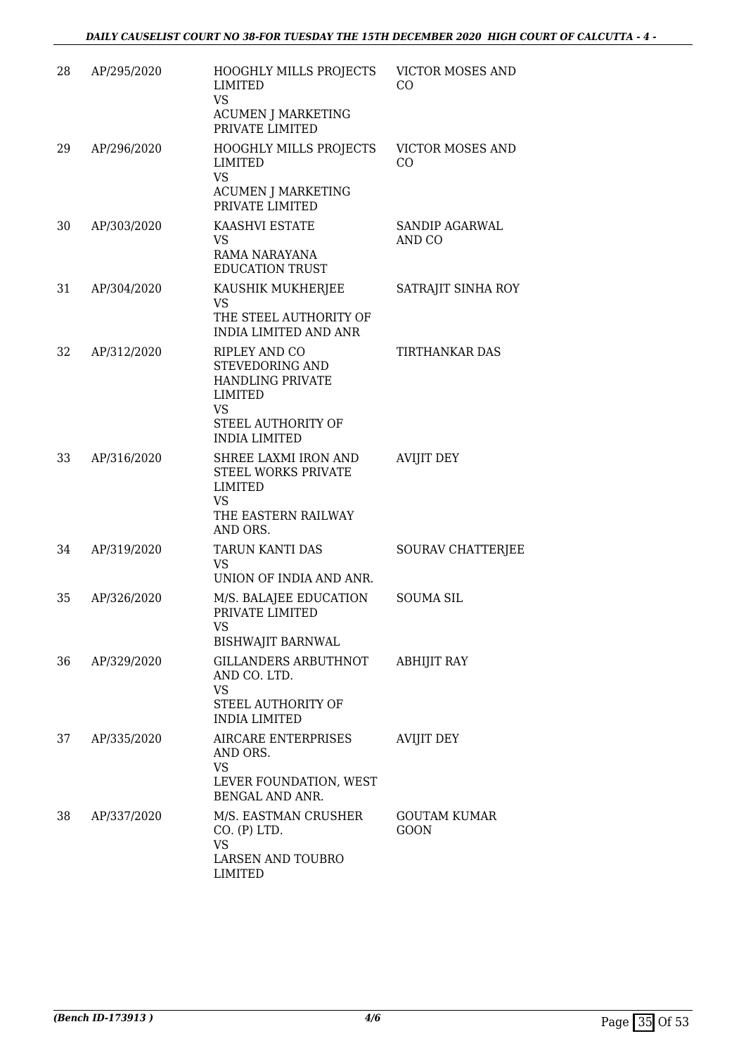| 28 | AP/295/2020 | HOOGHLY MILLS PROJECTS<br>LIMITED<br><b>VS</b><br><b>ACUMEN J MARKETING</b><br>PRIVATE LIMITED                                                  | <b>VICTOR MOSES AND</b><br>CO      |
|----|-------------|-------------------------------------------------------------------------------------------------------------------------------------------------|------------------------------------|
| 29 | AP/296/2020 | HOOGHLY MILLS PROJECTS<br>LIMITED<br><b>VS</b><br><b>ACUMEN J MARKETING</b><br>PRIVATE LIMITED                                                  | <b>VICTOR MOSES AND</b><br>CO.     |
| 30 | AP/303/2020 | KAASHVI ESTATE<br>VS<br>RAMA NARAYANA<br><b>EDUCATION TRUST</b>                                                                                 | <b>SANDIP AGARWAL</b><br>AND CO    |
| 31 | AP/304/2020 | KAUSHIK MUKHERJEE<br><b>VS</b><br>THE STEEL AUTHORITY OF<br><b>INDIA LIMITED AND ANR</b>                                                        | SATRAJIT SINHA ROY                 |
| 32 | AP/312/2020 | <b>RIPLEY AND CO</b><br><b>STEVEDORING AND</b><br><b>HANDLING PRIVATE</b><br>LIMITED<br><b>VS</b><br>STEEL AUTHORITY OF<br><b>INDIA LIMITED</b> | TIRTHANKAR DAS                     |
| 33 | AP/316/2020 | SHREE LAXMI IRON AND<br><b>STEEL WORKS PRIVATE</b><br>LIMITED<br>VS<br>THE EASTERN RAILWAY<br>AND ORS.                                          | <b>AVIJIT DEY</b>                  |
| 34 | AP/319/2020 | TARUN KANTI DAS<br>VS<br>UNION OF INDIA AND ANR.                                                                                                | SOURAV CHATTERJEE                  |
| 35 | AP/326/2020 | M/S. BALAJEE EDUCATION<br>PRIVATE LIMITED<br><b>VS</b><br><b>BISHWAJIT BARNWAL</b>                                                              | <b>SOUMA SIL</b>                   |
| 36 | AP/329/2020 | GILLANDERS ARBUTHNOT<br>AND CO. LTD.<br>VS<br>STEEL AUTHORITY OF<br><b>INDIA LIMITED</b>                                                        | <b>ABHIJIT RAY</b>                 |
| 37 | AP/335/2020 | AIRCARE ENTERPRISES<br>AND ORS.<br>VS<br>LEVER FOUNDATION, WEST<br>BENGAL AND ANR.                                                              | <b>AVIJIT DEY</b>                  |
| 38 | AP/337/2020 | M/S. EASTMAN CRUSHER<br>CO. (P) LTD.<br><b>VS</b><br>LARSEN AND TOUBRO<br><b>LIMITED</b>                                                        | <b>GOUTAM KUMAR</b><br><b>GOON</b> |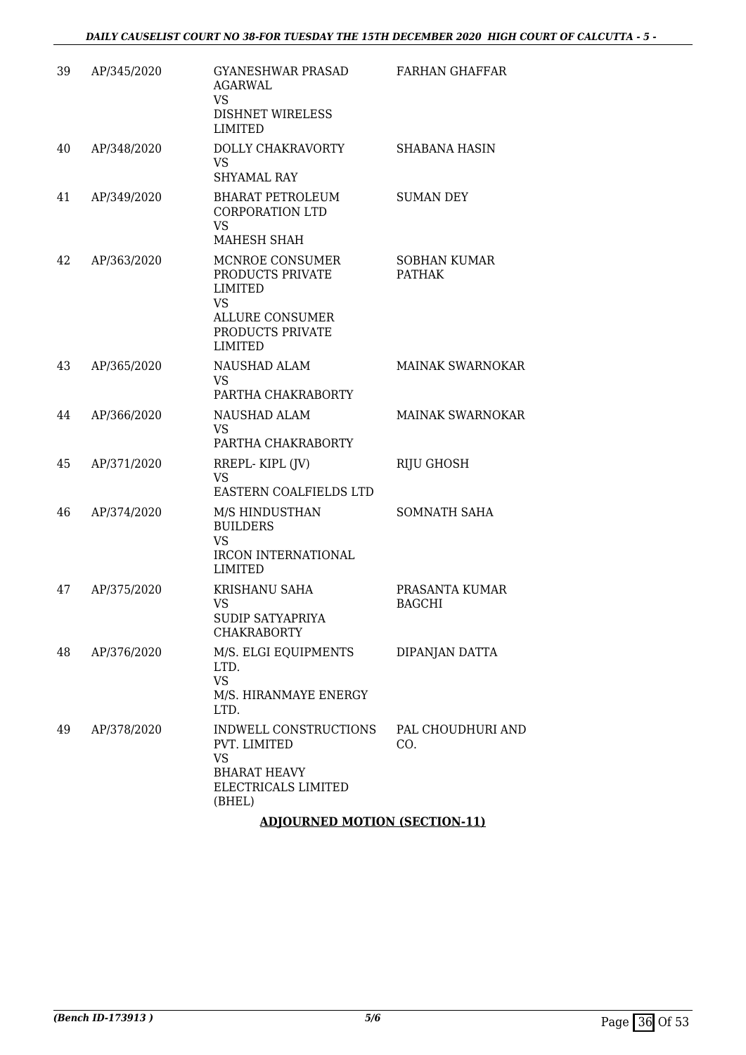| 39 | AP/345/2020 | GYANESHWAR PRASAD<br>AGARWAL<br>VS.                                                                                                | FARHAN GHAFFAR                       |
|----|-------------|------------------------------------------------------------------------------------------------------------------------------------|--------------------------------------|
|    |             | DISHNET WIRELESS<br><b>LIMITED</b>                                                                                                 |                                      |
| 40 | AP/348/2020 | DOLLY CHAKRAVORTY<br><b>VS</b><br><b>SHYAMAL RAY</b>                                                                               | <b>SHABANA HASIN</b>                 |
| 41 | AP/349/2020 | BHARAT PETROLEUM<br><b>CORPORATION LTD</b><br><b>VS</b><br><b>MAHESH SHAH</b>                                                      | <b>SUMAN DEY</b>                     |
| 42 | AP/363/2020 | MCNROE CONSUMER<br>PRODUCTS PRIVATE<br><b>LIMITED</b><br><b>VS</b><br><b>ALLURE CONSUMER</b><br>PRODUCTS PRIVATE<br><b>LIMITED</b> | <b>SOBHAN KUMAR</b><br><b>PATHAK</b> |
| 43 | AP/365/2020 | NAUSHAD ALAM<br><b>VS</b><br>PARTHA CHAKRABORTY                                                                                    | <b>MAINAK SWARNOKAR</b>              |
| 44 | AP/366/2020 | NAUSHAD ALAM<br><b>VS</b><br>PARTHA CHAKRABORTY                                                                                    | <b>MAINAK SWARNOKAR</b>              |
| 45 | AP/371/2020 | RREPL-KIPL (JV)<br><b>VS</b><br>EASTERN COALFIELDS LTD                                                                             | <b>RIJU GHOSH</b>                    |
| 46 | AP/374/2020 | M/S HINDUSTHAN<br><b>BUILDERS</b><br><b>VS</b><br>IRCON INTERNATIONAL<br><b>LIMITED</b>                                            | <b>SOMNATH SAHA</b>                  |
| 47 | AP/375/2020 | <b>KRISHANU SAHA</b><br>VS<br><b>SUDIP SATYAPRIYA</b><br><b>CHAKRABORTY</b>                                                        | PRASANTA KUMAR<br><b>BAGCHI</b>      |
| 48 | AP/376/2020 | M/S. ELGI EQUIPMENTS<br>LTD.<br><b>VS</b><br>M/S. HIRANMAYE ENERGY<br>LTD.                                                         | DIPANJAN DATTA                       |
| 49 | AP/378/2020 | INDWELL CONSTRUCTIONS<br>PVT. LIMITED<br>VS<br><b>BHARAT HEAVY</b><br>ELECTRICALS LIMITED<br>(BHEL)                                | PAL CHOUDHURI AND<br>CO.             |

## **ADJOURNED MOTION (SECTION-11)**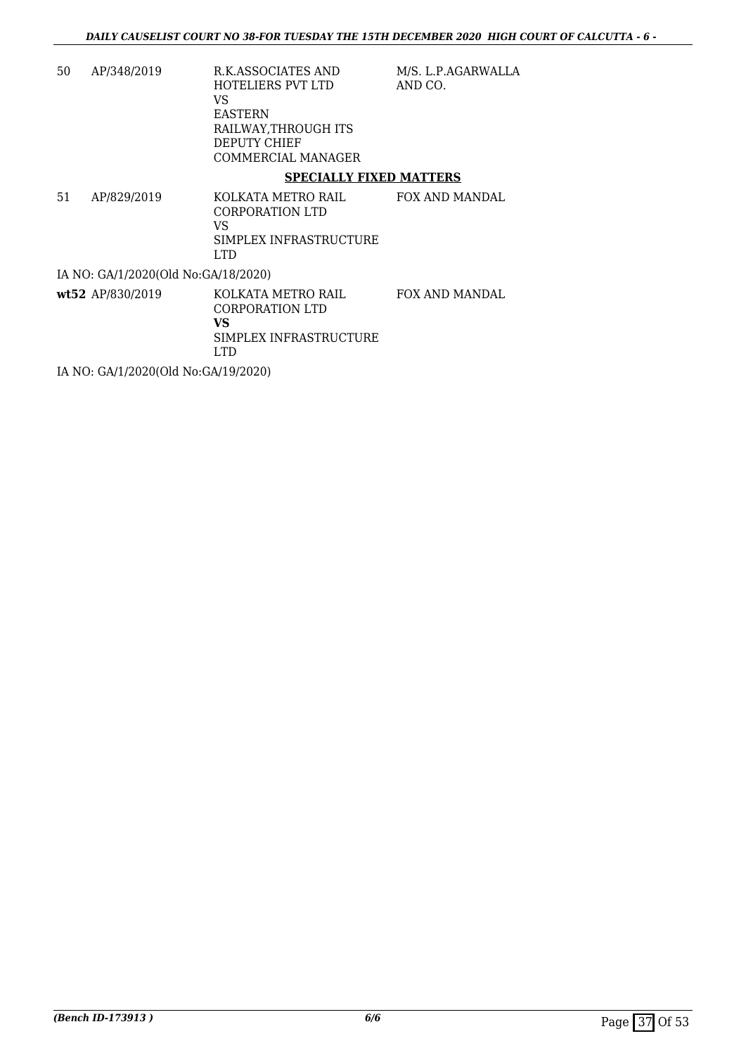- 50 AP/348/2019 R.K.ASSOCIATES AND HOTELIERS PVT LTD VS EASTERN RAILWAY,THROUGH ITS DEPUTY CHIEF COMMERCIAL MANAGER M/S. L.P.AGARWALLA AND CO. **SPECIALLY FIXED MATTERS**
- 51 AP/829/2019 KOLKATA METRO RAIL CORPORATION LTD VS SIMPLEX INFRASTRUCTURE LTD FOX AND MANDAL IA NO: GA/1/2020(Old No:GA/18/2020)
- **wt52** AP/830/2019 KOLKATA METRO RAIL CORPORATION LTD **VS** SIMPLEX INFRASTRUCTURE LTD FOX AND MANDAL

IA NO: GA/1/2020(Old No:GA/19/2020)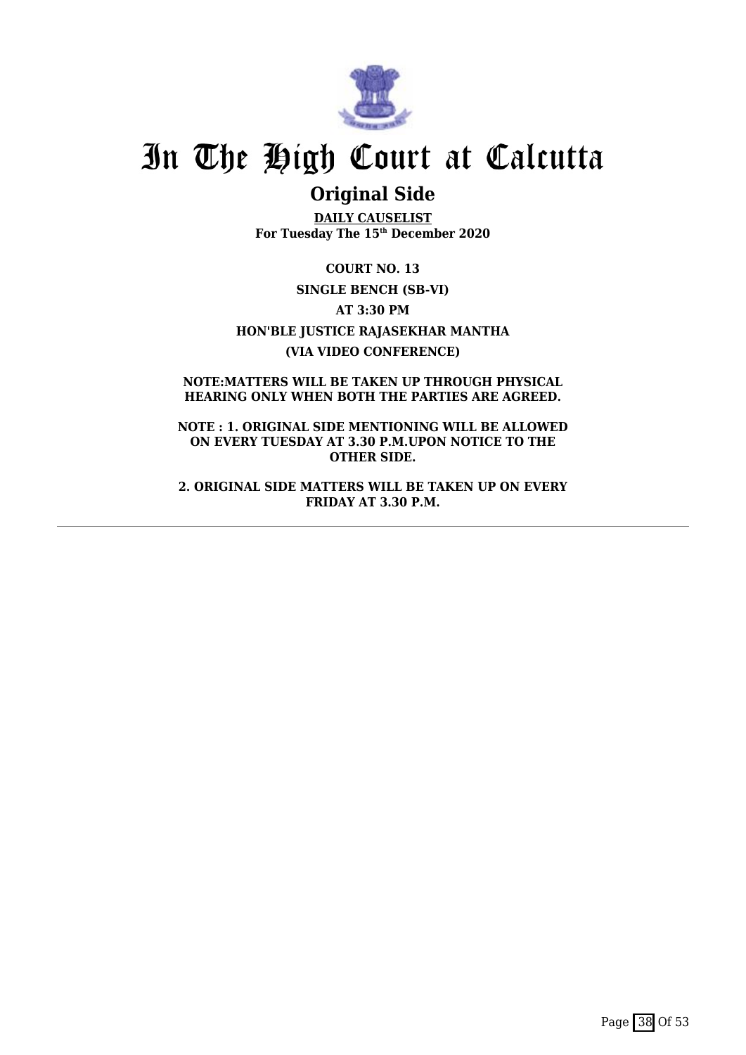

## **Original Side**

**DAILY CAUSELIST For Tuesday The 15th December 2020**

**COURT NO. 13 SINGLE BENCH (SB-VI) AT 3:30 PM HON'BLE JUSTICE RAJASEKHAR MANTHA (VIA VIDEO CONFERENCE)**

**NOTE:MATTERS WILL BE TAKEN UP THROUGH PHYSICAL HEARING ONLY WHEN BOTH THE PARTIES ARE AGREED.**

**NOTE : 1. ORIGINAL SIDE MENTIONING WILL BE ALLOWED ON EVERY TUESDAY AT 3.30 P.M.UPON NOTICE TO THE OTHER SIDE.**

**2. ORIGINAL SIDE MATTERS WILL BE TAKEN UP ON EVERY FRIDAY AT 3.30 P.M.**

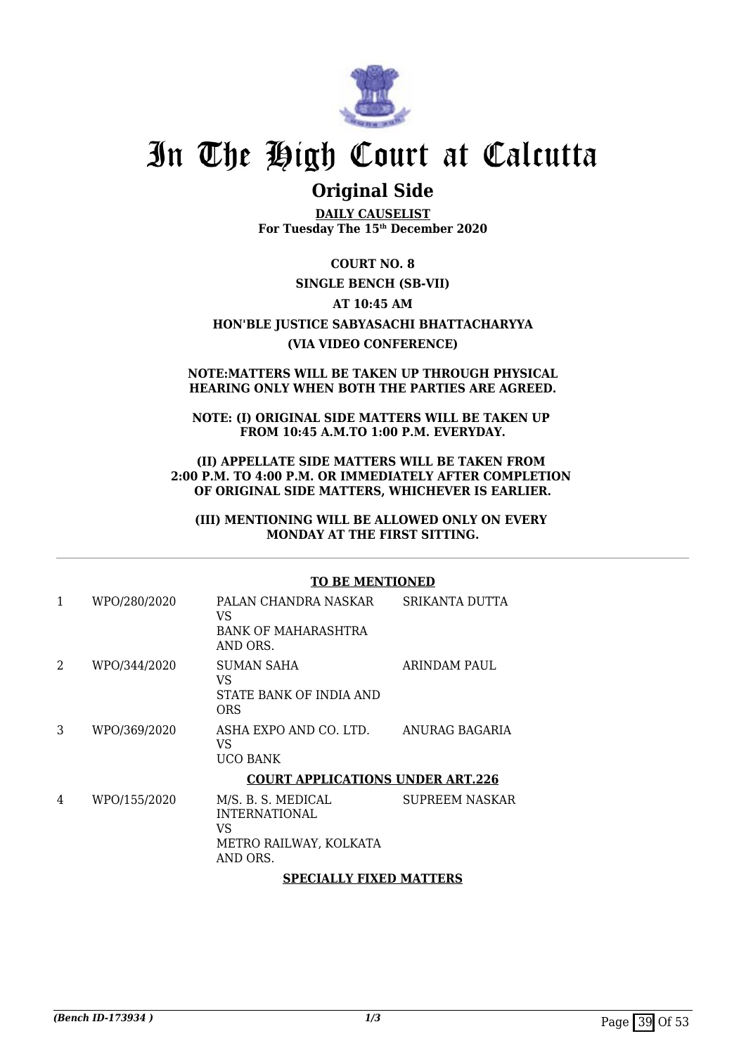

## **Original Side**

**DAILY CAUSELIST For Tuesday The 15th December 2020**

### **COURT NO. 8**

### **SINGLE BENCH (SB-VII)**

## **AT 10:45 AM**

### **HON'BLE JUSTICE SABYASACHI BHATTACHARYYA (VIA VIDEO CONFERENCE)**

#### **NOTE:MATTERS WILL BE TAKEN UP THROUGH PHYSICAL HEARING ONLY WHEN BOTH THE PARTIES ARE AGREED.**

#### **NOTE: (I) ORIGINAL SIDE MATTERS WILL BE TAKEN UP FROM 10:45 A.M.TO 1:00 P.M. EVERYDAY.**

#### **(II) APPELLATE SIDE MATTERS WILL BE TAKEN FROM 2:00 P.M. TO 4:00 P.M. OR IMMEDIATELY AFTER COMPLETION OF ORIGINAL SIDE MATTERS, WHICHEVER IS EARLIER.**

#### **(III) MENTIONING WILL BE ALLOWED ONLY ON EVERY MONDAY AT THE FIRST SITTING.**

#### **TO BE MENTIONED** 1 WPO/280/2020 PALAN CHANDRA NASKAR  $V<sub>S</sub>$ BANK OF MAHARASHTRA AND ORS. SRIKANTA DUTTA 2 WPO/344/2020 SUMAN SAHA VS STATE BANK OF INDIA AND ORS ARINDAM PAUL 3 WPO/369/2020 ASHA EXPO AND CO. LTD. VS UCO BANK ANURAG BAGARIA **COURT APPLICATIONS UNDER ART.226** 4 WPO/155/2020 M/S. B. S. MEDICAL INTERNATIONAL VS METRO RAILWAY, KOLKATA AND ORS. SUPREEM NASKAR

### **SPECIALLY FIXED MATTERS**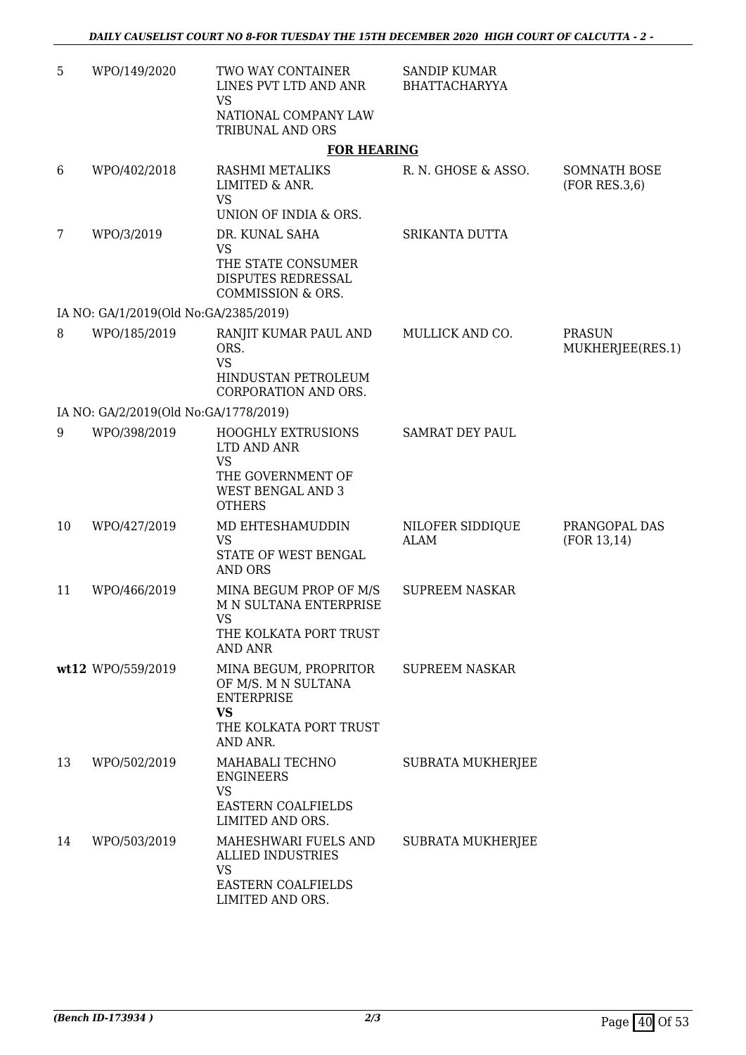| 5  | WPO/149/2020                          | TWO WAY CONTAINER<br>LINES PVT LTD AND ANR<br>VS<br>NATIONAL COMPANY LAW                                                | <b>SANDIP KUMAR</b><br><b>BHATTACHARYYA</b> |                                      |
|----|---------------------------------------|-------------------------------------------------------------------------------------------------------------------------|---------------------------------------------|--------------------------------------|
|    |                                       | TRIBUNAL AND ORS<br><b>FOR HEARING</b>                                                                                  |                                             |                                      |
| 6  | WPO/402/2018                          | RASHMI METALIKS<br>LIMITED & ANR.<br><b>VS</b>                                                                          | R. N. GHOSE & ASSO.                         | <b>SOMNATH BOSE</b><br>(FOR RES.3,6) |
|    |                                       | UNION OF INDIA & ORS.                                                                                                   |                                             |                                      |
| 7  | WPO/3/2019                            | DR. KUNAL SAHA<br><b>VS</b><br>THE STATE CONSUMER<br>DISPUTES REDRESSAL<br>COMMISSION & ORS.                            | SRIKANTA DUTTA                              |                                      |
|    | IA NO: GA/1/2019(Old No:GA/2385/2019) |                                                                                                                         |                                             |                                      |
| 8  | WPO/185/2019                          | RANJIT KUMAR PAUL AND<br>ORS.<br><b>VS</b><br>HINDUSTAN PETROLEUM<br>CORPORATION AND ORS.                               | MULLICK AND CO.                             | <b>PRASUN</b><br>MUKHERJEE(RES.1)    |
|    | IA NO: GA/2/2019(Old No:GA/1778/2019) |                                                                                                                         |                                             |                                      |
| 9  | WPO/398/2019                          | <b>HOOGHLY EXTRUSIONS</b><br>LTD AND ANR<br><b>VS</b><br>THE GOVERNMENT OF<br><b>WEST BENGAL AND 3</b><br><b>OTHERS</b> | <b>SAMRAT DEY PAUL</b>                      |                                      |
| 10 | WPO/427/2019                          | MD EHTESHAMUDDIN<br><b>VS</b><br>STATE OF WEST BENGAL<br><b>AND ORS</b>                                                 | NILOFER SIDDIQUE<br><b>ALAM</b>             | PRANGOPAL DAS<br>(FOR 13, 14)        |
| 11 | WPO/466/2019                          | MINA BEGUM PROP OF M/S<br><b>M N SULTANA ENTERPRISE</b><br>VS<br>THE KOLKATA PORT TRUST<br><b>AND ANR</b>               | <b>SUPREEM NASKAR</b>                       |                                      |
|    | wt12 WPO/559/2019                     | MINA BEGUM, PROPRITOR<br>OF M/S. M N SULTANA<br><b>ENTERPRISE</b><br><b>VS</b><br>THE KOLKATA PORT TRUST<br>AND ANR.    | <b>SUPREEM NASKAR</b>                       |                                      |
| 13 | WPO/502/2019                          | MAHABALI TECHNO<br><b>ENGINEERS</b><br><b>VS</b><br>EASTERN COALFIELDS<br>LIMITED AND ORS.                              | SUBRATA MUKHERJEE                           |                                      |
| 14 | WPO/503/2019                          | MAHESHWARI FUELS AND<br><b>ALLIED INDUSTRIES</b><br><b>VS</b><br>EASTERN COALFIELDS<br>LIMITED AND ORS.                 | SUBRATA MUKHERJEE                           |                                      |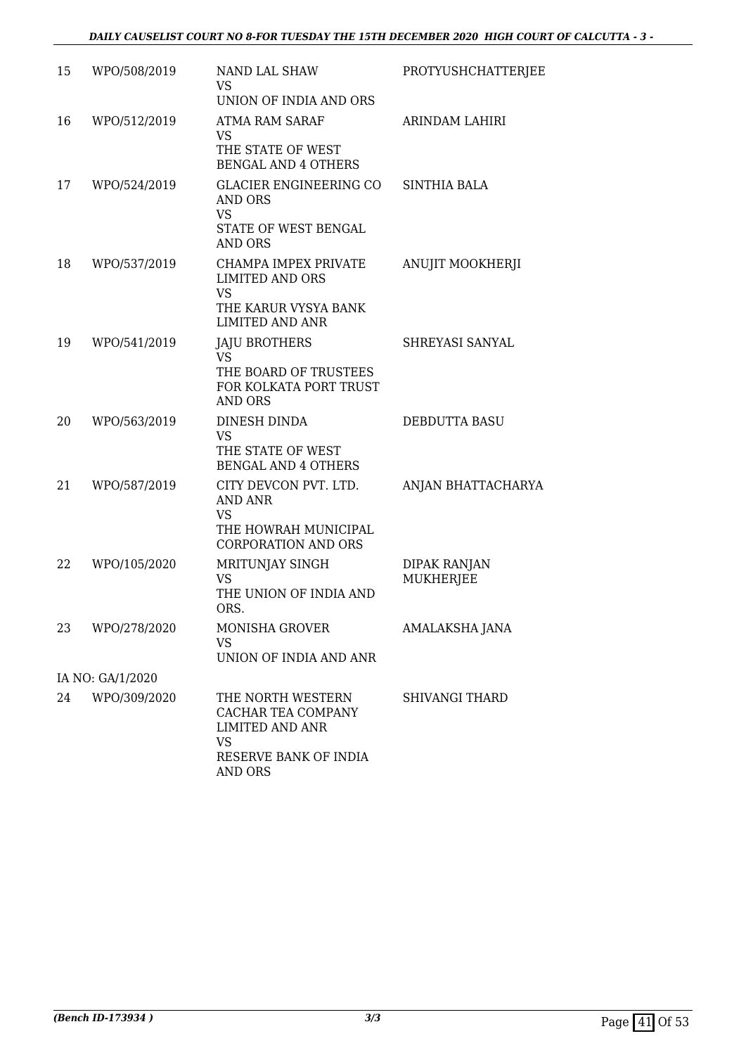| 15 | WPO/508/2019     | NAND LAL SHAW<br>VS.<br>UNION OF INDIA AND ORS                                                                     | PROTYUSHCHATTERJEE                      |
|----|------------------|--------------------------------------------------------------------------------------------------------------------|-----------------------------------------|
| 16 | WPO/512/2019     | ATMA RAM SARAF<br>VS.<br>THE STATE OF WEST<br><b>BENGAL AND 4 OTHERS</b>                                           | ARINDAM LAHIRI                          |
| 17 | WPO/524/2019     | GLACIER ENGINEERING CO<br>AND ORS<br><b>VS</b><br>STATE OF WEST BENGAL<br>AND ORS                                  | <b>SINTHIA BALA</b>                     |
| 18 | WPO/537/2019     | CHAMPA IMPEX PRIVATE<br><b>LIMITED AND ORS</b><br><b>VS</b><br>THE KARUR VYSYA BANK<br><b>LIMITED AND ANR</b>      | ANUJIT MOOKHERJI                        |
| 19 | WPO/541/2019     | <b>JAJU BROTHERS</b><br>VS.<br>THE BOARD OF TRUSTEES<br>FOR KOLKATA PORT TRUST<br><b>AND ORS</b>                   | SHREYASI SANYAL                         |
| 20 | WPO/563/2019     | DINESH DINDA<br><b>VS</b><br>THE STATE OF WEST<br><b>BENGAL AND 4 OTHERS</b>                                       | DEBDUTTA BASU                           |
| 21 | WPO/587/2019     | CITY DEVCON PVT. LTD.<br>AND ANR<br><b>VS</b><br>THE HOWRAH MUNICIPAL<br><b>CORPORATION AND ORS</b>                | ANJAN BHATTACHARYA                      |
| 22 | WPO/105/2020     | MRITUNJAY SINGH<br><b>VS</b><br>THE UNION OF INDIA AND<br>ORS.                                                     | <b>DIPAK RANJAN</b><br><b>MUKHERJEE</b> |
| 23 | WPO/278/2020     | MONISHA GROVER<br><b>VS</b><br>UNION OF INDIA AND ANR                                                              | <b>AMALAKSHA JANA</b>                   |
|    | IA NO: GA/1/2020 |                                                                                                                    |                                         |
| 24 | WPO/309/2020     | THE NORTH WESTERN<br>CACHAR TEA COMPANY<br><b>LIMITED AND ANR</b><br><b>VS</b><br>RESERVE BANK OF INDIA<br>AND ORS | <b>SHIVANGI THARD</b>                   |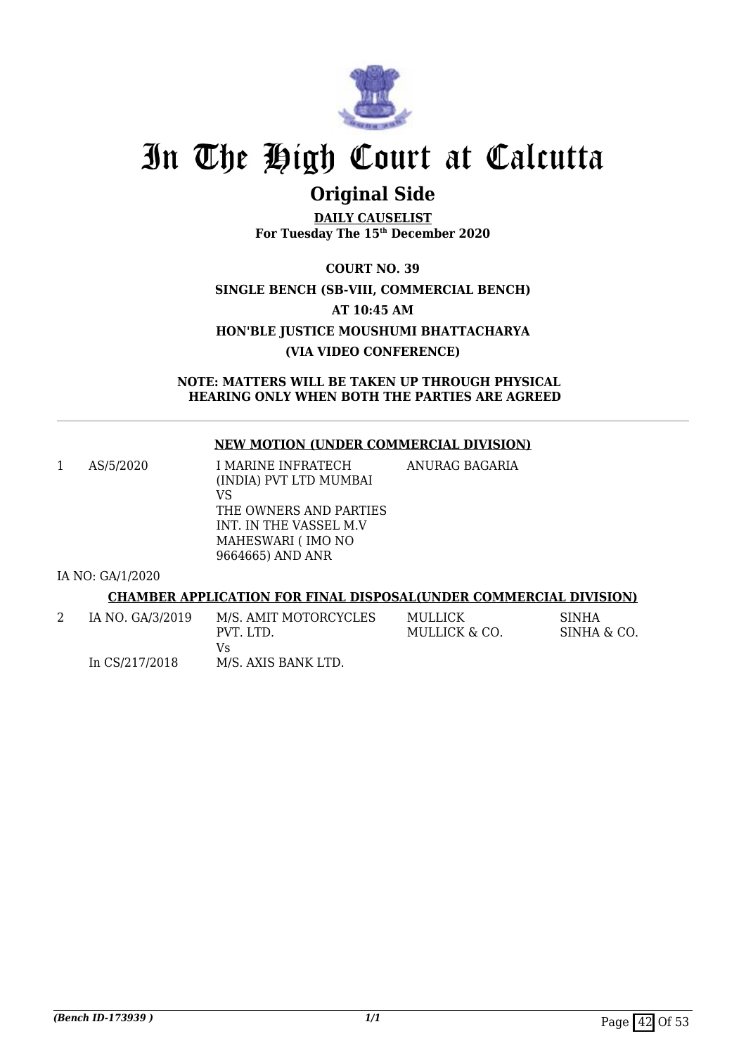

# **Original Side**

**DAILY CAUSELIST For Tuesday The 15th December 2020**

**COURT NO. 39 SINGLE BENCH (SB-VIII, COMMERCIAL BENCH) AT 10:45 AM HON'BLE JUSTICE MOUSHUMI BHATTACHARYA (VIA VIDEO CONFERENCE)**

**NOTE: MATTERS WILL BE TAKEN UP THROUGH PHYSICAL HEARING ONLY WHEN BOTH THE PARTIES ARE AGREED**

### **NEW MOTION (UNDER COMMERCIAL DIVISION)**

1 AS/5/2020 I MARINE INFRATECH (INDIA) PVT LTD MUMBAI VS THE OWNERS AND PARTIES INT. IN THE VASSEL M.V MAHESWARI ( IMO NO 9664665) AND ANR ANURAG BAGARIA

IA NO: GA/1/2020

### **CHAMBER APPLICATION FOR FINAL DISPOSAL(UNDER COMMERCIAL DIVISION)**

| IA NO. GA/3/2019 | M/S. AMIT MOTORCYCLES | MULLICK       | <b>SINHA</b> |
|------------------|-----------------------|---------------|--------------|
|                  | PVT. LTD.             | MULLICK & CO. | SINHA & CO.  |
|                  | Vs                    |               |              |
| In CS/217/2018   | M/S. AXIS BANK LTD.   |               |              |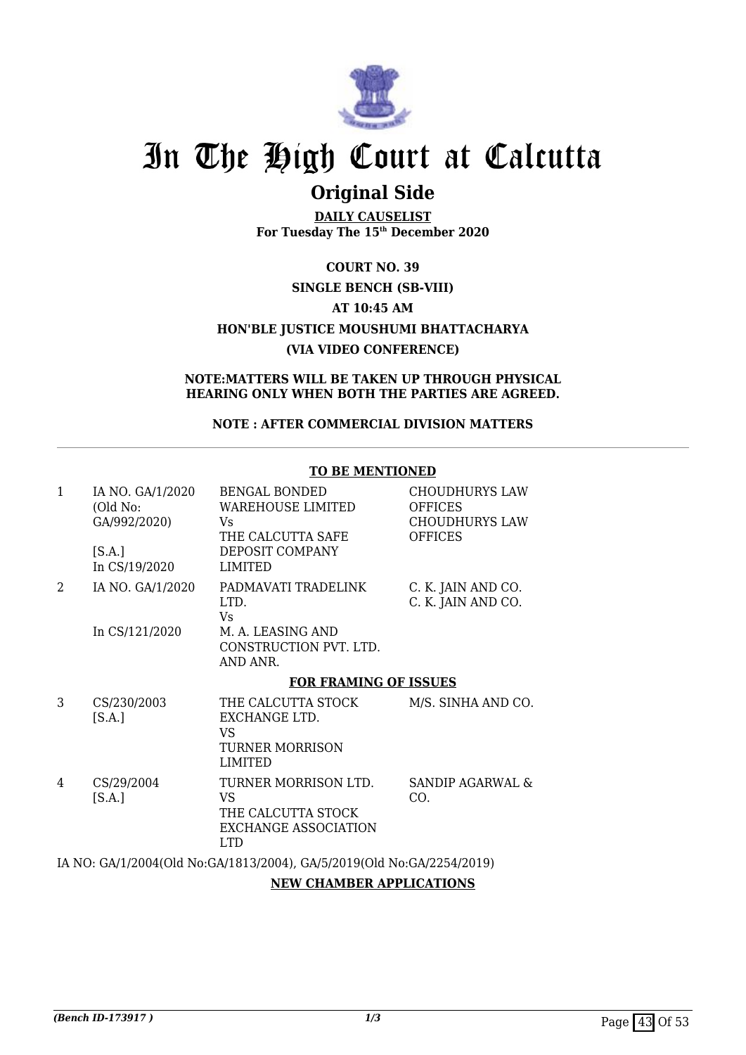

# **Original Side**

**DAILY CAUSELIST For Tuesday The 15th December 2020**

## **COURT NO. 39 SINGLE BENCH (SB-VIII) AT 10:45 AM HON'BLE JUSTICE MOUSHUMI BHATTACHARYA (VIA VIDEO CONFERENCE)**

#### **NOTE:MATTERS WILL BE TAKEN UP THROUGH PHYSICAL HEARING ONLY WHEN BOTH THE PARTIES ARE AGREED.**

### **NOTE : AFTER COMMERCIAL DIVISION MATTERS**

| $\mathbf{1}$                | IA NO. GA/1/2020<br>(Old No:<br>GA/992/2020)<br>[S.A.]<br>In CS/19/2020 | <b>BENGAL BONDED</b><br><b>WAREHOUSE LIMITED</b><br>Vs<br>THE CALCUTTA SAFE<br>DEPOSIT COMPANY<br><b>LIMITED</b> | <b>CHOUDHURYS LAW</b><br><b>OFFICES</b><br><b>CHOUDHURYS LAW</b><br><b>OFFICES</b> |
|-----------------------------|-------------------------------------------------------------------------|------------------------------------------------------------------------------------------------------------------|------------------------------------------------------------------------------------|
| $\mathcal{D}_{\mathcal{L}}$ | IA NO. GA/1/2020<br>In CS/121/2020                                      | PADMAVATI TRADELINK<br>LTD.<br>Vs<br>M. A. LEASING AND<br>CONSTRUCTION PVT. LTD.<br>AND ANR.                     | C. K. JAIN AND CO.<br>C. K. JAIN AND CO.                                           |
|                             |                                                                         | <b>FOR FRAMING OF ISSUES</b>                                                                                     |                                                                                    |
| 3                           | CS/230/2003<br>[S.A.]                                                   | THE CALCUTTA STOCK<br>EXCHANGE LTD.<br>VS                                                                        | M/S. SINHA AND CO.                                                                 |
|                             |                                                                         | TURNER MORRISON<br><b>LIMITED</b>                                                                                |                                                                                    |
| 4                           | CS/29/2004<br>[S.A.]                                                    | TURNER MORRISON LTD.<br>VS<br>THE CALCUTTA STOCK<br>EXCHANGE ASSOCIATION<br>LTD <sub>1</sub>                     | <b>SANDIP AGARWAL &amp;</b><br>CO.                                                 |

### **TO BE MENTIONED**

### IA NO: GA/1/2004(Old No:GA/1813/2004), GA/5/2019(Old No:GA/2254/2019)

### **NEW CHAMBER APPLICATIONS**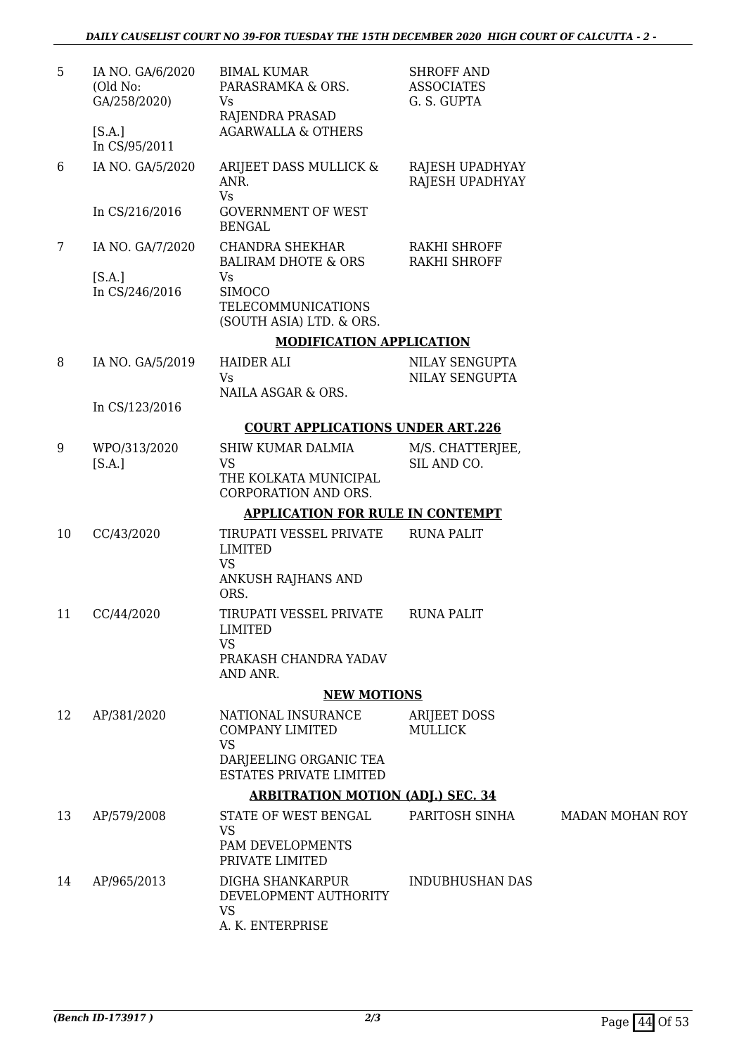| 5  | IA NO. GA/6/2020<br>(Old No:<br>GA/258/2020) | <b>BIMAL KUMAR</b><br>PARASRAMKA & ORS.<br>Vs<br>RAJENDRA PRASAD                                               | <b>SHROFF AND</b><br><b>ASSOCIATES</b><br>G. S. GUPTA |                        |
|----|----------------------------------------------|----------------------------------------------------------------------------------------------------------------|-------------------------------------------------------|------------------------|
|    | [S.A.]<br>In CS/95/2011                      | <b>AGARWALLA &amp; OTHERS</b>                                                                                  |                                                       |                        |
| 6  | IA NO. GA/5/2020                             | ARIJEET DASS MULLICK &<br>ANR.<br><b>Vs</b>                                                                    | RAJESH UPADHYAY<br>RAJESH UPADHYAY                    |                        |
|    | In CS/216/2016                               | <b>GOVERNMENT OF WEST</b><br><b>BENGAL</b>                                                                     |                                                       |                        |
| 7  | IA NO. GA/7/2020                             | <b>CHANDRA SHEKHAR</b><br><b>BALIRAM DHOTE &amp; ORS</b>                                                       | RAKHI SHROFF<br><b>RAKHI SHROFF</b>                   |                        |
|    | [S.A.]<br>In CS/246/2016                     | Vs<br><b>SIMOCO</b><br><b>TELECOMMUNICATIONS</b><br>(SOUTH ASIA) LTD. & ORS.                                   |                                                       |                        |
|    |                                              | <b>MODIFICATION APPLICATION</b>                                                                                |                                                       |                        |
| 8  | IA NO. GA/5/2019                             | <b>HAIDER ALI</b><br><b>Vs</b><br>NAILA ASGAR & ORS.                                                           | NILAY SENGUPTA<br>NILAY SENGUPTA                      |                        |
|    | In CS/123/2016                               |                                                                                                                |                                                       |                        |
|    |                                              | <b>COURT APPLICATIONS UNDER ART.226</b>                                                                        |                                                       |                        |
| 9  | WPO/313/2020<br>[S.A.]                       | <b>SHIW KUMAR DALMIA</b><br><b>VS</b><br>THE KOLKATA MUNICIPAL<br>CORPORATION AND ORS.                         | M/S. CHATTERJEE,<br>SIL AND CO.                       |                        |
|    |                                              | <b>APPLICATION FOR RULE IN CONTEMPT</b>                                                                        |                                                       |                        |
| 10 | CC/43/2020                                   | TIRUPATI VESSEL PRIVATE<br><b>LIMITED</b>                                                                      | <b>RUNA PALIT</b>                                     |                        |
|    |                                              | <b>VS</b><br>ANKUSH RAJHANS AND<br>ORS.                                                                        |                                                       |                        |
| 11 | CC/44/2020                                   | TIRUPATI VESSEL PRIVATE<br><b>LIMITED</b><br><b>VS</b>                                                         | <b>RUNA PALIT</b>                                     |                        |
|    |                                              | PRAKASH CHANDRA YADAV<br>AND ANR.                                                                              |                                                       |                        |
|    |                                              | <b>NEW MOTIONS</b>                                                                                             |                                                       |                        |
| 12 | AP/381/2020                                  | NATIONAL INSURANCE<br><b>COMPANY LIMITED</b><br><b>VS</b><br>DARJEELING ORGANIC TEA<br>ESTATES PRIVATE LIMITED | <b>ARIJEET DOSS</b><br><b>MULLICK</b>                 |                        |
|    |                                              | <b>ARBITRATION MOTION (ADJ.) SEC. 34</b>                                                                       |                                                       |                        |
| 13 | AP/579/2008                                  | STATE OF WEST BENGAL                                                                                           | PARITOSH SINHA                                        | <b>MADAN MOHAN ROY</b> |
|    |                                              | <b>VS</b><br>PAM DEVELOPMENTS<br>PRIVATE LIMITED                                                               |                                                       |                        |
| 14 | AP/965/2013                                  | DIGHA SHANKARPUR<br>DEVELOPMENT AUTHORITY<br><b>VS</b><br>A. K. ENTERPRISE                                     | <b>INDUBHUSHAN DAS</b>                                |                        |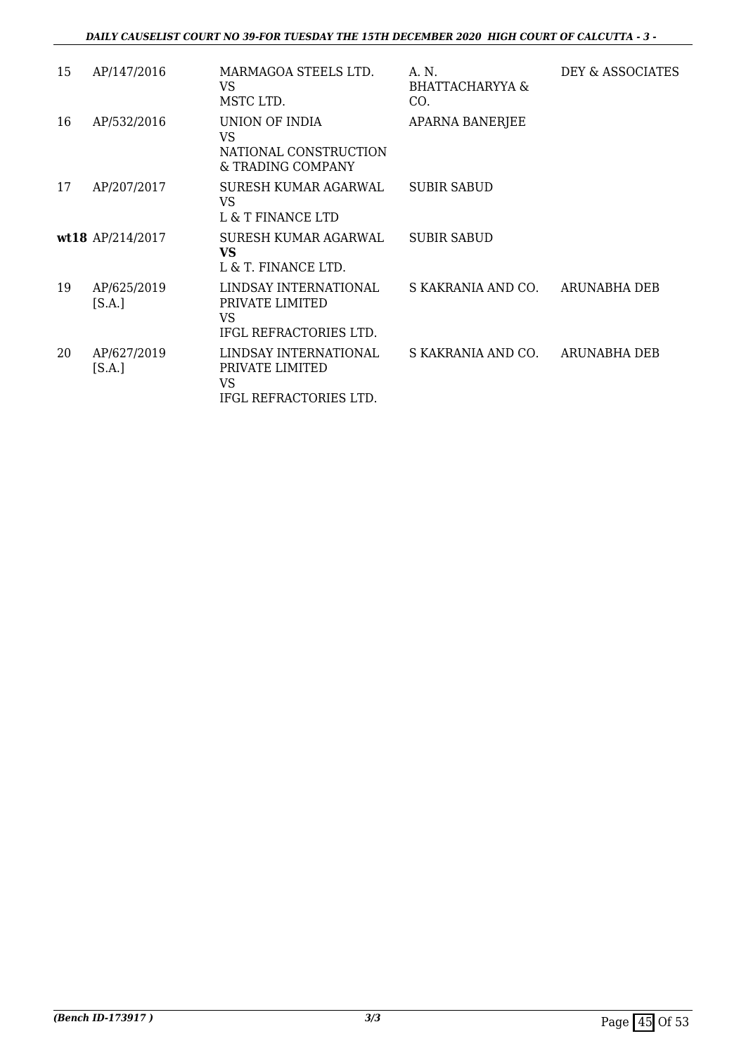*DAILY CAUSELIST COURT NO 39-FOR TUESDAY THE 15TH DECEMBER 2020 HIGH COURT OF CALCUTTA - 3 -* 

| 15 | AP/147/2016           | MARMAGOA STEELS LTD.<br>VS<br>MSTC LTD.                                  | A. N.<br>BHATTACHARYYA &<br>CO. | DEY & ASSOCIATES |
|----|-----------------------|--------------------------------------------------------------------------|---------------------------------|------------------|
| 16 | AP/532/2016           | UNION OF INDIA<br>VS<br>NATIONAL CONSTRUCTION<br>& TRADING COMPANY       | <b>APARNA BANERJEE</b>          |                  |
| 17 | AP/207/2017           | SURESH KUMAR AGARWAL<br>VS<br>L & T FINANCE LTD                          | <b>SUBIR SABUD</b>              |                  |
|    | wt18 AP/214/2017      | SURESH KUMAR AGARWAL<br><b>VS</b><br>L & T. FINANCE LTD.                 | <b>SUBIR SABUD</b>              |                  |
| 19 | AP/625/2019<br>[S.A.] | LINDSAY INTERNATIONAL<br>PRIVATE LIMITED<br>VS<br>IFGL REFRACTORIES LTD. | S KAKRANIA AND CO.              | ARUNABHA DEB     |
| 20 | AP/627/2019<br>[S.A.] | LINDSAY INTERNATIONAL<br>PRIVATE LIMITED<br>VS<br>IFGL REFRACTORIES LTD. | S KAKRANIA AND CO.              | ARUNABHA DEB     |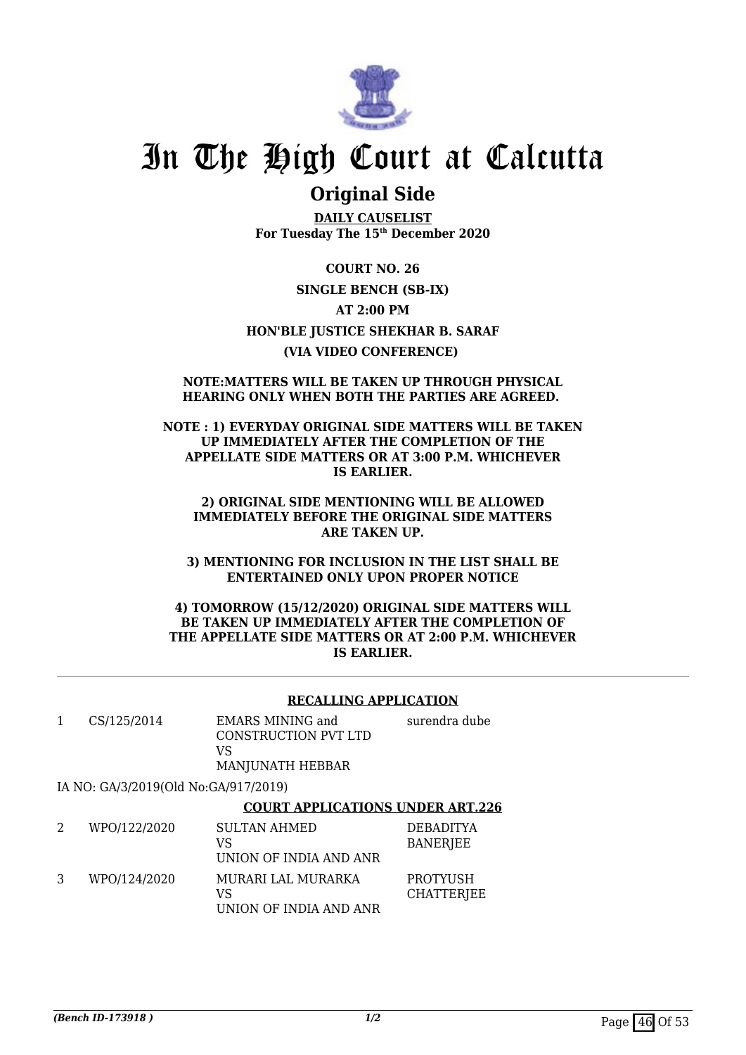

## **Original Side**

**DAILY CAUSELIST For Tuesday The 15th December 2020**

**COURT NO. 26 SINGLE BENCH (SB-IX) AT 2:00 PM HON'BLE JUSTICE SHEKHAR B. SARAF (VIA VIDEO CONFERENCE)** 

### **NOTE:MATTERS WILL BE TAKEN UP THROUGH PHYSICAL HEARING ONLY WHEN BOTH THE PARTIES ARE AGREED.**

**NOTE : 1) EVERYDAY ORIGINAL SIDE MATTERS WILL BE TAKEN UP IMMEDIATELY AFTER THE COMPLETION OF THE APPELLATE SIDE MATTERS OR AT 3:00 P.M. WHICHEVER IS EARLIER.**

**2) ORIGINAL SIDE MENTIONING WILL BE ALLOWED IMMEDIATELY BEFORE THE ORIGINAL SIDE MATTERS ARE TAKEN UP.**

**3) MENTIONING FOR INCLUSION IN THE LIST SHALL BE ENTERTAINED ONLY UPON PROPER NOTICE**

**4) TOMORROW (15/12/2020) ORIGINAL SIDE MATTERS WILL BE TAKEN UP IMMEDIATELY AFTER THE COMPLETION OF THE APPELLATE SIDE MATTERS OR AT 2:00 P.M. WHICHEVER IS EARLIER.**

### **RECALLING APPLICATION**

| CS/125/2014 | EMARS MINING and<br>CONSTRUCTION PVT LTD<br>VS.<br>MANJUNATH HEBBAR | surendra dube |
|-------------|---------------------------------------------------------------------|---------------|
|             |                                                                     |               |

IA NO: GA/3/2019(Old No:GA/917/2019)

### **COURT APPLICATIONS UNDER ART.226**

| WPO/122/2020 | <b>SULTAN AHMED</b><br>VS<br>UNION OF INDIA AND ANR | <b>DEBADITYA</b><br><b>BANERJEE</b> |
|--------------|-----------------------------------------------------|-------------------------------------|
| WPO/124/2020 | MURARI LAL MURARKA<br>VS<br>UNION OF INDIA AND ANR  | PROTYUSH<br>CHATTERJEE              |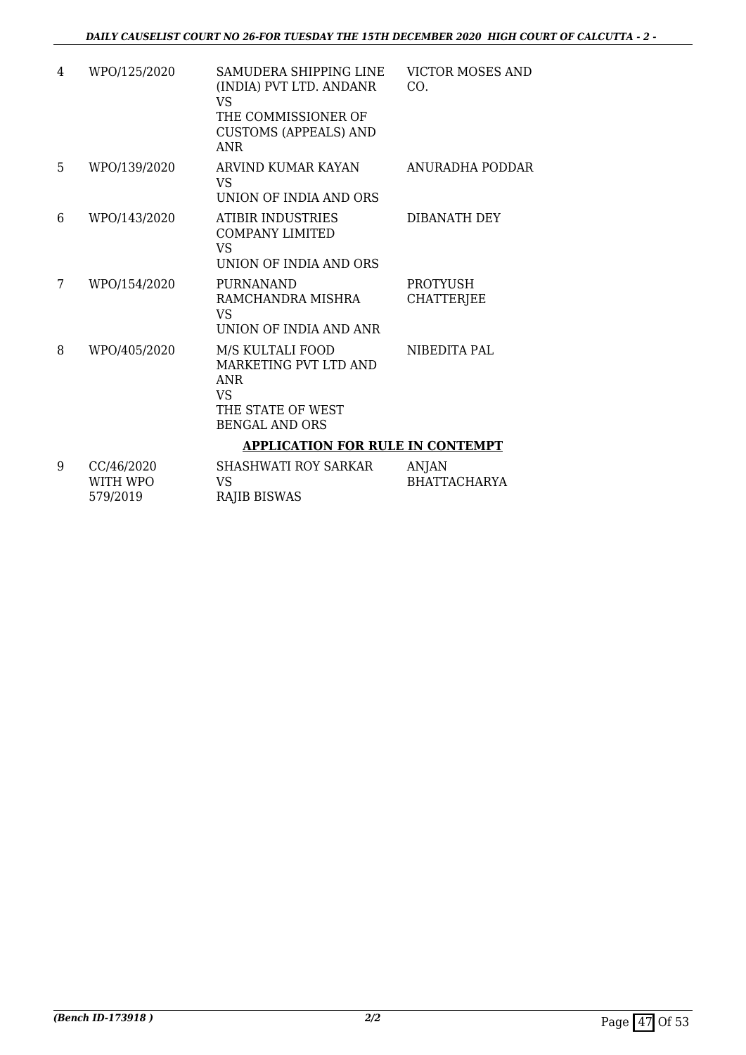| 4  | WPO/125/2020 | SAMUDERA SHIPPING LINE<br>(INDIA) PVT LTD. ANDANR<br>VS.<br>THE COMMISSIONER OF<br><b>CUSTOMS (APPEALS) AND</b><br><b>ANR</b> | <b>VICTOR MOSES AND</b><br>CO.       |
|----|--------------|-------------------------------------------------------------------------------------------------------------------------------|--------------------------------------|
| 5. | WPO/139/2020 | ARVIND KUMAR KAYAN<br>VS<br>UNION OF INDIA AND ORS                                                                            | ANURADHA PODDAR                      |
| 6  | WPO/143/2020 | <b>ATIBIR INDUSTRIES</b><br><b>COMPANY LIMITED</b><br>VS<br>UNION OF INDIA AND ORS                                            | DIBANATH DEY                         |
| 7  | WPO/154/2020 | <b>PURNANAND</b><br>RAMCHANDRA MISHRA<br>VS<br>UNION OF INDIA AND ANR                                                         | <b>PROTYUSH</b><br><b>CHATTERJEE</b> |
| 8  | WPO/405/2020 | M/S KULTALI FOOD<br>MARKETING PVT LTD AND<br><b>ANR</b><br><b>VS</b><br>THE STATE OF WEST<br><b>BENGAL AND ORS</b>            | NIBEDITA PAL                         |
|    |              | <b>APPLICATION FOR RULE IN CONTEMPT</b>                                                                                       |                                      |
| 9  | CC/46/2020   | <b>SHASHWATI ROY SARKAR</b>                                                                                                   | ANJAN                                |

| <b>UU/40/2020</b> | SHASHWAII KUI SAKNAK | AIN JAIN     |
|-------------------|----------------------|--------------|
| WITH WPO          | VS.                  | BHATTACHARYA |
| 579/2019          | RAJIB BISWAS         |              |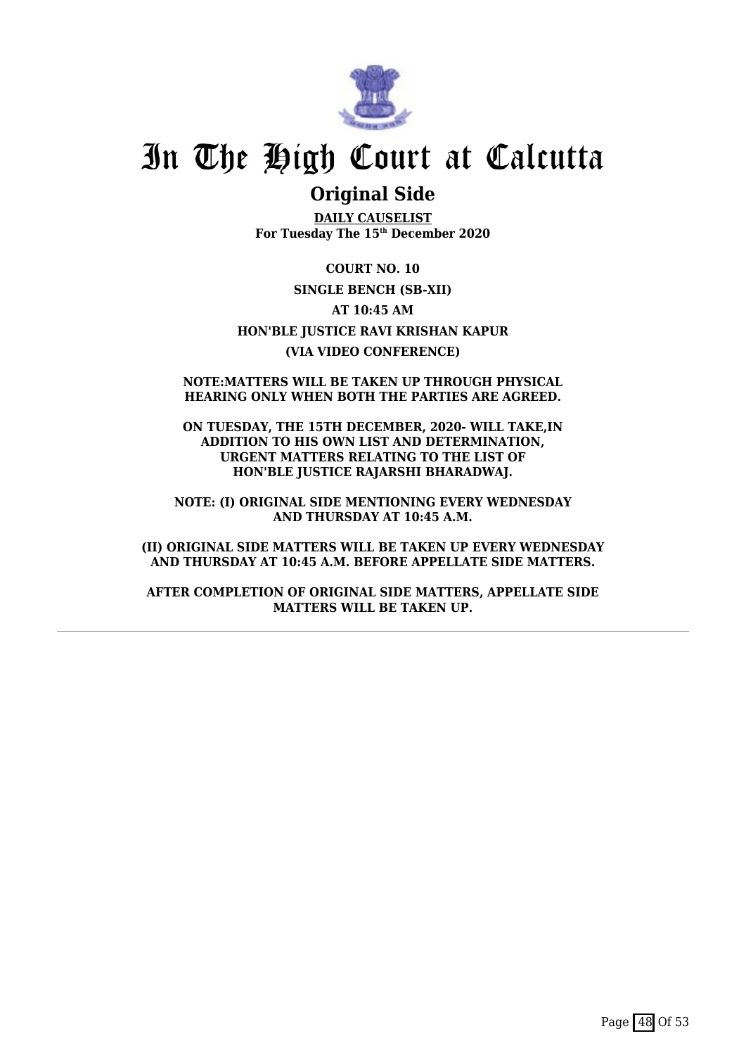

## **Original Side**

**DAILY CAUSELIST For Tuesday The 15th December 2020**

**COURT NO. 10 SINGLE BENCH (SB-XII) AT 10:45 AM HON'BLE JUSTICE RAVI KRISHAN KAPUR (VIA VIDEO CONFERENCE)**

### **NOTE:MATTERS WILL BE TAKEN UP THROUGH PHYSICAL HEARING ONLY WHEN BOTH THE PARTIES ARE AGREED.**

**ON TUESDAY, THE 15TH DECEMBER, 2020- WILL TAKE,IN ADDITION TO HIS OWN LIST AND DETERMINATION, URGENT MATTERS RELATING TO THE LIST OF HON'BLE JUSTICE RAJARSHI BHARADWAJ.**

**NOTE: (I) ORIGINAL SIDE MENTIONING EVERY WEDNESDAY AND THURSDAY AT 10:45 A.M.**

**(II) ORIGINAL SIDE MATTERS WILL BE TAKEN UP EVERY WEDNESDAY AND THURSDAY AT 10:45 A.M. BEFORE APPELLATE SIDE MATTERS.**

**AFTER COMPLETION OF ORIGINAL SIDE MATTERS, APPELLATE SIDE MATTERS WILL BE TAKEN UP.**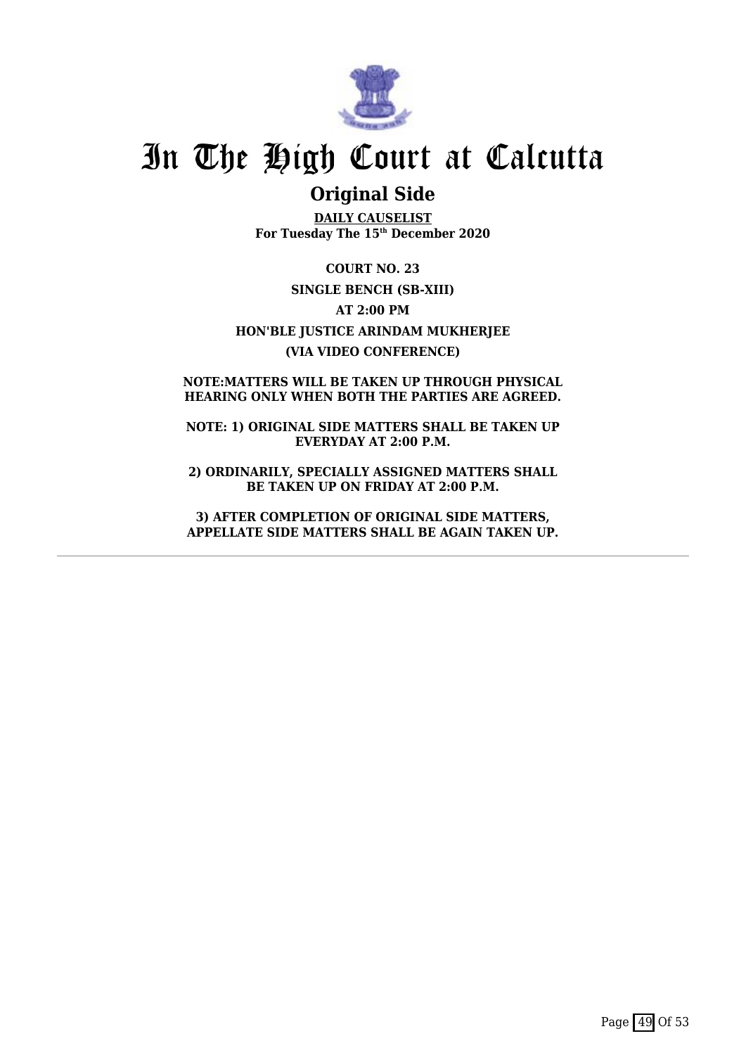

## **Original Side**

**DAILY CAUSELIST For Tuesday The 15th December 2020**

**COURT NO. 23 SINGLE BENCH (SB-XIII) AT 2:00 PM HON'BLE JUSTICE ARINDAM MUKHERJEE (VIA VIDEO CONFERENCE)**

### **NOTE:MATTERS WILL BE TAKEN UP THROUGH PHYSICAL HEARING ONLY WHEN BOTH THE PARTIES ARE AGREED.**

**NOTE: 1) ORIGINAL SIDE MATTERS SHALL BE TAKEN UP EVERYDAY AT 2:00 P.M.**

**2) ORDINARILY, SPECIALLY ASSIGNED MATTERS SHALL BE TAKEN UP ON FRIDAY AT 2:00 P.M.**

**3) AFTER COMPLETION OF ORIGINAL SIDE MATTERS, APPELLATE SIDE MATTERS SHALL BE AGAIN TAKEN UP.**

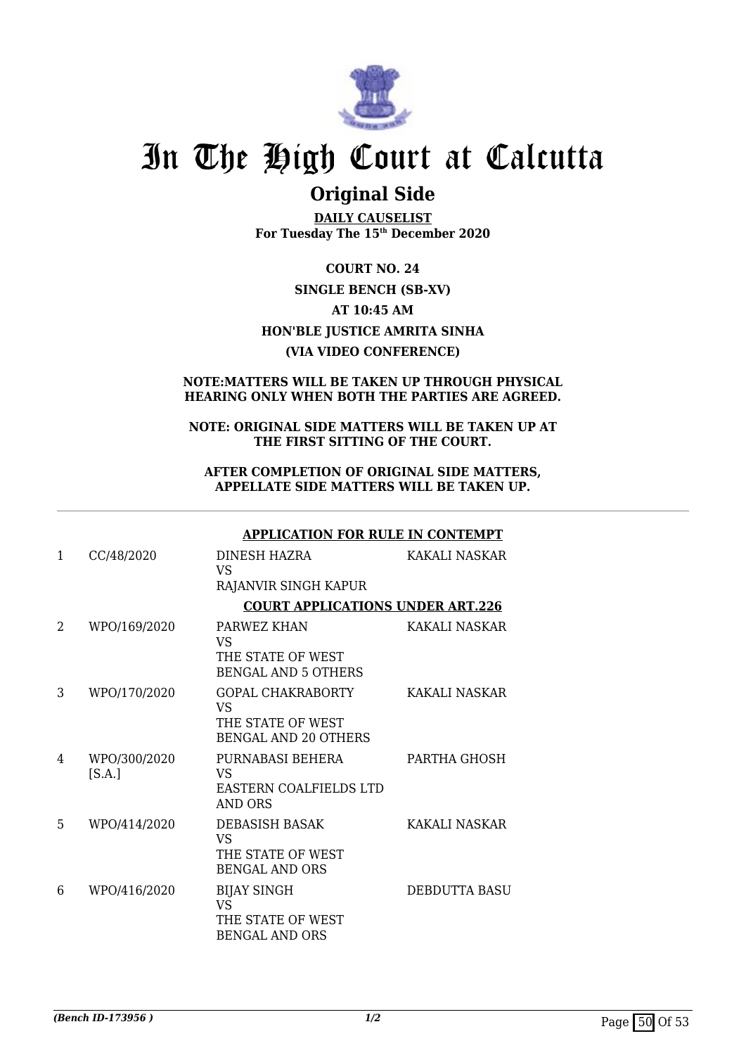

## **Original Side**

**DAILY CAUSELIST For Tuesday The 15th December 2020**

**COURT NO. 24 SINGLE BENCH (SB-XV) AT 10:45 AM HON'BLE JUSTICE AMRITA SINHA (VIA VIDEO CONFERENCE)**

### **NOTE:MATTERS WILL BE TAKEN UP THROUGH PHYSICAL HEARING ONLY WHEN BOTH THE PARTIES ARE AGREED.**

### **NOTE: ORIGINAL SIDE MATTERS WILL BE TAKEN UP AT THE FIRST SITTING OF THE COURT.**

### **AFTER COMPLETION OF ORIGINAL SIDE MATTERS, APPELLATE SIDE MATTERS WILL BE TAKEN UP.**

|              |                        | <b>APPLICATION FOR RULE IN CONTEMPT</b>                                            |               |
|--------------|------------------------|------------------------------------------------------------------------------------|---------------|
| $\mathbf{1}$ | CC/48/2020             | DINESH HAZRA<br>VS<br>RAJANVIR SINGH KAPUR                                         | KAKALI NASKAR |
|              |                        | <b>COURT APPLICATIONS UNDER ART.226</b>                                            |               |
| 2            | WPO/169/2020           | PARWEZ KHAN<br>VS<br>THE STATE OF WEST<br><b>BENGAL AND 5 OTHERS</b>               | KAKALI NASKAR |
| 3            | WPO/170/2020           | <b>GOPAL CHAKRABORTY</b><br>VS<br>THE STATE OF WEST<br><b>BENGAL AND 20 OTHERS</b> | KAKALI NASKAR |
| 4            | WPO/300/2020<br>[S.A.] | PURNABASI BEHERA<br><b>VS</b><br>EASTERN COALFIELDS LTD<br>AND ORS                 | PARTHA GHOSH  |
| 5            | WPO/414/2020           | <b>DEBASISH BASAK</b><br><b>VS</b><br>THE STATE OF WEST<br><b>BENGAL AND ORS</b>   | KAKALI NASKAR |
| 6            | WPO/416/2020           | <b>BIJAY SINGH</b><br><b>VS</b><br>THE STATE OF WEST<br><b>BENGAL AND ORS</b>      | DEBDUTTA BASU |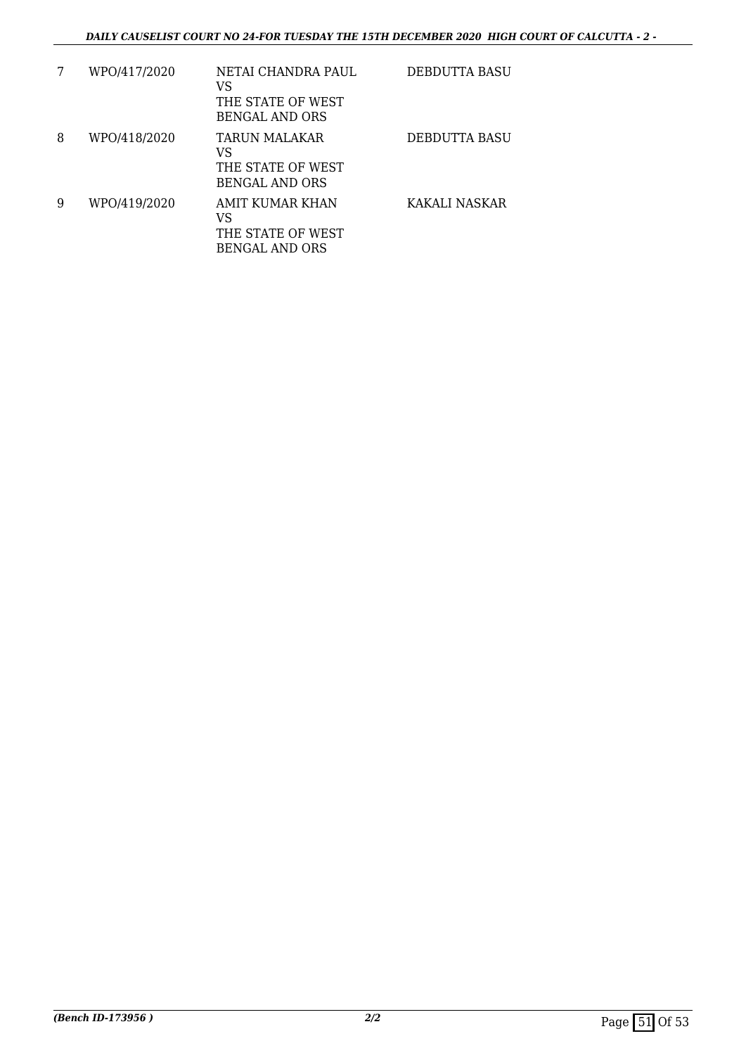| 7 | WPO/417/2020 | NETAI CHANDRA PAUL<br>VS<br>THE STATE OF WEST<br>BENGAL AND ORS     | DEBDUTTA BASU |
|---|--------------|---------------------------------------------------------------------|---------------|
| 8 | WPO/418/2020 | <b>TARUN MALAKAR</b><br>VS<br>THE STATE OF WEST<br>BENGAL AND ORS   | DEBDUTTA BASU |
| 9 | WPO/419/2020 | AMIT KUMAR KHAN<br>VS<br>THE STATE OF WEST<br><b>BENGAL AND ORS</b> | KAKALI NASKAR |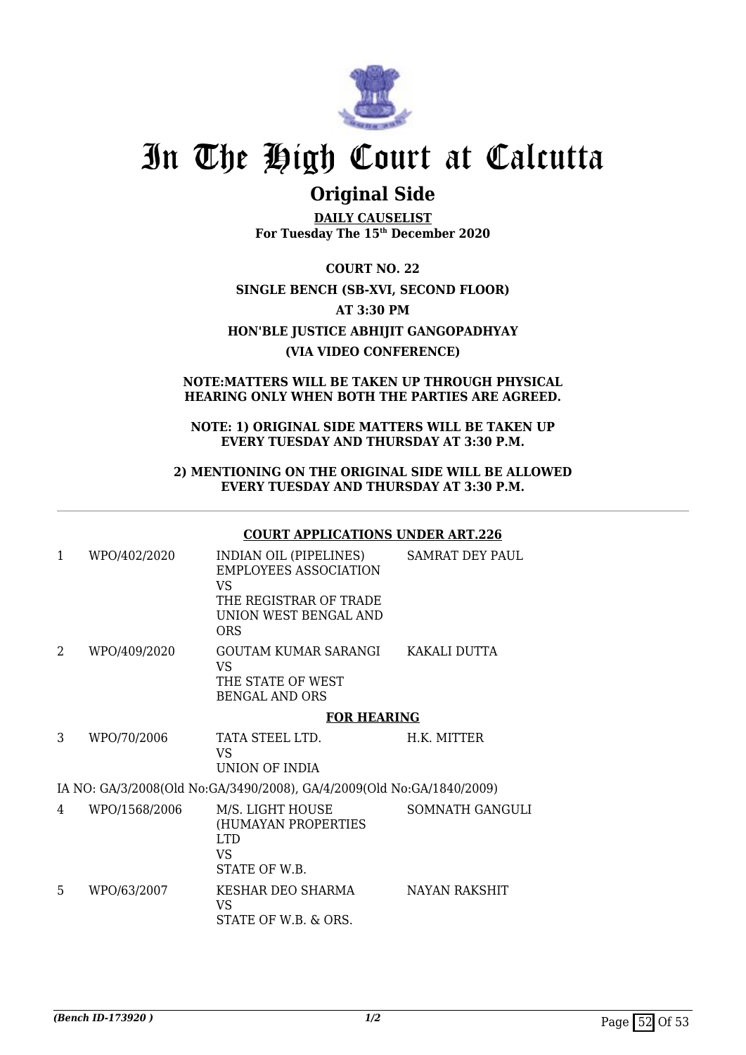

## **Original Side**

**DAILY CAUSELIST For Tuesday The 15th December 2020**

**COURT NO. 22 SINGLE BENCH (SB-XVI, SECOND FLOOR) AT 3:30 PM HON'BLE JUSTICE ABHIJIT GANGOPADHYAY (VIA VIDEO CONFERENCE)**

### **NOTE:MATTERS WILL BE TAKEN UP THROUGH PHYSICAL HEARING ONLY WHEN BOTH THE PARTIES ARE AGREED.**

### **NOTE: 1) ORIGINAL SIDE MATTERS WILL BE TAKEN UP EVERY TUESDAY AND THURSDAY AT 3:30 P.M.**

### **2) MENTIONING ON THE ORIGINAL SIDE WILL BE ALLOWED EVERY TUESDAY AND THURSDAY AT 3:30 P.M.**

### **COURT APPLICATIONS UNDER ART.226**

| $\mathbf{1}$                                                          | WPO/402/2020  | <b>INDIAN OIL (PIPELINES)</b><br><b>EMPLOYEES ASSOCIATION</b><br>VS<br>THE REGISTRAR OF TRADE<br>UNION WEST BENGAL AND<br><b>ORS</b> | SAMRAT DEY PAUL |  |  |  |
|-----------------------------------------------------------------------|---------------|--------------------------------------------------------------------------------------------------------------------------------------|-----------------|--|--|--|
| 2                                                                     | WPO/409/2020  | GOUTAM KUMAR SARANGI<br><b>VS</b><br>THE STATE OF WEST<br><b>BENGAL AND ORS</b>                                                      | KAKALI DUTTA    |  |  |  |
|                                                                       |               | <b>FOR HEARING</b>                                                                                                                   |                 |  |  |  |
| 3                                                                     | WPO/70/2006   | TATA STEEL LTD.<br>VS<br>UNION OF INDIA                                                                                              | H.K. MITTER     |  |  |  |
| IA NO: GA/3/2008(Old No:GA/3490/2008), GA/4/2009(Old No:GA/1840/2009) |               |                                                                                                                                      |                 |  |  |  |
| 4                                                                     | WPO/1568/2006 | M/S. LIGHT HOUSE<br>(HUMAYAN PROPERTIES<br><b>LTD</b><br><b>VS</b><br>STATE OF W.B.                                                  | SOMNATH GANGULI |  |  |  |
| 5                                                                     | WPO/63/2007   | KESHAR DEO SHARMA<br>VS<br>STATE OF W.B. & ORS.                                                                                      | NAYAN RAKSHIT   |  |  |  |